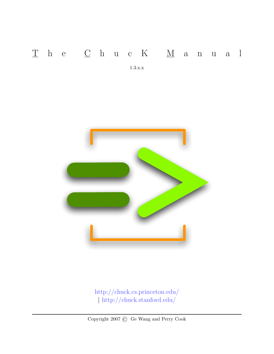### $\underline{T}$ h e  $\underline{C}$ h u c K <br/>  $\underline{M}$ a n u a l

1.3.x.x



<http://chuck.cs.princeton.edu/> | <http://chuck.stanford.edu/>

Copyright 2007 © Ge Wang and Perry Cook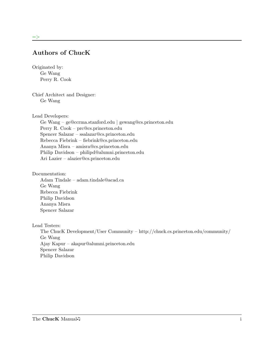#### Authors of ChucK

<span id="page-1-0"></span>Originated by: Ge Wang Perry R. Cook

Chief Architect and Designer: Ge Wang

Lead Developers:

Ge Wang – ge@ccrma.stanford.edu | gewang@cs.princeton.edu Perry R. Cook – prc@cs.princeton.edu Spencer Salazar – ssalazar@cs.princeton.edu Rebecca Fiebrink – fiebrink@cs.princeton.edu Ananya Misra – amisra@cs.princeton.edu Philip Davidson – philipd@alumni.princeton.edu Ari Lazier – alazier@cs.princeton.edu

Documentation:

Adam Tindale – adam.tindale@acad.ca Ge Wang Rebecca Fiebrink Philip Davidson Ananya Misra Spencer Salazar

Lead Testers:

The ChucK Development/User Community – http://chuck.cs.princeton.edu/community/ Ge Wang Ajay Kapur – akapur@alumni.princeton.edu Spencer Salazar Philip Davidson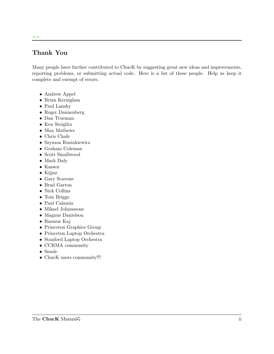#### Thank You

=>

<span id="page-2-0"></span>Many people have further contributed to ChucK by suggesting great new ideas and improvements, reporting problems, or submitting actual code. Here is a list of these people. Help us keep it complete and exempt of errors.

- Andrew Appel
- Brian Kernighan
- Paul Lansky
- Roger Dannenberg
- Dan Trueman
- Ken Steiglitz
- $\bullet~$  Max Mathews
- Chris Chafe
- Szymon Rusinkiewicz
- Graham Coleman
- Scott Smallwood
- Mark Daly
- Kassen
- Kijjaz
- Gary Scavone
- Brad Garton
- Nick Collins
- Tom Briggs
- Paul Calamia
- Mikael Johanssons
- Magnus Danielson
- Rasmus Kaj
- Princeton Graphics Group
- Princeton Laptop Orchestra
- Stanford Laptop Orchestra
- CCRMA community
- Smule
- ChucK users community!!!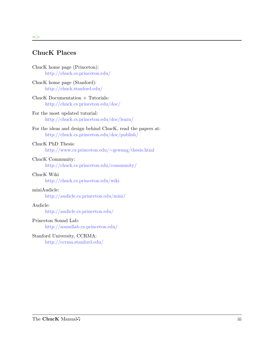#### ChucK Places

 $\Rightarrow$ 

<span id="page-3-0"></span>

| ChucK home page (Princeton):   |  |
|--------------------------------|--|
| http://chuck.cs.princeton.edu/ |  |

ChucK home page (Stanford): <http://chuck.stanford.edu/>

- ChucK Documentation + Tutorials: <http://chuck.cs.princeton.edu/doc/>
- For the most updated tutorial: <http://chuck.cs.princeton.edu/doc/learn/>

```
For the ideas and design behind ChucK, read the papers at:
     http://chuck.cs.princeton.edu/doc/publish/
```
#### ChucK PhD Thesis:

[http://www.cs.princeton.edu/](http://www.cs.princeton.edu/~gewang/thesis.html)∼gewang/thesis.html

#### ChucK Community:

<http://chuck.cs.princeton.edu/community/>

#### ChucK Wiki

<http://chuck.cs.princeton.edu/wiki>

#### miniAudicle:

<http://audicle.cs.princeton.edu/mini/>

#### Audicle:

<http://audicle.cs.princeton.edu/>

#### Princeton Sound Lab:

<http://soundlab.cs.princeton.edu/>

#### Stanford University, CCRMA: <http://ccrma.stanford.edu/>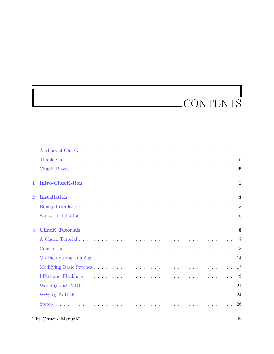## CONTENTS

| $\mathbf{1}$ | <b>Intro-ChucK-tion</b> | $\mathbf{1}$ |
|--------------|-------------------------|--------------|
| $\mathbf{2}$ | <b>Installation</b>     | 3            |
|              |                         | 3            |
|              |                         |              |
| 3            | <b>ChucK Tutorials</b>  | 8            |
|              |                         |              |
|              |                         |              |
|              |                         |              |
|              |                         |              |
|              |                         |              |
|              |                         |              |
|              |                         |              |
|              |                         |              |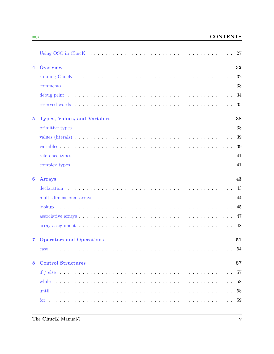| $\overline{4}$   | <b>Overview</b>                                        | 32 |
|------------------|--------------------------------------------------------|----|
|                  |                                                        |    |
|                  |                                                        |    |
|                  |                                                        |    |
|                  |                                                        |    |
| $5\phantom{.0}$  | <b>Types, Values, and Variables</b>                    | 38 |
|                  |                                                        |    |
|                  |                                                        |    |
|                  |                                                        |    |
|                  |                                                        |    |
|                  |                                                        |    |
| $\boldsymbol{6}$ | <b>Arrays</b>                                          | 43 |
|                  |                                                        |    |
|                  |                                                        | 44 |
|                  |                                                        |    |
|                  |                                                        |    |
|                  |                                                        |    |
| $\overline{7}$   | <b>Operators and Operations</b>                        | 51 |
|                  | $cast \dots \dots \dots \dots \dots \dots \dots \dots$ | 54 |
| 8                | <b>Control Structures</b>                              | 57 |
|                  |                                                        |    |
|                  |                                                        |    |
|                  |                                                        |    |
|                  |                                                        |    |

<u> 1989 - Johann Stoff, fransk politik (d. 1989)</u>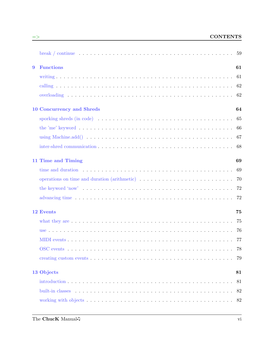#### => CONTENTS

| 9 | <b>Functions</b>                                                                                                                                                                                                               | 61 |
|---|--------------------------------------------------------------------------------------------------------------------------------------------------------------------------------------------------------------------------------|----|
|   |                                                                                                                                                                                                                                |    |
|   |                                                                                                                                                                                                                                |    |
|   |                                                                                                                                                                                                                                |    |
|   | <b>10 Concurrency and Shreds</b>                                                                                                                                                                                               | 64 |
|   | sporking shreds (in code) $\ldots \ldots \ldots \ldots \ldots \ldots \ldots \ldots \ldots \ldots \ldots \ldots 65$                                                                                                             |    |
|   |                                                                                                                                                                                                                                |    |
|   |                                                                                                                                                                                                                                |    |
|   |                                                                                                                                                                                                                                |    |
|   | 11 Time and Timing                                                                                                                                                                                                             | 69 |
|   | time and duration $\ldots \ldots \ldots \ldots \ldots \ldots \ldots \ldots \ldots \ldots \ldots \ldots \ldots$                                                                                                                 |    |
|   | operations on time and duration (arithmetic) (and the set of the set of the set of the set of the set of the set of the set of the set of the set of the set of the set of the set of the set of the set of the set of the set |    |
|   |                                                                                                                                                                                                                                |    |
|   |                                                                                                                                                                                                                                |    |
|   | 12 Events                                                                                                                                                                                                                      | 75 |
|   |                                                                                                                                                                                                                                |    |
|   |                                                                                                                                                                                                                                |    |
|   |                                                                                                                                                                                                                                |    |
|   |                                                                                                                                                                                                                                |    |
|   |                                                                                                                                                                                                                                |    |
|   | 13 Objects                                                                                                                                                                                                                     | 81 |
|   |                                                                                                                                                                                                                                | 81 |
|   |                                                                                                                                                                                                                                | 82 |
|   |                                                                                                                                                                                                                                |    |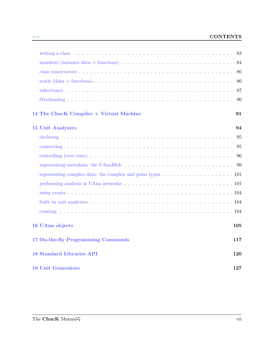|                                                                                                                                                                                                                               | 84  |
|-------------------------------------------------------------------------------------------------------------------------------------------------------------------------------------------------------------------------------|-----|
|                                                                                                                                                                                                                               | 86  |
| static $(data + functions) \dots \dots \dots \dots \dots \dots \dots \dots \dots \dots \dots \dots \dots \dots \dots$                                                                                                         | 86  |
|                                                                                                                                                                                                                               | 87  |
|                                                                                                                                                                                                                               | 90  |
| 14 The ChucK Compiler + Virtual Machine                                                                                                                                                                                       | 91  |
| <b>15 Unit Analyzers</b>                                                                                                                                                                                                      | 94  |
|                                                                                                                                                                                                                               | 95  |
|                                                                                                                                                                                                                               | 95  |
|                                                                                                                                                                                                                               | 96  |
|                                                                                                                                                                                                                               |     |
|                                                                                                                                                                                                                               |     |
| performing analysis in UAna networks matrix of the set of the set of the UAna networks matrix of the set of the set of the set of the set of the set of the set of the set of the set of the set of the set of the set of the |     |
|                                                                                                                                                                                                                               |     |
|                                                                                                                                                                                                                               |     |
|                                                                                                                                                                                                                               |     |
| 16 UAna objects                                                                                                                                                                                                               | 105 |
| 17 On-the-fly Programming Commands                                                                                                                                                                                            | 117 |
| <b>18 Standard Libraries API</b>                                                                                                                                                                                              | 120 |
| <b>19 Unit Generators</b>                                                                                                                                                                                                     | 127 |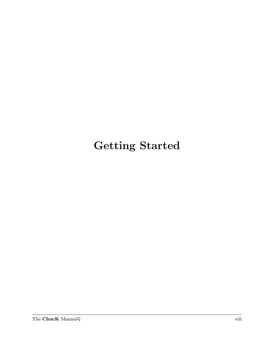### Getting Started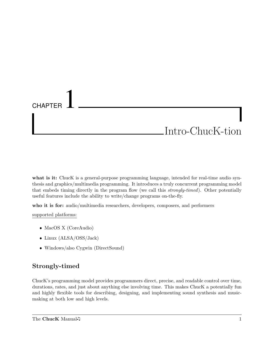## <span id="page-9-0"></span>**CHAPTER** Intro-ChucK-tion

what is it: ChucK is a general-purpose programming language, intended for real-time audio synthesis and graphics/multimedia programming. It introduces a truly concurrent programming model that embeds timing directly in the program flow (we call this strongly-timed). Other potentially useful features include the ability to write/change programs on-the-fly.

who it is for: audio/multimedia researchers, developers, composers, and performers

supported platforms:

- MacOS X (CoreAudio)
- Linux (ALSA/OSS/Jack)
- Windows/also Cygwin (DirectSound)

#### Strongly-timed

ChucK's programming model provides programmers direct, precise, and readable control over time, durations, rates, and just about anything else involving time. This makes ChucK a potentially fun and highly flexible tools for describing, designing, and implementing sound synthesis and musicmaking at both low and high levels.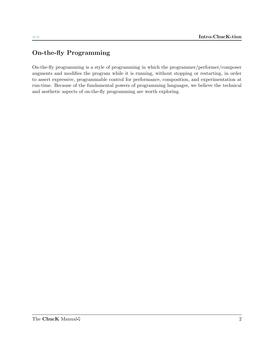#### On-the-fly Programming

On-the-fly programming is a style of programming in which the programmer/performer/composer augments and modifies the program while it is running, without stopping or restarting, in order to assert expressive, programmable control for performance, composition, and experimentation at run-time. Because of the fundamental powers of programming languages, we believe the technical and aesthetic aspects of on-the-fly programming are worth exploring.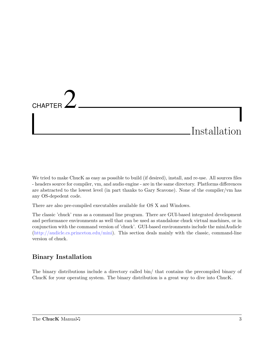# <span id="page-11-0"></span>**CHAPTER** Installation

We tried to make ChucK as easy as possible to build (if desired), install, and re-use. All sources files - headers source for compiler, vm, and audio engine - are in the same directory. Platforms differences are abstracted to the lowest level (in part thanks to Gary Scavone). None of the compiler/vm has any OS-depedent code.

There are also pre-compiled executables available for OS X and Windows.

The classic 'chuck' runs as a command line program. There are GUI-based integrated development and performance environments as well that can be used as standalone chuck virtual machines, or in conjunction with the command version of 'chuck'. GUI-based environments include the miniAudicle [\(http://audicle.cs.princeton.edu/mini\)](http://audicle.cs.princeton.edu/mini/). This section deals mainly with the classic, command-line version of chuck.

#### Binary Installation

<span id="page-11-1"></span>The binary distributions include a directory called bin/ that contains the precompiled binary of ChucK for your operating system. The binary distribution is a great way to dive into ChucK.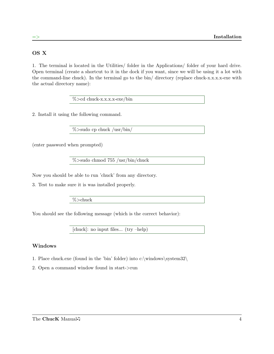#### OS X

1. The terminal is located in the Utilities/ folder in the Applications/ folder of your hard drive. Open terminal (create a shortcut to it in the dock if you want, since we will be using it a lot with the command-line chuck). In the terminal go to the bin/ directory (replace chuck-x.x.x.x-exe with the actual directory name):

%>cd chuck-x.x.x.x-exe/bin

2. Install it using the following command.

 $\%$ >sudo cp chuck /usr/bin/

(enter password when prompted)

%>sudo chmod 755 /usr/bin/chuck

Now you should be able to run 'chuck' from any directory.

3. Test to make sure it is was installed properly.

%>chuck

You should see the following message (which is the correct behavior):

[chuck]: no input files... (try –help)

#### Windows

- 1. Place chuck.exe (found in the 'bin' folder) into c:\windows\system32\
- 2. Open a command window found in start->run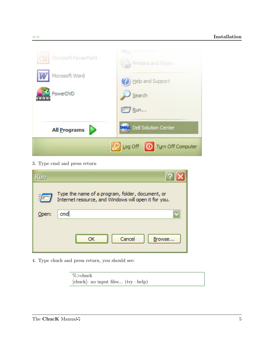

3. Type cmd and press return

| Run                                                                                                      |                        |  |
|----------------------------------------------------------------------------------------------------------|------------------------|--|
| Type the name of a program, folder, document, or<br>Internet resource, and Windows will open it for you. |                        |  |
| Open:                                                                                                    | cmd                    |  |
|                                                                                                          | Cancel<br>ОК<br>Browse |  |

4. Type chuck and press return, you should see:

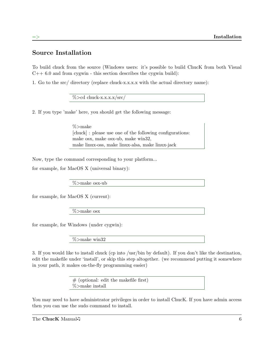#### Source Installation

<span id="page-14-0"></span>To build chuck from the source (Windows users: it's possible to build ChucK from both Visual  $C++6.0$  and from cygwin - this section describes the cygwin build):

1. Go to the src/ directory (replace chuck-x.x.x.x with the actual directory name):

 $\%$  > cd chuck-x.x.x.x/src

2. If you type 'make' here, you should get the following message:

%>make [chuck] : please use one of the following configurations: make osx, make osx-ub, make win32, make linux-oss, make linux-alsa, make linux-jack

Now, type the command corresponding to your platform...

for example, for MacOS X (universal binary):

%>make osx-ub

for example, for MacOS X (current):

%>make osx

for example, for Windows (under cygwin):

%>make win32

3. If you would like to install chuck (cp into /usr/bin by default). If you don't like the destination, edit the makefile under 'install', or skip this step altogether. (we recommend putting it somewhere in your path, it makes on-the-fly programming easier)

> $#$  (optional: edit the makefile first) %>make install

You may need to have administrator privileges in order to install ChucK. If you have admin access then you can use the sudo command to install.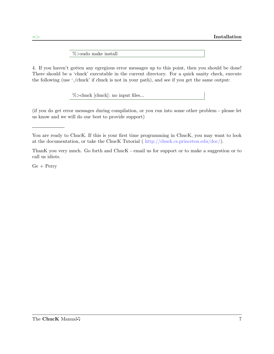%>sudo make install

4. If you haven't gotten any egregious error messages up to this point, then you should be done! There should be a 'chuck' executable in the current directory. For a quick sanity check, execute the following (use './chuck' if chuck is not in your path), and see if you get the same output:

%>chuck [chuck]: no input files...

(if you do get error messages during compilation, or you run into some other problem - please let us know and we will do our best to provide support)

You are ready to ChucK. If this is your first time programming in ChucK, you may want to look at the documentation, or take the ChucK Tutorial ( [http://chuck.cs.princeton.edu/doc/\)](http://chuck.cs.princeton.edu/doc).

ThanK you very much. Go forth and ChucK - email us for support or to make a suggestion or to call us idiots.

 $Ge + Perry$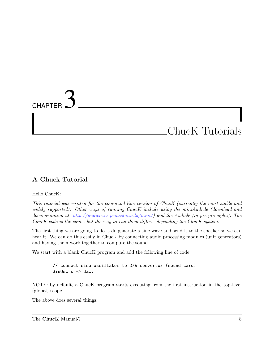# <span id="page-16-0"></span>**CHAPTER** ChucK Tutorials

#### A Chuck Tutorial

<span id="page-16-1"></span>Hello ChucK:

This tutorial was written for the command line version of ChucK (currently the most stable and widely supported). Other ways of running ChucK include using the miniAudicle (download and documentation at: [http://audicle.cs.princeton.edu/mini/\)](http://audicle.cs.princeton.edu/mini/) and the Audicle (in pre-pre-alpha). The ChucK code is the same, but the way to run them differs, depending the ChucK system.

The first thing we are going to do is do generate a sine wave and send it to the speaker so we can hear it. We can do this easily in Chuck by connecting audio processing modules (unit generators) and having them work together to compute the sound.

We start with a blank ChucK program and add the following line of code:

// connect sine oscillator to D/A convertor (sound card) SinOsc  $s \Rightarrow$  dac;

NOTE: by default, a ChucK program starts executing from the first instruction in the top-level (global) scope.

The above does several things:

The ChucK Manual  $\sqrt{ }$  8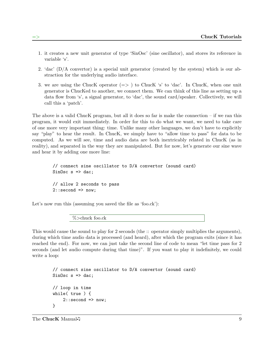- 1. it creates a new unit generator of type 'SinOsc' (sine oscillator), and stores its reference in variable 's'.
- 2. 'dac' (D/A convertor) is a special unit generator (created by the system) which is our abstraction for the underlying audio interface.
- 3. we are using the ChucK operator  $(=>)$  to ChucK 's' to 'dac'. In ChucK, when one unit generator is ChucKed to another, we connect them. We can think of this line as setting up a data flow from 's', a signal generator, to 'dac', the sound card/speaker. Collectively, we will call this a 'patch'.

The above is a valid ChucK program, but all it does so far is make the connection  $-$  if we ran this program, it would exit immediately. In order for this to do what we want, we need to take care of one more very important thing: time. Unlike many other languages, we don't have to explicitly say "play" to hear the result. In ChucK, we simply have to "allow time to pass" for data to be computed. As we will see, time and audio data are both inextricably related in ChucK (as in reality), and separated in the way they are manipulated. But for now, let's generate our sine wave and hear it by adding one more line:

```
// connect sine oscillator to D/A convertor (sound card)
SinOsc s \Rightarrow dac;
// allow 2 seconds to pass
2:: second \Rightarrow now;
```
Let's now run this (assuming you saved the file as 'foo.ck'):

%>chuck foo.ck

This would cause the sound to play for 2 seconds (the :: operator simply multiplies the arguments), during which time audio data is processed (and heard), after which the program exits (since it has reached the end). For now, we can just take the second line of code to mean "let time pass for 2 seconds (and let audio compute during that time)". If you want to play it indefinitely, we could write a loop:

```
// connect sine oscillator to D/A convertor (sound card)
SinOsc s \Rightarrow dac;
// loop in time
while( true ) {
    2::second => now;
}
```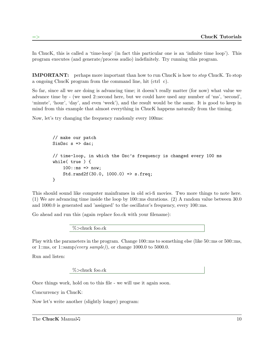In ChucK, this is called a 'time-loop' (in fact this particular one is an 'infinite time loop'). This program executes (and generate/process audio) indefinitely. Try running this program.

IMPORTANT: perhaps more important than how to run ChucK is how to stop ChucK. To stop a ongoing ChucK program from the command line, hit (ctrl c).

So far, since all we are doing is advancing time; it doesn't really matter (for now) what value we advance time by - (we used 2::second here, but we could have used any number of 'ms', 'second', 'minute', 'hour', 'day', and even 'week'), and the result would be the same. It is good to keep in mind from this example that almost everything in ChucK happens naturally from the timing.

Now, let's try changing the frequency randomly every 100ms:

```
// make our patch
SinOsc s \Rightarrow dac;
// time-loop, in which the Osc's frequency is changed every 100 ms
while( true ) {
    100::ms => now;
    Std.rand2f(30.0, 1000.0) => s.freq;
}
```
This should sound like computer mainframes in old sci-fi movies. Two more things to note here. (1) We are advancing time inside the loop by 100::ms durations. (2) A random value between 30.0 and 1000.0 is generated and 'assigned' to the oscillator's frequency, every 100::ms.

Go ahead and run this (again replace foo.ck with your filename):

%>chuck foo.ck

Play with the parameters in the program. Change 100::ms to something else (like 50::ms or 500::ms, or 1::ms, or 1::samp(every sample)), or change 1000.0 to 5000.0.

Run and listen:

%>chuck foo.ck

Once things work, hold on to this file - we will use it again soon.

Concurrency in ChucK:

Now let's write another (slightly longer) program:

The ChucK Manual  $\sqrt{ }$  10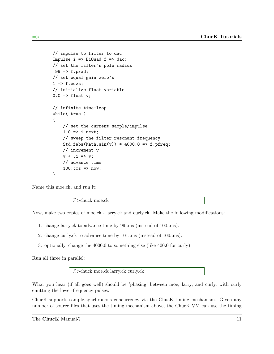```
// impulse to filter to dac
Impulse i \Rightarrow BiQuad f \Rightarrow dac;
// set the filter's pole radius
.99 \Rightarrow f.prad;// set equal gain zero's
1 \Rightarrow f.eqzs;// initialize float variable
0.0 \Rightarrow float v;
// infinite time-loop
while( true )
{
    // set the current sample/impulse
    1.0 \Rightarrow i.next;// sweep the filter resonant frequency
    Std.fabs(Math.sin(v)) * 4000.0 => f.pfreq;
    // increment v
    v + .1 => v;
    // advance time
    100::ms => now;
}
```
Name this moe.ck, and run it:

%>chuck moe.ck

Now, make two copies of moe.ck - larry.ck and curly.ck. Make the following modifications:

- 1. change larry.ck to advance time by 99::ms (instead of 100::ms).
- 2. change curly.ck to advance time by 101::ms (instead of 100::ms).
- 3. optionally, change the 4000.0 to something else (like 400.0 for curly).

Run all three in parallel:

%>chuck moe.ck larry.ck curly.ck

What you hear (if all goes well) should be 'phasing' between moe, larry, and curly, with curly emitting the lower-frequency pulses.

ChucK supports sample-synchronous concurrency via the ChucK timing mechanism. Given any number of source files that uses the timing mechanism above, the ChucK VM can use the timing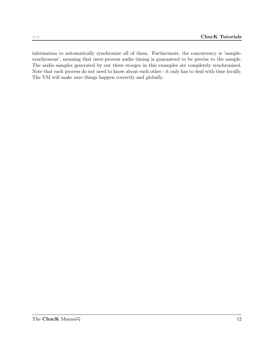information to automatically synchronize all of them. Furthermore, the concurrency is 'samplesynchronous', meaning that inter-process audio timing is guaranteed to be precise to the sample. The audio samples generated by our three stooges in this examples are completely synchronized. Note that each process do not need to know about each other - it only has to deal with time locally. The VM will make sure things happen correctly and globally.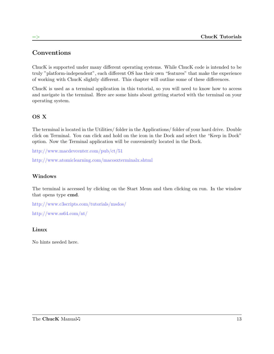#### Conventions

<span id="page-21-0"></span>ChucK is supported under many different operating systems. While ChucK code is intended to be truly "platform-independent", each different OS has their own "features" that make the experience of working with ChucK slightly different. This chapter will outline some of these differences.

ChucK is used as a terminal application in this tutorial, so you will need to know how to access and navigate in the terminal. Here are some hints about getting started with the terminal on your operating system.

#### OS X

The terminal is located in the Utilities/ folder in the Applications/ folder of your hard drive. Double click on Terminal. You can click and hold on the icon in the Dock and select the "Keep in Dock" option. Now the Terminal application will be conveniently located in the Dock.

<http://www.macdevcenter.com/pub/ct/51>

<http://www.atomiclearning.com/macosxterminalx.shtml>

#### Windows

The terminal is accessed by clicking on the Start Menu and then clicking on run. In the window that opens type cmd.

<http://www.c3scripts.com/tutorials/msdos/> <http://www.ss64.com/nt/>

#### Linux

No hints needed here.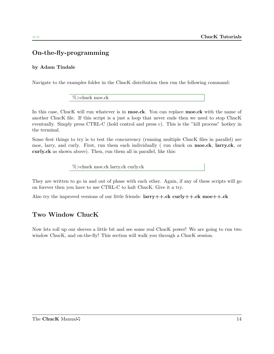#### On-the-fly-programming

#### <span id="page-22-0"></span>by Adam Tindale

Navigate to the examples folder in the ChucK distribution then run the following command:

%>chuck moe.ck

In this case, ChucK will run whatever is in **moe.ck**. You can replace **moe.ck** with the name of another ChucK file. If this script is a just a loop that never ends then we need to stop ChucK eventually. Simply press CTRL-C (hold control and press c). This is the "kill process" hotkey in the terminal.

Some first things to try is to test the concurrency (running multiple ChucK files in parallel) are moe, larry, and curly. First, run them each individually ( run chuck on moe.ck, larry.ck, or curly.ck as shown above). Then, run them all in parallel, like this:

%>chuck moe.ck larry.ck curly.ck

They are written to go in and out of phase with each other. Again, if any of these scripts will go on forever then you have to use CTRL-C to halt ChucK. Give it a try.

Also try the improved versions of our little friends:  $larry++.ck \text{ curl}y++.ck \text{ mode}++.ck$ 

#### Two Window ChucK

Now lets roll up our sleeves a little bit and see some real ChucK power! We are going to run two window ChucK, and on-the-fly! This section will walk you through a ChucK session.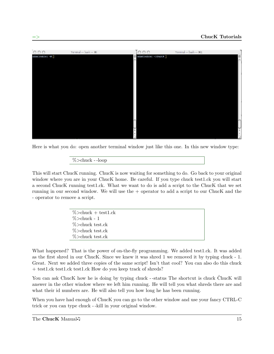

Here is what you do: open another terminal window just like this one. In this new window type:

%>chuck - -loop

This will start ChucK running. ChucK is now waiting for something to do. Go back to your original window where you are in your ChucK home. Be careful. If you type chuck test1.ck you will start a second ChucK running test1.ck. What we want to do is add a script to the ChucK that we set running in our second window. We will use the + operator to add a script to our ChucK and the - operator to remove a script.

| $%$ > chuck + test1.ck |  |
|------------------------|--|
| $\%$ >chuck - 1        |  |
| $\%$ > chuck test.ck   |  |
| $\%$ > chuck test.ck   |  |
| $%$ > chuck test.ck    |  |

What happened? That is the power of on-the-fly programming. We added test1.ck. It was added as the first shred in our ChucK. Since we knew it was shred 1 we removed it by typing chuck - 1. Great. Next we added three copies of the same script! Isn't that cool? You can also do this chuck + test1.ck test1.ck test1.ck How do you keep track of shreds?

You can ask ChucK how he is doing by typing chuck --status The shortcut is chuck ChucK will answer in the other window where we left him running. He will tell you what shreds there are and what their id numbers are. He will also tell you how long he has been running.

When you have had enough of ChucK you can go to the other window and use your fancy CTRL-C trick or you can type chuck - -kill in your original window.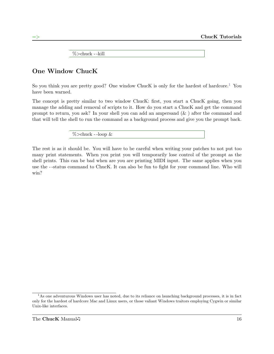%>chuck - -kill

#### One Window ChucK

So you think you are pretty good? One window ChucK is only for the hardest of hardcore.<sup>[1](#page-24-0)</sup> You have been warned.

The concept is pretty similar to two window ChucK: first, you start a ChucK going, then you manage the adding and removal of scripts to it. How do you start a ChucK and get the command prompt to return, you ask? In your shell you can add an ampersand (& ) after the command and that will tell the shell to run the command as a background process and give you the prompt back.

 $\%$  > chuck - -loop &

The rest is as it should be. You will have to be careful when writing your patches to not put too many print statements. When you print you will temporarily lose control of the prompt as the shell prints. This can be bad when are you are printing MIDI input. The same applies when you use the - -status command to ChucK. It can also be fun to fight for your command line. Who will win?

<span id="page-24-0"></span><sup>&</sup>lt;sup>1</sup>As one adventurous Windows user has noted, due to its reliance on launching background processes, it is in fact only for the hardest of hardcore Mac and Linux users, or those valiant Windows traitors employing Cygwin or similar Unix-like interfaces.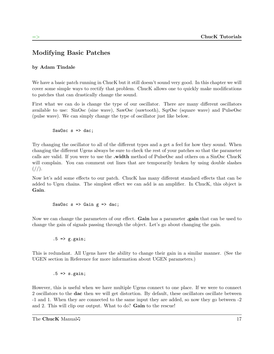#### Modifying Basic Patches

#### <span id="page-25-0"></span>by Adam Tindale

We have a basic patch running in ChucK but it still doesn't sound very good. In this chapter we will cover some simple ways to rectify that problem. ChucK allows one to quickly make modifications to patches that can drastically change the sound.

First what we can do is change the type of our oscillator. There are many different oscillators available to use: SinOsc (sine wave), SawOsc (sawtooth), SqrOsc (square wave) and PulseOsc (pulse wave). We can simply change the type of oscillator just like below.

SawOsc  $s \Rightarrow$  dac;

Try changing the oscillator to all of the different types and a get a feel for how they sound. When changing the different Ugens always be sure to check the rest of your patches so that the parameter calls are valid. If you were to use the .width method of PulseOsc and others on a SinOsc ChucK will complain. You can comment out lines that are temporarily broken by using double slashes  $\frac{1}{2}$ .

Now let's add some effects to our patch. ChucK has many different standard effects that can be added to Ugen chains. The simplest effect we can add is an amplifier. In ChucK, this object is Gain.

SawOsc  $s \Rightarrow$  Gain  $g \Rightarrow$  dac;

Now we can change the parameters of our effect. Gain has a parameter gain that can be used to change the gain of signals passing through the object. Let's go about changing the gain.

 $.5$  =>  $g.gain;$ 

This is redundant. All Ugens have the ability to change their gain in a similar manner. (See the UGEN section in Reference for more information about UGEN parameters.)

 $.5 \Rightarrow s \cdot \text{gain};$ 

However, this is useful when we have multiple Ugens connect to one place. If we were to connect 2 oscillators to the dac then we will get distortion. By default, these oscillators oscillate between -1 and 1. When they are connected to the same input they are added, so now they go between -2 and 2. This will clip our output. What to do? **Gain** to the rescue!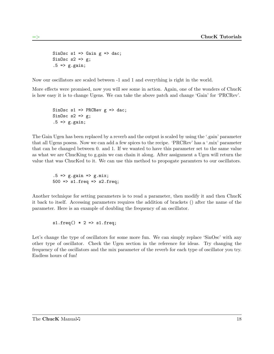SinOsc  $s1 \Rightarrow$  Gain  $g \Rightarrow$  dac; SinOsc  $s2 \Rightarrow g$ ;  $.5$  =>  $g.gain;$ 

Now our oscillators are scaled between -1 and 1 and everything is right in the world.

More effects were promised, now you will see some in action. Again, one of the wonders of ChucK is how easy it is to change Ugens. We can take the above patch and change 'Gain' for 'PRCRev'.

```
SinOsc s1 => PRCRev g => dac;
SinOsc s2 \Rightarrow g;
.5 \Rightarrow g_{.}gain;
```
The Gain Ugen has been replaced by a reverb and the output is scaled by using the '.gain' parameter that all Ugens posess. Now we can add a few spices to the recipe. 'PRCRev' has a '.mix' parameter that can be changed between 0. and 1. If we wanted to have this parameter set to the same value as what we are ChucKing to g.gain we can chain it along. After assignment a Ugen will return the value that was ChucKed to it. We can use this method to propogate paramters to our oscillators.

 $.5$  =>  $g$ .gain =>  $g$ .mix;  $500 \Rightarrow s1.$ freq => s2.freq;

Another technique for setting parameters is to read a parameter, then modify it and then ChucK it back to itself. Accessing parameters requires the addition of brackets () after the name of the parameter. Here is an example of doubling the frequency of an oscillator.

 $s1.freq() * 2 => s1.freq;$ 

Let's change the type of oscillators for some more fun. We can simply replace 'SinOsc' with any other type of oscillator. Check the Ugen section in the reference for ideas. Try changing the frequency of the oscillators and the mix parameter of the reverb for each type of oscillator you try. Endless hours of fun!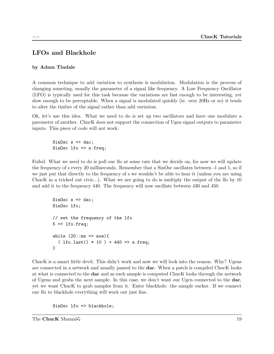#### LFOs and Blackhole

#### <span id="page-27-0"></span>by Adam Tindale

A common technique to add variation to synthesis is modulation. Modulation is the process of changing someting, usually the parameter of a signal like frequency. A Low Frequency Oscillator (LFO) is typically used for this task because the variations are fast enough to be interesting, yet slow enough to be perceptable. When a signal is modulated quickly (ie. over 20Hz or so) it tends to alter the timbre of the signal rather than add variation.

Ok, let's use this idea. What we need to do is set up two oscillators and have one modulate a paremeter of another. ChucK does not support the connection of Ugen signal outputs to parameter inputs. This piece of code will not work:

SinOsc  $s \Rightarrow$  dac; SinOsc lfo => s.freq;

Foiled. What we need to do is poll our lfo at some rate that we decide on, for now we will update the frequency of s every 20 milliseconds. Remember that a SinOsc oscillates between -1 and 1, so if we just put that directly to the frequency of s we wouldn't be able to hear it (unless you are using ChucK in a tricked out civic...). What we are going to do is multiply the output of the lfo by 10 and add it to the frequency 440. The frequency will now oscillate between 430 and 450.

```
SinOsc s \Rightarrow dac;
SinOsc lfo;
// set the frequency of the lfo
5 \Rightarrow lfo.freq;
while (20::ms => now){
  ( lfo.last() * 10 ) + 440 \Rightarrow s.freq;}
```
ChucK is a smart little devil. This didn't work and now we will look into the reason. Why? Ugens are connected in a network and usually passed to the dac. When a patch is compiled ChucK looks at what is connected to the dac and as each sample is computed ChucK looks through the network of Ugens and grabs the next sample. In this case, we don't want our Ugen connected to the dac, yet we want ChucK to grab samples from it. Enter blackhole: the sample sucker. If we connect our lfo to blackhole everything will work out just fine.

SinOsc lfo => blackhole;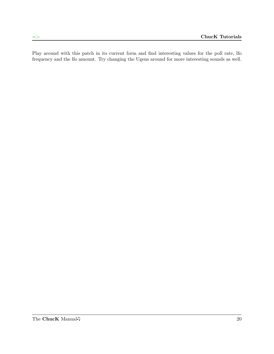Play around with this patch in its current form and find interesting values for the poll rate, lfo frequency and the lfo amount. Try changing the Ugens around for more interesting sounds as well.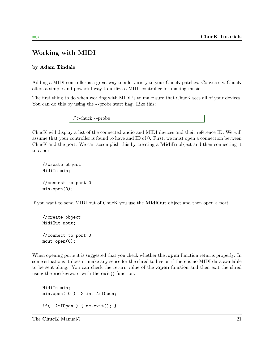#### Working with MIDI

#### <span id="page-29-0"></span>by Adam Tindale

Adding a MIDI controller is a great way to add variety to your ChucK patches. Conversely, ChucK offers a simple and powerful way to utilize a MIDI controller for making music.

The first thing to do when working with MIDI is to make sure that ChucK sees all of your devices. You can do this by using the --probe start flag. Like this:

%>chuck - -probe

ChucK will display a list of the connected audio and MIDI devices and their reference ID. We will assume that your controller is found to have and ID of 0. First, we must open a connection between ChucK and the port. We can accomplish this by creating a MidiIn object and then connecting it to a port.

```
//create object
MidiIn min;
//connect to port 0
min.open(0);
```
If you want to send MIDI out of ChucK you use the MidiOut object and then open a port.

```
//create object
MidiOut mout;
//connect to port 0
mout.open(0);
```
When opening ports it is suggested that you check whether the **open** function returns properly. In some situations it doesn't make any sense for the shred to live on if there is no MIDI data available to be sent along. You can check the return value of the .open function and then exit the shred using the me keyword with the exit() function.

MidiIn min; min.open( 0 ) => int AmIOpen; if( !AmIOpen ) { me.exit(); }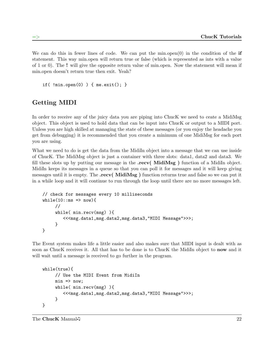We can do this in fewer lines of code. We can put the min.open $(0)$  in the condition of the if statement. This way min.open will return true or false (which is represented as ints with a value of 1 or 0). The ! will give the opposite return value of min.open. Now the statement will mean if min.open doesn't return true then exit. Yeah?

```
if( !min.open(0) ) { me.exit(); }
```
#### Getting MIDI

In order to receive any of the juicy data you are piping into ChucK we need to ceate a MidiMsg object. This object is used to hold data that can be input into ChucK or output to a MIDI port. Unless you are high skilled at managing the state of these messages (or you enjoy the headache you get from debugging) it is recommended that you create a minimum of one MidiMsg for each port you are using.

What we need to do is get the data from the Midiln object into a message that we can use inside of ChucK. The MidiMsg object is just a container with three slots: data1, data2 and data3. We fill these slots up by putting our message in the **.recv(** MidiMsg ) function of a MidiIn object. MidiIn keeps its messages in a queue so that you can poll it for messages and it will keep giving messages until it is empty. The .recv( MidiMsg ) function returns true and false so we can put it in a while loop and it will continue to run through the loop until there are no more messages left.

```
// check for messages every 10 milliseconds
while(10::ms => now){
     //
     while( min.recv(msg) ){
        <<<msg.data1,msg.data2,msg.data3,"MIDI Message">>>;
     }
}
```
The Event system makes life a little easier and also makes sure that MIDI input is dealt with as soon as ChucK receives it. All that has to be done is to ChucK the Midiln object to **now** and it will wait until a message is received to go further in the program.

```
while(true){
     // Use the MIDI Event from MidiIn
     min => now;
     while( min.recv(msg) ){
        <<<msg.data1,msg.data2,msg.data3,"MIDI Message">>>;
     }
}
```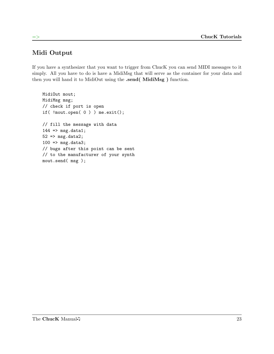### Midi Output

If you have a synthesizer that you want to trigger from ChucK you can send MIDI messages to it simply. All you have to do is have a MidiMsg that will serve as the container for your data and then you will hand it to MidiOut using the .send( MidiMsg) function.

```
MidiOut mout;
MidiMsg msg;
// check if port is open
if( !mout.open( 0 ) ) me.exit();
// fill the message with data
144 => msg.data1;
52 \Rightarrow msg.data2;100 \Rightarrow \text{msg.data3};// bugs after this point can be sent
// to the manufacturer of your synth
mout.send( msg );
```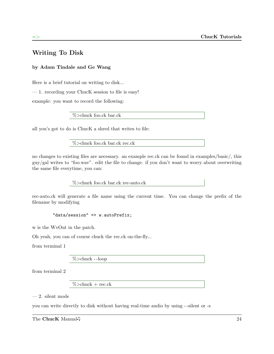#### Writing To Disk

#### <span id="page-32-0"></span>by Adam Tindale and Ge Wang

Here is a brief tutorial on writing to disk...

— 1. recording your ChucK session to file is easy!

example: you want to record the following:

%>chuck foo.ck bar.ck

all you's got to do is ChucK a shred that writes to file:

%>chuck foo.ck bar.ck rec.ck

no changes to existing files are necessary. an example rec.ck can be found in examples/basic/, this guy/gal writes to "foo.wav". edit the file to change. if you don't want to worry about overwriting the same file everytime, you can:

%>chuck foo.ck bar.ck rec-auto.ck

rec-auto.ck will generate a file name using the current time. You can change the prefix of the filename by modifying

```
"data/session" => w.autoPrefix;
```
w is the WvOut in the patch.

Oh yeah, you can of course chuck the rec.ck on-the-fly...

from terminal 1

%>chuck - -loop

from terminal 2

 $% >$ chuck + rec.ck

 $-2.$  silent mode

you can write directly to disk without having real-time audio by using - -silent or -s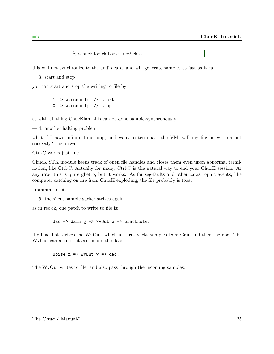%>chuck foo.ck bar.ck rec2.ck -s

this will not synchronize to the audio card, and will generate samples as fast as it can.

— 3. start and stop

you can start and stop the writing to file by:

 $1 \Rightarrow w$ . record; // start  $0 \Rightarrow$  w.record; // stop

as with all thing ChucKian, this can be done sample-synchronously.

— 4. another halting problem

what if I have infinite time loop, and want to terminate the VM, will my file be written out correctly? the answer:

Ctrl-C works just fine.

ChucK STK module keeps track of open file handles and closes them even upon abnormal termination, like Ctrl-C. Actually for many, Ctrl-C is the natural way to end your ChucK session. At any rate, this is quite ghetto, but it works. As for seg-faults and other catastrophic events, like computer catching on fire from ChucK exploding, the file probably is toast.

hmmmm, toast...

— 5. the silent sample sucker strikes again

as in rec.ck, one patch to write to file is:

dac => Gain  $g$  => WvOut  $w$  => blackhole;

the blackhole drives the WvOut, which in turns sucks samples from Gain and then the dac. The WvOut can also be placed before the dac:

Noise  $n \Rightarrow Wv0$ ut  $w \Rightarrow$  dac;

The WvOut writes to file, and also pass through the incoming samples.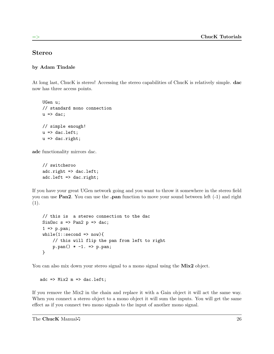#### Stereo

#### <span id="page-34-0"></span>by Adam Tindale

At long last, ChucK is stereo! Accessing the stereo capabilities of ChucK is relatively simple. dac now has three access points.

UGen u; // standard mono connection  $u \Rightarrow$  dac; // simple enough!  $u \Rightarrow$  dac.left;  $u \Rightarrow$  dac.right;

adc functionality mirrors dac.

// switcheroo adc.right => dac.left; adc.left => dac.right;

If you have your great UGen network going and you want to throw it somewhere in the stereo field you can use **Pan2**. You can use the **pan** function to move your sound between left  $(-1)$  and right (1).

```
// this is a stereo connection to the dac
SinOsc s \Rightarrow Pan2 p \Rightarrow dac;
1 \Rightarrow p.pan;while(1::second \Rightarrow now)// this will flip the pan from left to right
     p.pan() * -1. \Rightarrow p.pan;}
```
You can also mix down your stereo signal to a mono signal using the Mix2 object.

 $\text{adc} \Rightarrow \text{Mix2 m} \Rightarrow \text{dac}.\text{left};$ 

If you remove the Mix2 in the chain and replace it with a Gain object it will act the same way. When you connect a stereo object to a mono object it will sum the inputs. You will get the same effect as if you connect two mono signals to the input of another mono signal.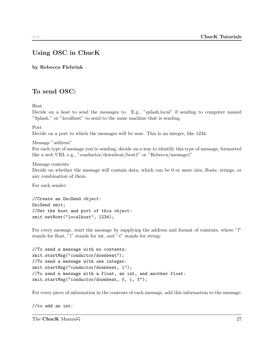#### Using OSC in ChucK

<span id="page-35-0"></span>by Rebecca Fiebrink

#### To send OSC:

Host

Decide on a host to send the messages to. E.g., "splash.local" if sending to computer named "Splash," or "localhost" to send to the same machine that is sending.

Port

Decide on a port to which the messages will be sent. This is an integer, like 1234.

Message "address" For each type of message you're sending, decide on a way to identify this type of message, formatted like a web URL e.g., "conductor/downbeat/beat1" or "Rebecca/message1"

Message contents

Decide on whether the message will contain data, which can be 0 or more ints, floats, strings, or any combination of them.

For each sender:

//Create an OscSend object: OscSend xmit; //Set the host and port of this object: xmit.setHost("localhost", 1234);

For every message, start the message by supplying the address and format of contents, where "f" stands for float, "i" stands for int, and "s" stands for string:

```
//To send a message with no contents:
xmit.startMsg("conductor/downbeat");
//To send a message with one integer:
xmit.startMsg("conductor/downbeat, i");
//To send a message with a float, an int, and another float:
xmit.startMsg("conductor/downbeat, f, i, f");
```
For every piece of information in the contents of each message, add this information to the message:

//to add an int:

The ChucK Manual 27 27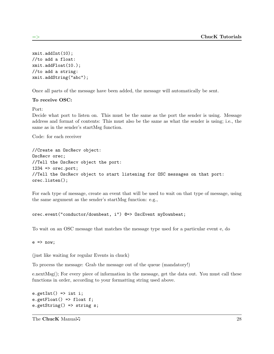```
xmit.addInt(10);
//to add a float:
xmit.addFloat(10.);
//to add a string:
xmit.addString("abc");
```
Once all parts of the message have been added, the message will automatically be sent.

#### To receive OSC:

Port:

Decide what port to listen on. This must be the same as the port the sender is using. Message address and format of contents: This must also be the same as what the sender is using; i.e., the same as in the sender's startMsg function.

Code: for each receiver

```
//Create an OscRecv object:
OscRecv orec;
//Tell the OscRecv object the port:
1234 => orec.port;
//Tell the OscRecv object to start listening for OSC messages on that port:
orec.listen();
```
For each type of message, create an event that will be used to wait on that type of message, using the same argument as the sender's startMsg function: e.g.,

```
orec.event("conductor/downbeat, i") @=> OscEvent myDownbeat;
```
To wait on an OSC message that matches the message type used for a particular event e, do

 $e \Rightarrow now;$ 

(just like waiting for regular Events in chuck)

To process the message: Grab the message out of the queue (mandatory!)

e.nextMsg(); For every piece of information in the message, get the data out. You must call these functions in order, according to your formatting string used above.

```
e.getInt() => int i;
e.getFloat() => float f;
e.getString() => string s;
```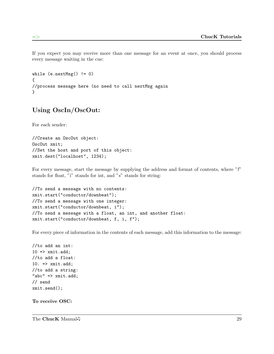If you expect you may receive more than one message for an event at once, you should process every message waiting in the cue:

```
while (e.nextMsg() != 0){
//process message here (no need to call nextMsg again
}
```
### Using OscIn/OscOut:

For each sender:

//Create an OscOut object: OscOut xmit; //Set the host and port of this object: xmit.dest("localhost", 1234);

For every message, start the message by supplying the address and format of contents, where "f" stands for float, "i" stands for int, and "s" stands for string:

```
//To send a message with no contents:
xmit.start("conductor/downbeat");
//To send a message with one integer:
xmit.start("conductor/downbeat, i");
//To send a message with a float, an int, and another float:
xmit.start("conductor/downbeat, f, i, f");
```
For every piece of information in the contents of each message, add this information to the message:

```
//to add an int:
10 \Rightarrow xmit.add;//to add a float:
10. => xmit.add;
//to add a string:
"abc" => xmit.add;
// send
xmit.send();
```
To receive OSC: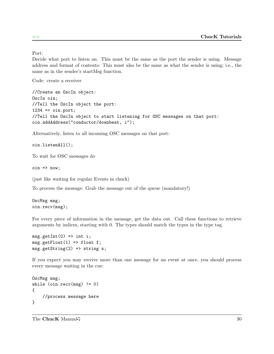Port:

Decide what port to listen on. This must be the same as the port the sender is using. Message address and format of contents: This must also be the same as what the sender is using; i.e., the same as in the sender's startMsg function.

Code: create a receiver

//Create an OscIn object: OscIn oin; //Tell the OscIn object the port:  $1234$  =>  $oin.port;$ //Tell the OscIn object to start listening for OSC messages on that port: oin.addAddress("conductor/downbeat, i");

Alternatively, listen to all incoming OSC messages on that port:

oin.listenAll();

To wait for OSC messages do

 $\sin$  =>  $\cos$ ;

(just like waiting for regular Events in chuck)

To process the message: Grab the message out of the queue (mandatory!)

OscMsg msg; oin.recv(msg);

For every piece of information in the message, get the data out. Call these functions to retrieve arguments by indices, starting with 0. The types should match the types in the type tag.

 $msg.getInt(0) \Rightarrow int i;$  $msg.getFloat(1) \Rightarrow float f;$ msg.getString(2) => string s;

If you expect you may receive more than one message for an event at once, you should process every message waiting in the cue:

```
OscMsg msg;
while (oin.recv(msg) != 0){
    //process message here
}
```
The ChucK Manual 5 30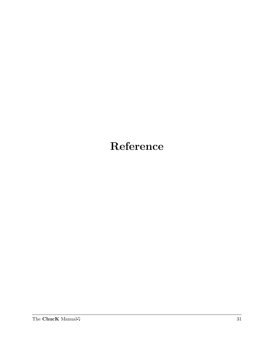# Reference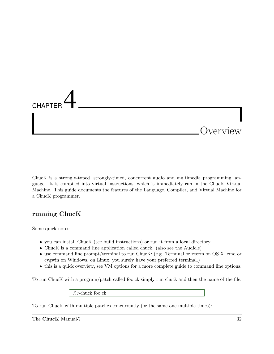

ChucK is a strongly-typed, strongly-timed, concurrent audio and multimedia programming language. It is compiled into virtual instructions, which is immediately run in the ChucK Virtual Machine. This guide documents the features of the Language, Compiler, and Virtual Machine for a ChucK programmer.

# running ChucK

Some quick notes:

- you can install ChucK (see build instructions) or run it from a local directory.
- ChucK is a command line application called chuck. (also see the Audicle)
- use command line prompt/terminal to run ChucK: (e.g. Terminal or xterm on OS X, cmd or cygwin on Windows, on Linux, you surely have your preferred terminal.)
- this is a quick overview, see VM options for a more complete guide to command line options.

To run ChucK with a program/patch called foo.ck simply run chuck and then the name of the file:

%>chuck foo.ck

To run ChucK with multiple patches concurrently (or the same one multiple times):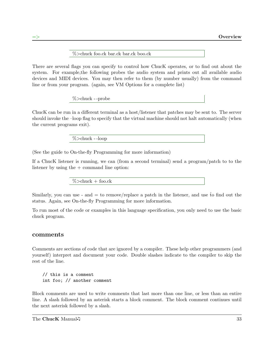%>chuck foo.ck bar.ck bar.ck boo.ck

There are several flags you can specify to control how ChucK operates, or to find out about the system. For example,the following probes the audio system and prints out all available audio devices and MIDI devices. You may then refer to them (by number usually) from the command line or from your program. (again, see VM Options for a complete list)

%>chuck - -probe

ChucK can be run in a different terminal as a host/listener that patches may be sent to. The server should invoke the –loop flag to specify that the virtual machine should not halt automatically (when the current programs exit).

%>chuck - -loop

(See the guide to On-the-fly Programming for more information)

If a ChucK listener is running, we can (from a second terminal) send a program/patch to to the listener by using the  $+$  command line option:

 $% >$ chuck + foo.ck

Similarly, you can use - and  $=$  to remove/replace a patch in the listener, and use to find out the status. Again, see On-the-fly Programming for more information.

To run most of the code or examples in this language specification, you only need to use the basic chuck program.

#### comments

Comments are sections of code that are ignored by a compiler. These help other programmers (and yourself) interpret and document your code. Double slashes indicate to the compiler to skip the rest of the line.

// this is a comment int foo; // another comment

Block comments are used to write comments that last more than one line, or less than an entire line. A slash followed by an asterisk starts a block comment. The block comment continues until the next asterisk followed by a slash.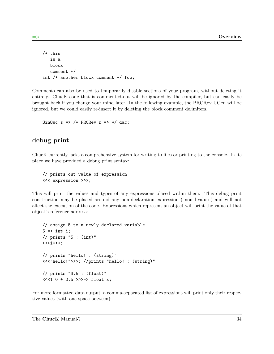```
/* this
   is a
   block
   comment */
int /* another block comment */ foo;
```
Comments can also be used to temporarily disable sections of your program, without deleting it entirely. ChucK code that is commented-out will be ignored by the compiler, but can easily be brought back if you change your mind later. In the following example, the PRCRev UGen will be ignored, but we could easily re-insert it by deleting the block comment delimiters.

SinOsc s => /\* PRCRev  $r$  => \*/ dac;

### debug print

ChucK currently lacks a comprehensive system for writing to files or printing to the console. In its place we have provided a debug print syntax:

// prints out value of expression <<< expression >>>;

This will print the values and types of any expressions placed within them. This debug print construction may be placed around any non-declaration expression ( non l-value ) and will not affect the execution of the code. Expressions which represent an object will print the value of that object's reference address:

```
// assign 5 to a newly declared variable
5 \Rightarrow int i;
// prints "5 : (int)"
<<<i>>>;
// prints "hello! : (string)"
<<<"hello!">>>; //prints "hello! : (string)"
// prints "3.5 : (float)"
<<1.0 + 2.5 >>>=> float x;
```
For more formatted data output, a comma-separated list of expressions will print only their respective values (with one space between):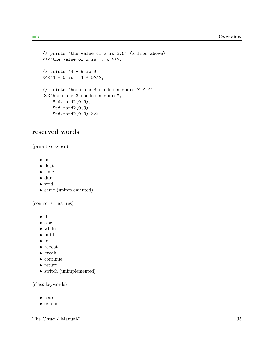```
// prints "the value of x is 3.5" (x from above)
<<"the value of x is", x >>>;
// prints "4 + 5 is 9"
<<"4 + 5 is", 4 + 5>>>;
// prints "here are 3 random numbers ? ? ?"
<<<"here are 3 random numbers",
    Std.rand2(0,9),
    Std.rand2(0,9),
    Std.rand2(0,9) >>>;
```
#### reserved words

(primitive types)

- int
- float
- time
- dur
- void
- same (unimplemented)

(control structures)

- if
- else
- while
- until
- for
- repeat
- break
- continue
- $\bullet\,$  return
- switch (unimplemented)

(class keywords)

- class
- extends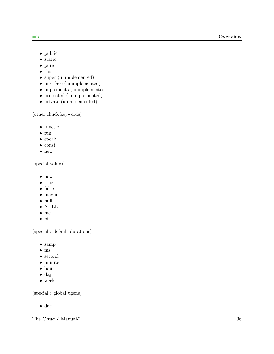- $\Rightarrow$ 
	- public
	- static
	- pure
	- $\bullet\,$  this
	- super (unimplemented)
	- interface (unimplemented)
	- implements (unimplemented)
	- protected (unimplemented)
	- private (unimplemented)

(other chuck keywords)

- function
- $\bullet\,$  fun
- spork
- const
- new

(special values)

- now
- true
- false
- maybe
- null
- NULL
- me
- pi

(special : default durations)

- samp
- ms
- second
- minute
- hour
- day
- week

(special : global ugens)

• dac

The ChucK Manual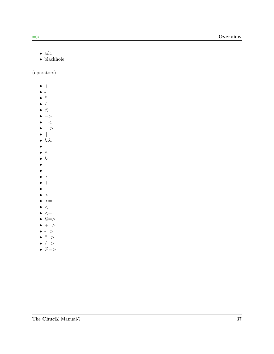- $\Rightarrow$ 
	- $\bullet\,$ adc
	- $\bullet\,$ blackhole

(operators)

- $\bullet$  +
- $\bullet$  -
- $\bullet$  \*
- $\bullet$  /
- $\bullet$  %
- $\bullet$   $\Rightarrow$
- $\bullet$  =<
- $\bullet$   $!=>$
- || •  $&&$
- $\bullet =$
- ∧
- $\bullet$  &
- $\bullet$
- $\bullet$
- $\bullet$  ::
- $\bullet$  ++
- $\bullet$   $--$
- $\bullet$  >
- $\bullet$  >=
- $\bullet$  <  $\bullet$   $<=$
- $\bullet$   $@=\gt$
- $\bullet$  +=>
- $\bullet$  -=>
- $\bullet$  \*=>
- $\bullet$  /=>
- $\bullet \times \rightarrow$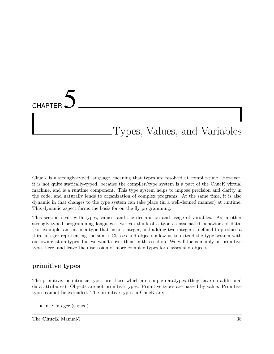# **CHAPTER** Types, Values, and Variables

ChucK is a strongly-typed language, meaning that types are resolved at compile-time. However, it is not quite statically-typed, because the compiler/type system is a part of the ChucK virtual machine, and is a runtime component. This type system helps to impose precision and clarity in the code, and naturally lends to organization of complex programs. At the same time, it is also dynamic in that changes to the type system can take place (in a well-defined manner) at runtime. This dynamic aspect forms the basis for on-the-fly programming.

This section deals with types, values, and the declaration and usage of variables. As in other strongly-typed programming languages, we can think of a type as associated behaviors of data. (For example, an 'int' is a type that means integer, and adding two integer is defined to produce a third integer representing the sum.) Classes and objects allow us to extend the type system with our own custom types, but we won't cover them in this section. We will focus mainly on primitive types here, and leave the discussion of more complex types for classes and objects.

### primitive types

The primitive, or intrinsic types are those which are simple datatypes (they have no additional data attributes). Objects are not primitive types. Primitive types are passed by value. Primitive types cannot be extended. The primitive types in ChucK are:

• int : integer (signed)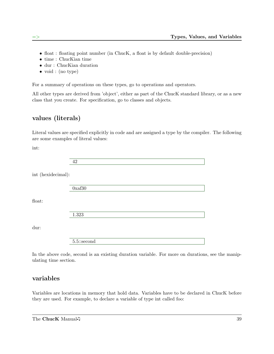- float : floating point number (in ChucK, a float is by default double-precision)
- time : ChucKian time
- dur : ChucKian duration
- void : (no type)

For a summary of operations on these types, go to operations and operators.

All other types are derived from 'object', either as part of the ChucK standard library, or as a new class that you create. For specification, go to classes and objects.

# values (literals)

Literal values are specified explicitly in code and are assigned a type by the compiler. The following are some examples of literal values:

int:

int (hexidecimal):

0xaf30

float:

1.323

dur:

5.5::second

In the above code, second is an existing duration variable. For more on durations, see the manipulating time section.

### variables

Variables are locations in memory that hold data. Variables have to be declared in ChucK before they are used. For example, to declare a variable of type int called foo: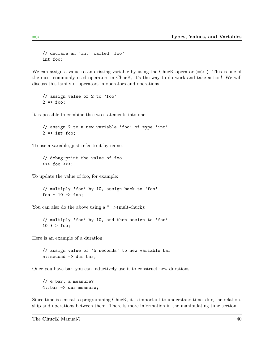```
// declare an 'int' called 'foo'
int foo;
```
We can assign a value to an existing variable by using the ChucK operator  $(=>)$ . This is one of the most commonly used operators in ChucK, it's the way to do work and take action! We will discuss this family of operators in operators and operations.

```
// assign value of 2 to 'foo'
2 \Rightarrow foo;
```
It is possible to combine the two statements into one:

// assign 2 to a new variable 'foo' of type 'int'  $2 \Rightarrow$  int foo;

To use a variable, just refer to it by name:

// debug-print the value of foo <<< foo >>>;

To update the value of foo, for example:

// multiply 'foo' by 10, assign back to 'foo' foo  $* 10 \Rightarrow$  foo;

You can also do the above using a  $*=>(\text{mult-chuck})$ :

// multiply 'foo' by 10, and then assign to 'foo' 10 \*=> foo;

Here is an example of a duration:

// assign value of '5 seconds' to new variable bar  $5::second$  => dur bar;

Once you have bar, you can inductively use it to construct new durations:

// 4 bar, a measure?  $4::bar \Rightarrow dur measure;$ 

Since time is central to programming ChucK, it is important to understand time, dur, the relationship and operations between them. There is more information in the manipulating time section.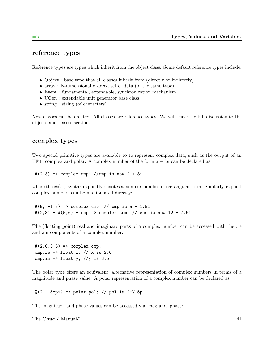# reference types

Reference types are types which inherit from the object class. Some default reference types include:

- Object : base type that all classes inherit from (directly or indirectly)
- array : N-dimensional ordered set of data (of the same type)
- Event : fundamental, extendable, synchronization mechanism
- UGen : extendable unit generator base class
- string : string (of characters)

New classes can be created. All classes are reference types. We will leave the full discussion to the objects and classes section.

#### complex types

Two special primitive types are available to to represent complex data, such as the output of an FFT: complex and polar. A complex number of the form a + bi can be declared as

 $\#(2,3)$  => complex cmp; //cmp is now  $2 + 3i$ 

where the  $\#(...)$  syntax explicitly denotes a complex number in rectangular form. Similarly, explicit complex numbers can be manipulated directly:

 $\#(5, -1.5)$  => complex cmp; // cmp is  $5 - 1.5i$  $\#(2,3) + \#(5,6) + \text{cmp} \implies \text{complex sum}; // sum is now 12 + 7.5i$ 

The (floating point) real and imaginary parts of a complex number can be accessed with the .re and .im components of a complex number:

```
#(2.0, 3.5) => complex cmp;
cmp.re => float x; // x is 2.0
cmp.im => float y; //y is 3.5
```
The polar type offers an equivalent, alternative representation of complex numbers in terms of a magnitude and phase value. A polar representation of a complex number can be declared as

 $\%/2, .5*pi$  => polar pol; // pol is 2-V.5p

The magnitude and phase values can be accessed via .mag and .phase: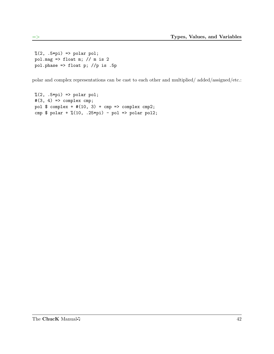```
% (2, .5*pi) => polar pol;
pol.mag \Rightarrow float m; // m is 2
pol.phase => float p; //p is .5p
```
polar and complex representations can be cast to each other and multiplied/ added/assigned/etc.:

```
% (2, .5*pi) => polar pol;
#(3, 4) => complex cmp;
pol \text{\$ complex +#(10, 3) + cmp \Rightarrow complex cmp2;}cmp $ polar + \frac{6}{10}, .25*pi) - pol => polar pol2;
```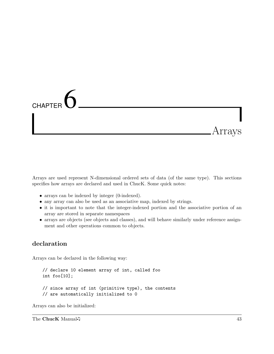# **CHAPTER** Arrays

Arrays are used represent N-dimensional ordered sets of data (of the same type). This sections specifies how arrays are declared and used in ChucK. Some quick notes:

- arrays can be indexed by integer (0-indexed).
- any array can also be used as an associative map, indexed by strings.
- it is important to note that the integer-indexed portion and the associative portion of an array are stored in separate namespaces
- arrays are objects (see objects and classes), and will behave similarly under reference assignment and other operations common to objects.

#### declaration

Arrays can be declared in the following way:

```
// declare 10 element array of int, called foo
int foo[10];
// since array of int (primitive type), the contents
// are automatically initialized to 0
```
Arrays can also be initialized: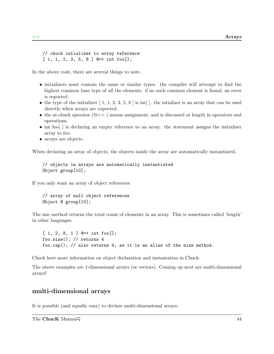```
// chuck intializer to array reference
[1, 1, 2, 3, 5, 8] Q=> int foo[];
```
In the above code, there are several things to note.

- initializers must contain the same or similar types. the compiler will attempt to find the highest common base type of all the elements. if no such common element is found, an error is reported.
- the type of the initializer  $[1, 1, 2, 3, 5, 8]$  is int $[$ . the initializer is an array that can be used directly when arrays are expected.
- the at-chuck operator  $(\mathbb{Q} \Longrightarrow)$  means assignment, and is discussed at length in operators and operations.
- int foo[] is declaring an empty reference to an array. the statement assigns the initializer array to foo.
- arrays are objects.

When declaring an array of objects, the objects inside the array are automatically instantiated.

```
// objects in arrays are automatically instantiated
Object group[10];
```
If you only want an array of object references:

```
// array of null object references
Object @ group[10];
```
The size method returns the total count of elements in an array. This is sometimes called 'length' in other languages.

```
[1, 2, 8, 1] Q=> int foo[];
foo.size(); // returns 4
foo.cap(); // also returns 4, as it is an alias of the size method.
```
Check here more information on object declaration and instantation in Chuck.

The above examples are 1-dimensional arrays (or vectors). Coming up next are multi-dimensional arrays!

#### multi-dimensional arrays

It is possible (and equally easy) to declare multi-dimensional arrays: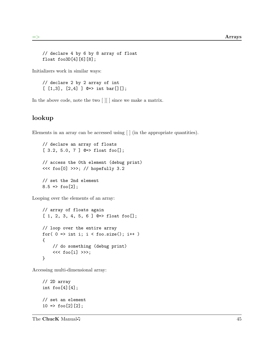```
// declare 4 by 6 by 8 array of float
float foo3D[4][6][8];
```
Initializers work in similar ways:

```
// declare 2 by 2 array of int
[1,3], [2,4] ] @\Rightarrow int bar[] [];
```
In the above code, note the two [ ][ ] since we make a matrix.

#### lookup

Elements in an array can be accessed using [ ] (in the appropriate quantities).

```
// declare an array of floats
[ 3.2, 5.0, 7 ] @=> float foo[];
// access the 0th element (debug print)
<<< foo[0] >>>; // hopefully 3.2
// set the 2nd element
8.5 \Rightarrow foo[2];
```
Looping over the elements of an array:

```
// array of floats again
[1, 2, 3, 4, 5, 6] Q \Rightarrow float foo[];
// loop over the entire array
for( 0 \Rightarrow int i; i < foo.size(); i++ )
{
    // do something (debug print)
    <<< foo[i] >>>;
}
```
Accessing multi-dimensional array:

```
// 2D array
int foo[4][4];// set an element
10 \Rightarrow f \circ [2][2];
```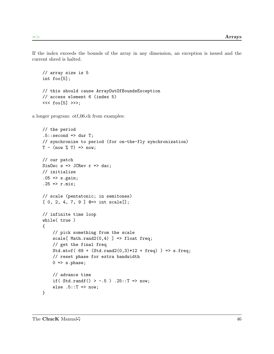If the index exceeds the bounds of the array in any dimension, an exception is issued and the current shred is halted.

```
// array size is 5
int foo[5];
// this should cause ArrayOutOfBoundsException
// access element 6 (index 5)
<< foo[5] >>>;
```
a longer program: otf<sub>-06.ck</sub> from examples:

```
// the period
.5::second => dur T;
// synchronize to period (for on-the-fly synchronization)
T - (\text{now } %T) \Rightarrow now;// our patch
SinOsc s \Rightarrow JCRev r \Rightarrow dac;
// initialize
.05 => s.gain;
.25 => r.mix;// scale (pentatonic; in semitones)
[0, 2, 4, 7, 9] @\Rightarrow int scale[];
// infinite time loop
while( true )
{
    // pick something from the scale
    scale[ Math.rand2(0,4) ] => float freq;
    // get the final freq
    Std.mtof( 69 + (Std.random2(0,3)*12 + freq) ) => s.freq;
    // reset phase for extra bandwidth
    0 \Rightarrow s.phase;
    // advance time
    if( Std.randf() > -.5 ) .25::T => now;
    else .5::T => now;
}
```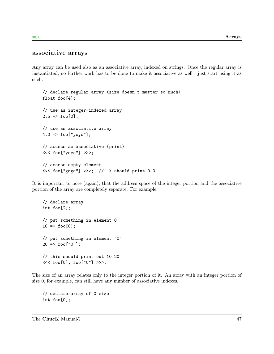#### associative arrays

Any array can be used also as an associative array, indexed on strings. Once the regular array is instantiated, no further work has to be done to make it associative as well - just start using it as such.

```
// declare regular array (size doesn't matter so much)
float foo[4];
// use as integer-indexed array
2.5 => foo[0];
// use as associative array
4.0 => foo["yoyo"];
// access as associative (print)
<<< foo["yoyo"] >>>;
// access empty element
<<< foo["gaga"] >>>; // -> should print 0.0
```
It is important to note (again), that the address space of the integer portion and the associative portion of the array are completely separate. For example:

```
// declare array
int foo[2];
// put something in element 0
10 \Rightarrow f \circ [0];// put something in element "0"
20 \Rightarrow foo["0"];
// this should print out 10 20
<<< foo[0], foo["0"] >>>;
```
The size of an array relates only to the integer portion of it. An array with an integer portion of size 0, for example, can still have any number of associative indexes.

// declare array of 0 size int foo[0];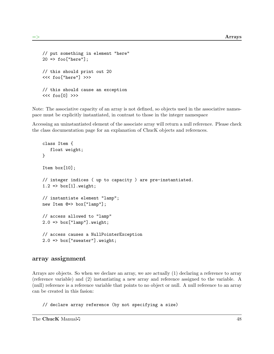```
// put something in element "here"
20 => foo["here"];
// this should print out 20
<<< foo["here"] >>>
// this should cause an exception
<<< foo[0] >>>
```
Note: The associative capacity of an array is not defined, so objects used in the associative namespace must be explicitly instantiated, in contrast to those in the integer namespace

Accessing an uninstantiated element of the associate array will return a null reference. Please check the class documentation page for an explanation of ChucK objects and references.

```
class Item {
   float weight;
}
Item box[10];
// integer indices ( up to capacity ) are pre-instantiated.
1.2 => box[1].weight;// instantiate element "lamp";
new Item @=> box["lamp"];
// access allowed to "lamp"
2.0 => box["lamp"].weight;
// access causes a NullPointerException
2.0 => box["sweater"].weight;
```
#### array assignment

Arrays are objects. So when we declare an array, we are actually (1) declaring a reference to array (reference variable) and (2) instantiating a new array and reference assigned to the variable. A (null) reference is a reference variable that points to no object or null. A null reference to an array can be created in this fasion:

// declare array reference (by not specifying a size)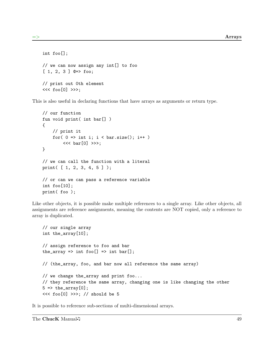```
int foo[];
// we can now assign any int[] to foo
[1, 2, 3] @=> foo;
// print out 0th element
<<< foo[0] >>>;
```
This is also useful in declaring functions that have arrays as arguments or return type.

```
// our function
fun void print( int bar[] )
{
    // print it
    for( 0 \Rightarrow int i; i < bar.size(); i++ )
        << bar[0] >>>;
}
// we can call the function with a literal
print( [ 1, 2, 3, 4, 5 ] );
// or can we can pass a reference variable
int foo[10];
print( foo );
```
Like other objects, it is possible make multiple references to a single array. Like other objects, all assignments are reference assignments, meaning the contents are NOT copied, only a reference to array is duplicated.

```
// our single array
int the_array[10];
// assign reference to foo and bar
the_array => int foo[] => int bar[];
// (the_array, foo, and bar now all reference the same array)
// we change the_array and print foo...
// they reference the same array, changing one is like changing the other
5 \Rightarrow the_array[0];
<<< foo[0] >>>; // should be 5
```
It is possible to reference sub-sections of multi-dimensional arrays.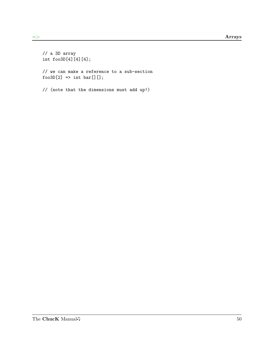```
// a 3D array
int foo3D[4][4][4];
// we can make a reference to a sub-section
foo3D[2] \Rightarrow int bar[][];
// (note that the dimensions must add up!)
```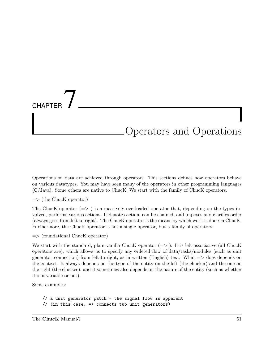# **CHAPTER** Operators and Operations

Operations on data are achieved through operators. This sections defines how operators behave on various datatypes. You may have seen many of the operators in other programming languages (C/Java). Some others are native to ChucK. We start with the family of ChucK operators.

 $\Rightarrow$  (the Chuck operator)

The ChucK operator  $(=>)$  is a massively overloaded operator that, depending on the types involved, performs various actions. It denotes action, can be chained, and imposes and clarifies order (always goes from left to right). The ChucK operator is the means by which work is done in ChucK. Furthermore, the ChucK operator is not a single operator, but a family of operators.

 $\Rightarrow$  (foundational Chuck operator)

We start with the standard, plain-vanilla ChucK operator  $(=)$ ). It is left-associative (all ChucK operators are), which allows us to specify any ordered flow of data/tasks/modules (such as unit generator connection) from left-to-right, as in written (English) text. What  $\Rightarrow$  does depends on the context. It always depends on the type of the entity on the left (the chucker) and the one on the right (the chuckee), and it sometimes also depends on the nature of the entity (such as whether it is a variable or not).

Some examples:

// a unit generator patch - the signal flow is apparent // (in this case, => connects two unit generators)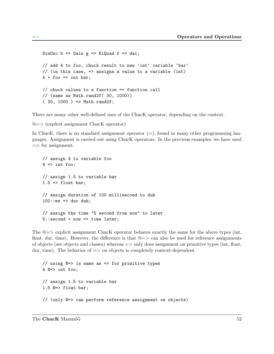```
SinOsc b \Rightarrow Gain g \Rightarrow BiQuad f \Rightarrow dac;
// add 4 to foo, chuck result to new 'int' variable 'bar'
// (in this case, => assigns a value to a variable (int)
4 + foo => int bar;
// chuck values to a function == function call
// (same as Math.rand2f( 30, 1000))
( 30, 1000 ) => Math.rand2f;
```
There are many other well-defined uses of the ChucK operator, depending on the context.

@=> (explicit assignment ChucK operator)

In ChucK, there is no standard assignment operator  $(=)$ , found in many other programming languages. Assignment is carried out using ChucK operators. In the previous examples, we have used  $\Rightarrow$  for assignment:

```
// assign 4 to variable foo
4 \Rightarrow int foo;// assign 1.5 to variable bar
1.5 => float bar;
// assign duration of 100 millisecond to duh
100::ms => dur duh;
// assign the time "5 second from now" to later
5::second + now => time later;
```
The  $@=>$  explicit assignment ChucK operator behaves exactly the same for the above types (int, float, dur, time). However, the difference is that  $@>$  can also be used for reference assignments of objects (see objects and classes) whereas  $\Rightarrow$  only does assignment on primitive types (int, float, dur, time). The behavior of  $\Rightarrow$  on objects is completely context-dependent.

```
// using @=> is same as => for primitive types
4 @=> int foo;
// assign 1.5 to variable bar
1.5 @=> float bar;
// (only @=> can perform reference assignment on objects)
```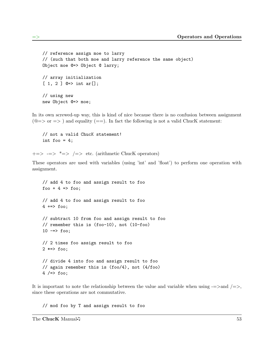```
// reference assign moe to larry
// (such that both moe and larry reference the same object)
Object moe @=> Object @ larry;
// array initialization
[ 1, 2 ] Q=> int ar[];
// using new
new Object @=> moe;
```
In its own screwed-up way, this is kind of nice because there is no confusion between assignment  $(@=> or => )$  and equality  $(==)$ . In fact the following is not a valid ChucK statement:

// not a valid ChucK statement! int foo =  $4$ ;

 $\Rightarrow$   $\Rightarrow$   $\Rightarrow$   $\Rightarrow$   $\Rightarrow$   $\Rightarrow$  etc. (arithmetic Chuck operators)

These operators are used with variables (using 'int' and 'float') to perform one operation with assignment.

```
// add 4 to foo and assign result to foo
foo + 4 => too;// add 4 to foo and assign result to foo
4 +=> foo;
// subtract 10 from foo and assign result to foo
// remember this is (foo-10), not (10-foo)
10 \rightarrow \neq foo;
// 2 times foo assign result to foo
2 *=> foo;
// divide 4 into foo and assign result to foo
// again remember this is (foo/4), not (4/foo)
4 / = > foo;
```
It is important to note the relationship between the value and variable when using  $=$ >and  $/=$ >, since these operations are not commutative.

// mod foo by T and assign result to foo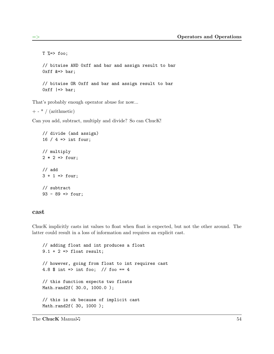```
T %=> foo;
// bitwise AND 0xff and bar and assign result to bar
0xff k \Rightarrow bar;
// bitwise OR 0xff and bar and assign result to bar
0xff |=> bar;
```
That's probably enough operator abuse for now...

 $+$  -  $*$  / (arithmetic)

Can you add, subtract, multiply and divide? So can ChucK!

```
// divide (and assign)
16 / 4 => int four;
// multiply
2 * 2 \Rightarrow four;
// add
3 + 1 \implies four;
// subtract
93 - 89 => four;
```
#### cast

ChucK implicitly casts int values to float when float is expected, but not the other around. The latter could result in a loss of information and requires an explicit cast.

```
// adding float and int produces a float
9.1 + 2 \Rightarrow float result;
// however, going from float to int requires cast
4.8 $ int => int foo; // foo == 4
// this function expects two floats
Math.rand2f( 30.0, 1000.0 );
// this is ok because of implicit cast
Math.rand2f ( 30, 1000 );
```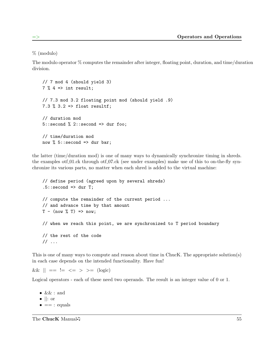% (modulo)

The modulo operator % computes the remainder after integer, floating point, duration, and time/duration division.

```
// 7 mod 4 (should yield 3)
7 % 4 => int result;
// 7.3 mod 3.2 floating point mod (should yield .9)
7.3 % 3.2 => float resultf;
// duration mod
5::second % 2::second => dur foo;
// time/duration mod
now % 5::second => dur bar;
```
the latter (time/duration mod) is one of many ways to dynamically synchronize timing in shreds. the examples ot formulated other other other through other examples) make use of this to on-the-fly synchronize its various parts, no matter when each shred is added to the virtual machine:

```
// define period (agreed upon by several shreds)
.5:: second \Rightarrow dur T;
// compute the remainder of the current period ...
// and advance time by that amount
T - (\text{now } %T) \Rightarrow \text{now};// when we reach this point, we are synchronized to T period boundary
// the rest of the code
// ...
```
This is one of many ways to compute and reason about time in ChucK. The appropriate solution(s) in each case depends on the intended functionality. Have fun!

 $&\&\| == != <= > >= (\text{logic})$ 

Logical operators - each of these need two operands. The result is an integer value of 0 or 1.

- $&\&$  : and
- $\bullet$  ||: or
- $\bullet$  == : equals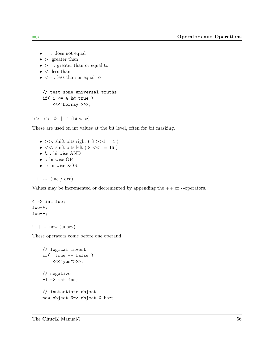- $\bullet \models :$  does not equal
- $\bullet$  >: greater than
- $\bullet \geq \, =$ : greater than or equal to
- $\bullet$   $\lt$ : less than
- $\bullet \leq \cdot$ : less than or equal to

```
// test some universal truths
if( 1 \leq 4 & true )
    <<<"horray">>>;
```
 $>> << \&$  |  $\hat{ }$  (bitwise)

These are used on int values at the bit level, often for bit masking.

- >>: shift bits right ( $8 \gg 1 = 4$ )
- $<<:$  shift bits left (  $8<<1=16$  )
- $\bullet\,$  & : bitwise AND
- |: bitwise OR
- ˆ: bitwise XOR

```
++ - (inc / dec)
```
Values may be incremented or decremented by appending the ++ or - -operators.

```
4 \Rightarrow int foo;
foot+;
foo--;
```

```
! + - new (unary)
```
These operators come before one operand.

```
// logical invert
if( !true == false )
    <<<"yes">>>;
// negative
-1 => int foo;
// instantiate object
new object @=> object @ bar;
```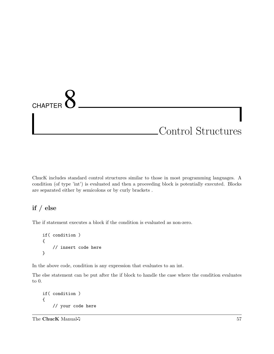# **CHAPTER** Control Structures

ChucK includes standard control structures similar to those in most programming languages. A condition (of type 'int') is evaluated and then a proceeding block is potentially executed. Blocks are separated either by semicolons or by curly brackets .

# if / else

The if statement executes a block if the condition is evaluated as non-zero.

```
if( condition )
{
    // insert code here
}
```
In the above code, condition is any expression that evaluates to an int.

The else statement can be put after the if block to handle the case where the condition evaluates to 0.

```
if( condition )
{
    // your code here
```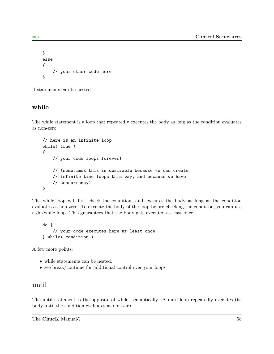```
}
else
{
    // your other code here
}
```
If statements can be nested.

### while

The while statement is a loop that repeatedly executes the body as long as the condition evaluates as non-zero.

```
// here is an infinite loop
while( true )
{
    // your code loops forever!
    // (sometimes this is desirable because we can create
    // infinite time loops this way, and because we have
    // concurrency)
}
```
The while loop will first check the condition, and executes the body as long as the condition evaluates as non-zero. To execute the body of the loop before checking the condition, you can use a do/while loop. This guarantees that the body gets executed as least once.

```
do {
    // your code executes here at least once
} while( condition );
```
A few more points:

- while statements can be nested.
- see break/continue for additional control over your loops

#### until

The until statement is the opposite of while, semantically. A until loop repeatedly executes the body until the condition evaluates as non-zero.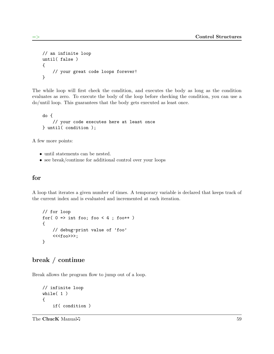```
// an infinite loop
until( false )
{
    // your great code loops forever!
}
```
The while loop will first check the condition, and executes the body as long as the condition evaluates as zero. To execute the body of the loop before checking the condition, you can use a do/until loop. This guarantees that the body gets executed as least once.

```
do {
    // your code executes here at least once
} until( condition );
```
A few more points:

- until statements can be nested.
- see break/continue for additional control over your loops

#### for

A loop that iterates a given number of times. A temporary variable is declared that keeps track of the current index and is evaluated and incremented at each iteration.

```
// for loop
for( 0 \Rightarrow int foo; foo < 4 ; foo++ )
{
    // debug-print value of 'foo'
    <<<foo>>>;
}
```
### break / continue

Break allows the program flow to jump out of a loop.

```
// infinite loop
while( 1 )
{
    if( condition )
```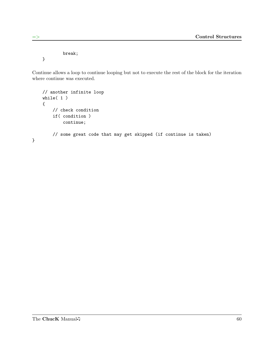break;

}

Continue allows a loop to continue looping but not to execute the rest of the block for the iteration where continue was executed.

```
// another infinite loop
    while( 1 )
    {
        // check condition
        if( condition )
            continue;
        // some great code that may get skipped (if continue is taken)
}
```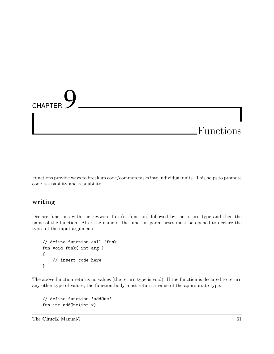# **CHAPTER** Functions

Functions provide ways to break up code/common tasks into individual units. This helps to promote code re-usability and readability.

#### writing

Declare functions with the keyword fun (or function) followed by the return type and then the name of the function. After the name of the function parentheses must be opened to declare the types of the input arguments.

```
// define function call 'funk'
fun void funk( int arg )
{
    // insert code here
}
```
The above function returns no values (the return type is void). If the function is declared to return any other type of values, the function body must return a value of the appropriate type.

```
// define function 'addOne'
fun int addOne(int x)
```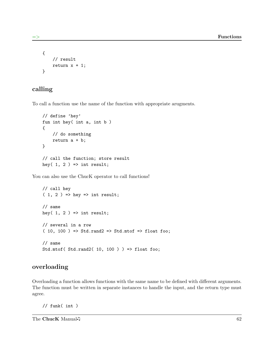```
{
    // result
    return x + 1;
}
```
# calling

To call a function use the name of the function with appropriate arugments.

```
// define 'hey'
fun int hey( int a, int b )
{
    // do something
    return a + b;
}
// call the function; store result
hey( 1, 2 ) => int result;
```
You can also use the ChucK operator to call functions!

```
// call hey
(1, 2) => hey => int result;
// same
hey( 1, 2 ) => int result;
// several in a row
(10, 100) => Std.rand2 => Std.mtof => float foo;
// same
Std.mtof( Std.rand2( 10, 100 ) \Rightarrow float foo;
```
#### overloading

Overloading a function allows functions with the same name to be defined with different arguments. The function must be written in separate instances to handle the input, and the return type must agree.

 $//$  funk( int)

The ChucK Manual  $\sqrt{ }$  62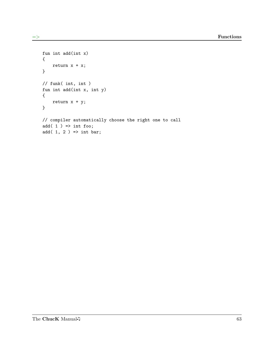```
fun int add(int x)
{
    return x + x;
}
// funk( int, int )
fun int add(int x, int y)
{
    return x + y;
}
// compiler automatically choose the right one to call
add(1) => int foo;
add(1, 2) => int bar;
```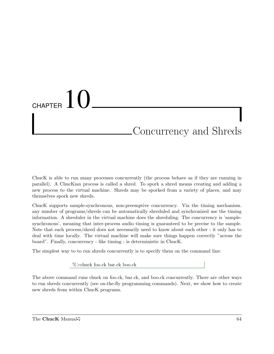## CHAPTER  $10$ Concurrency and Shreds

ChucK is able to run many processes concurrently (the process behave as if they are running in parallel). A ChucKian process is called a shred. To spork a shred means creating and adding a new process to the virtual machine. Shreds may be sporked from a variety of places, and may themselves spork new shreds.

ChucK supports sample-synchronous, non-preemptive concurrency. Via the timing mechanism. any number of programs/shreds can be automatically shreduled and synchronized use the timing information. A shreduler in the virtual machine does the shreduling. The concurrency is 'samplesynchronous', meaning that inter-process audio timing is guaranteed to be precise to the sample. Note that each process/shred does not necessarily need to know about each other - it only has to deal with time locally. The virtual machine will make sure things happen correctly "across the board". Finally, concurrency - like timing - is deterministic in ChucK.

The simplest way to to run shreds concurrently is to specify them on the command line:

%>chuck foo.ck bar.ck boo.ck

The above command runs chuck on foo.ck, bar.ck, and boo.ck concurrently. There are other ways to run shreds concurrently (see on-the-fly programming commands). Next, we show how to create new shreds from within ChucK programs.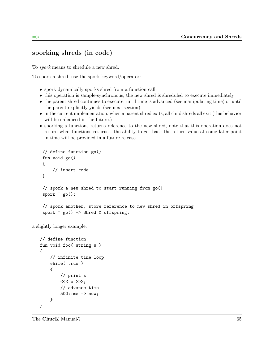## sporking shreds (in code)

To spork means to shredule a new shred.

To spork a shred, use the spork keyword/operator:

- spork dynamically sporks shred from a function call
- this operation is sample-synchronous, the new shred is shreduled to execute immediately
- the parent shred continues to execute, until time is advanced (see manipulating time) or until the parent explicitly yields (see next section).
- in the current implementation, when a parent shred exits, all child shreds all exit (this behavior will be enhanced in the future.)
- sporking a functions returns reference to the new shred, note that this operation does not return what functions returns - the ability to get back the return value at some later point in time will be provided in a future release.

```
// define function go()
fun void go()
{
    // insert code
}
// spork a new shred to start running from go()
spork \degree go();
// spork another, store reference to new shred in offspring
spork \degree go() => Shred @ offspring;
```
a slightly longer example:

```
// define function
fun void foo( string s )
{
    // infinite time loop
    while( true )
    {
        // print s
        << s >>>;
        // advance time
        500::ms => now;
    }
}
```
The ChucK Manual  $\sqrt{5}$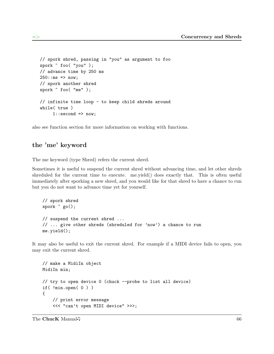```
// spork shred, passing in "you" as argument to foo
spork ~ foo( "you" );
// advance time by 250 ms
250::ms => now;
// spork another shred
spork ~ foo( "me" );
// infinite time loop - to keep child shreds around
while( true )
     1::second => now;
```
also see function section for more information on working with functions.

### the 'me' keyword

The me keyword (type Shred) refers the current shred.

Sometimes it is useful to suspend the current shred without advancing time, and let other shreds shreduled for the current time to execute. me.yield() does exactly that. This is often useful immediately after sporking a new shred, and you would like for that shred to have a chance to run but you do not want to advance time yet for yourself.

```
// spork shred
spork ~ go();
// suspend the current shred ...
// ... give other shreds (shreduled for 'now') a chance to run
me.yield();
```
It may also be useful to exit the current shred. For example if a MIDI device fails to open, you may exit the current shred.

```
// make a MidiIn object
MidiIn min;
// try to open device 0 (chuck --probe to list all device)
if( !min.open( 0 ) )
{
    // print error message
    <<< "can't open MIDI device" >>>;
```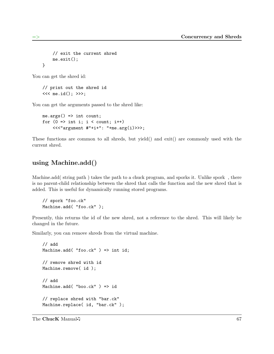```
// exit the current shred
    me.exit();
}
```
You can get the shred id:

```
// print out the shred id
<<< me.id(); >>>;
```
You can get the arguments passed to the shred like:

```
me.argv() => int count;
for (0 \Rightarrow int i; i < count; i++)<<"argument #"+i+": "+me.arg(i)>>>;
```
These functions are common to all shreds, but yield() and exit() are commonly used with the current shred.

## using Machine.add()

Machine.add (string path) takes the path to a chuck program, and sporks it. Unlike spork, there is no parent-child relationship between the shred that calls the function and the new shred that is added. This is useful for dynamically running stored programs.

```
// spork "foo.ck"
Machine.add( "foo.ck" );
```
Presently, this returns the id of the new shred, not a reference to the shred. This will likely be changed in the future.

Similarly, you can remove shreds from the virtual machine.

```
// add
Machine.add( "foo.ck" ) => int id;
// remove shred with id
Machine.remove( id );
// add
Machine.add( "boo.ck" ) => id
// replace shred with "bar.ck"
Machine.replace( id, "bar.ck" );
```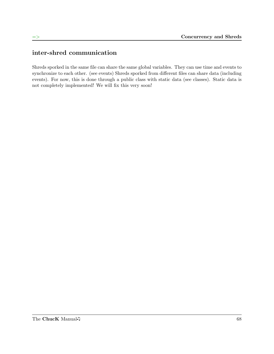## inter-shred communication

Shreds sporked in the same file can share the same global variables. They can use time and events to synchronize to each other. (see events) Shreds sporked from different files can share data (including events). For now, this is done through a public class with static data (see classes). Static data is not completely implemented! We will fix this very soon!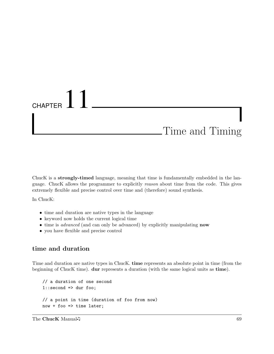## CHAPTER  $11$ Time and Timing

ChucK is a strongly-timed language, meaning that time is fundamentally embedded in the language. ChucK allows the programmer to explicitly reason about time from the code. This gives extremely flexible and precise control over time and (therefore) sound synthesis.

In ChucK:

- time and duration are native types in the language
- keyword now holds the current logical time
- time is *advanced* (and can only be advanced) by explicitly manipulating **now**
- you have flexible and precise control

## time and duration

Time and duration are native types in ChucK. time represents an absolute point in time (from the beginning of ChucK time). dur represents a duration (with the same logical units as time).

```
// a duration of one second
1::second => dur foo;
// a point in time (duration of foo from now)
now + foo => time later;
```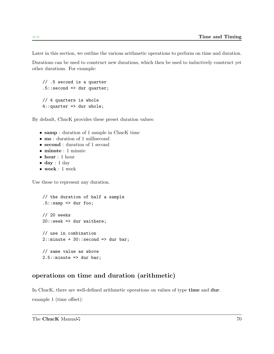Later in this section, we outline the various arithmetic operations to perform on time and duration.

Durations can be used to construct new durations, which then be used to inductively construct yet other durations. For example:

```
// .5 second is a quarter
.5:: second => dur quarter;
// 4 quarters is whole
4::quarter => dur whole;
```
By default, ChucK provides these preset duration values:

- samp : duration of 1 sample in ChucK time
- ms : duration of 1 millisecond
- second : duration of 1 second
- minute : 1 minute
- hour : 1 hour
- $\bullet$  day : 1 day
- week : 1 week

Use these to represent any duration.

```
// the duration of half a sample
.5::sampling \Rightarrow dur foo;// 20 weeks
20::week => dur waithere;
// use in combination
2:: minute + 30:: second => dur bar;
// same value as above
2.5::minute => dur bar;
```
## operations on time and duration (arithmetic)

In ChucK, there are well-defined arithmetic operations on values of type **time** and **dur**. example 1 (time offset):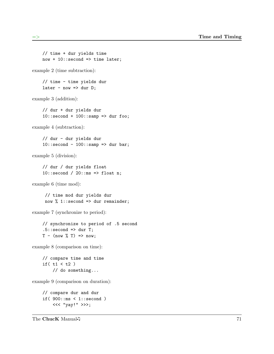```
// time + dur yields time
    now + 10::second \Rightarrow time later;example 2 (time subtraction):
    // time - time yields dur
    later - now => dur D;example 3 (addition):
    // dur + dur yields dur
    10::second + 100::sampling \Rightarrow dur foo;example 4 (subtraction):
    // dur - dur yields dur
    10::second - 100::sampling \Rightarrow dur bar;example 5 (division):
    // dur / dur yields float
    10::second / 20::ms => float n;
example 6 (time mod):
     // time mod dur yields dur
     now % 1:: second => dur remainder;
example 7 (synchronize to period):
    // synchronize to period of .5 second
    .5:: second \Rightarrow dur T;
    T - (\text{now } %T) \Rightarrow now;example 8 (comparison on time):
    // compare time and time
    if( t1 < t2 )
         // do something...
example 9 (comparison on duration):
    // compare dur and dur
    if( 900::ms < 1::second )
         <<< "yay!" >>>;
```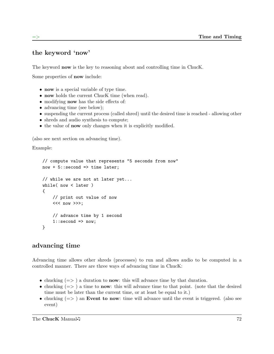## the keyword 'now'

The keyword **now** is the key to reasoning about and controlling time in ChucK.

Some properties of now include:

- now is a special variable of type time.
- now holds the current ChucK time (when read).
- modifying now has the side effects of:
- advancing time (see below);
- suspending the current process (called shred) until the desired time is reached allowing other
- shreds and audio synthesis to compute;
- the value of **now** only changes when it is explicitly modified.

(also see next section on advancing time).

Example:

```
// compute value that represents "5 seconds from now"
now + 5::second => time later;
// while we are not at later yet...
while( now < later )
{
    // print out value of now
    << now >>;
    // advance time by 1 second
    1::second => now;
}
```
## advancing time

Advancing time allows other shreds (processes) to run and allows audio to be computed in a controlled manner. There are three ways of advancing time in ChucK:

- chucking  $(=>)$  a duration to **now**: this will advance time by that duration.
- chucking  $(=>)$  a time to **now**: this will advance time to that point. (note that the desired time must be later than the current time, or at least be equal to it.)
- chucking  $(=)$  an Event to now: time will advance until the event is triggered. (also see event)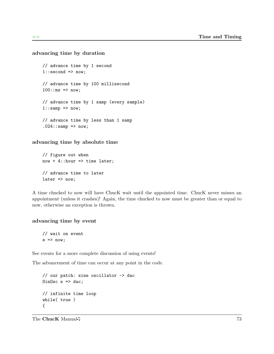#### advancing time by duration

```
// advance time by 1 second
1::second => now;
// advance time by 100 millisecond
100::ms => now;
// advance time by 1 samp (every sample)
1::\text{ samp} \Rightarrow \text{now};// advance time by less than 1 samp
.024::sampling => now;
```
advancing time by absolute time

// figure out when  $now + 4::hour \implies time later;$ // advance time to later  $later \Rightarrow now;$ 

A time chucked to now will have ChucK wait until the appointed time. ChucK never misses an appointment (unless it crashes)! Again, the time chucked to now must be greater than or equal to now, otherwise an exception is thrown.

#### advancing time by event

```
// wait on event
e \Rightarrow now;
```
See events for a more complete discussion of using events!

The advancement of time can occur at any point in the code.

```
// our patch: sine oscillator -> dac
SinOsc s \Rightarrow dac;
// infinite time loop
while( true )
{
```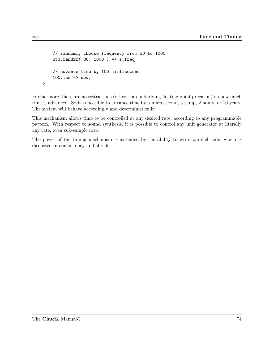```
// randomly choose frequency from 30 to 1000
    Std.rand2f( 30, 1000 ) => s.freq;
    // advance time by 100 millisecond
    100::ms => now;
}
```
Furthermore, there are no restrictions (other than underlying floating point precision) on how much time is advanced. So it is possible to advance time by a microsecond, a samp, 2 hours, or 10 years. The system will behave accordingly and deterministically.

This mechanism allows time to be controlled at any desired rate, according to any programmable pattern. With respect to sound synthesis, it is possible to control any unit generator at literally any rate, even sub-sample rate.

The power of the timing mechanism is extended by the ability to write parallel code, which is discussed in concurrency and shreds.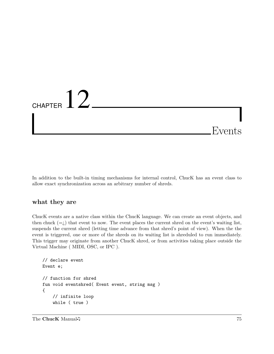## CHAPTER  $12$ Events

In addition to the built-in timing mechanisms for internal control, ChucK has an event class to allow exact synchronization across an arbitrary number of shreds.

### what they are

ChucK events are a native class within the ChucK language. We can create an event objects, and then chuck  $(=i)$  that event to now. The event places the current shred on the event's waiting list, suspends the current shred (letting time advance from that shred's point of view). When the the event is triggered, one or more of the shreds on its waiting list is shreduled to run immediately. This trigger may originate from another ChucK shred, or from activities taking place outside the Virtual Machine ( MIDI, OSC, or IPC ).

```
// declare event
Event e;
// function for shred
fun void eventshred( Event event, string msg )
{
    // infinite loop
    while ( true )
```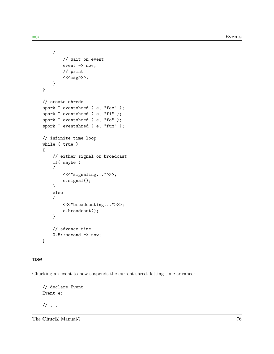```
{
        // wait on event
        event => now;
        // print
        <<sg>>>;
    }
}
// create shreds
spork ~ eventshred ( e, "fee" );
spork \tilde{ } eventshred ( e, "fi" );
spork ~ eventshred ( e, "fo" );
spork ~ eventshred ( e, "fum" );
// infinite time loop
while ( true )
{
    // either signal or broadcast
    if( maybe )
    {
        <<<"signaling...">>>;
        e.signal();
    }
    else
    {
        <<<"broadcasting...">>>;
        e.broadcast();
    }
    // advance time
    0.5::second => now;
}
```
#### use

Chucking an event to now suspends the current shred, letting time advance:

// declare Event Event e;

// ...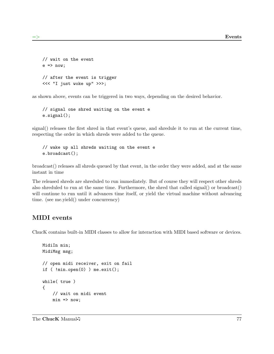```
// wait on the event
e \Rightarrow now;// after the event is trigger
<<< "I just woke up" >>>;
```
as shown above, events can be triggered in two ways, depending on the desired behavior.

```
// signal one shred waiting on the event e
e.signal();
```
signal() releases the first shred in that event's queue, and shredule it to run at the current time, respecting the order in which shreds were added to the queue.

```
// wake up all shreds waiting on the event e
e.broadcast();
```
broadcast() releases all shreds queued by that event, in the order they were added, and at the same instant in time

The released shreds are shreduled to run immediately. But of course they will respect other shreds also shreduled to run at the same time. Furthermore, the shred that called signal() or broadcast() will continue to run until it advances time itself, or yield the virtual machine without advancing time. (see me.yield() under concurrency)

## MIDI events

ChucK contains built-in MIDI classes to allow for interaction with MIDI based software or devices.

```
MidiIn min;
MidiMsg msg;
// open midi receiver, exit on fail
if ( !min.open(0) ) me.exit();
while( true )
{
    // wait on midi event
    min => now;
```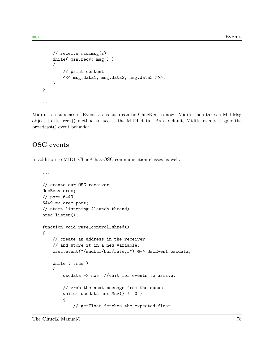```
// receive midimsg(s)
    while( min.recv( msg ) )
    {
        // print content
        <<< msg.data1, msg.data2, msg.data3 >>>;
    }
}
...
```
MidiIn is a subclass of Event, as as such can be ChucKed to now. MidiIn then takes a MidiMsg object to its .recv() method to access the MIDI data. As a default, MidiIn events trigger the broadcast() event behavior.

### OSC events

In addition to MIDI, ChucK has OSC communication classes as well:

```
...
// create our OSC receiver
OscRecv orec;
// port 6449
6449 => orec.port;
// start listening (launch thread)
orec.listen();
function void rate_control_shred()
{
    // create an address in the receiver
    // and store it in a new variable.
    orec.event("/sndbuf/buf/rate,f") @=> OscEvent oscdata;
    while ( true )
    {
        oscdata => now; //wait for events to arrive.
        // grab the next message from the queue.
        while( oscdata.nextMsg() != 0 )
        {
            // getFloat fetches the expected float
```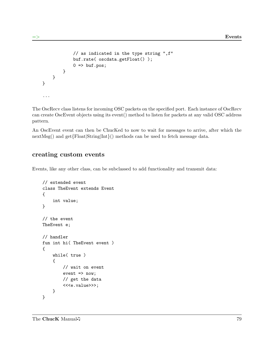```
// as indicated in the type string ",f"
             buf.rate( oscdata.getFloat() );
             0 \Rightarrow buf.pos;
         }
    }
}
...
```
The OscRecv class listens for incoming OSC packets on the specified port. Each instance of OscRecv can create OscEvent objects using its event() method to listen for packets at any valid OSC address pattern.

An OscEvent event can then be ChucKed to now to wait for messages to arrive, after which the nextMsg() and get $\{Float|String|Int\}$ () methods can be used to fetch message data.

### creating custom events

Events, like any other class, can be subclassed to add functionality and transmit data:

```
// extended event
class TheEvent extends Event
{
    int value;
}
// the event
TheEvent e;
// handler
fun int hi( TheEvent event )
{
    while( true )
    {
        // wait on event
        event => now;// get the data
        <<<e.value>>>;
    }
}
```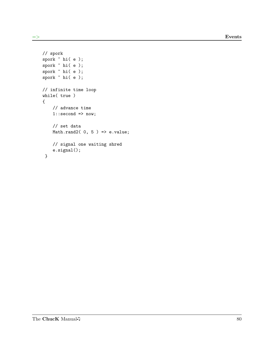```
// spork
spork ~ hi( e );
spork ~ hi( e );
spork ~ hi( e );
spork ~ hi( e );
// infinite time loop
while( true )
{
    // advance time
    1::second \Rightarrow now;// set data
    Math.rand2(0, 5) => e.value;
    // signal one waiting shred
    e.signal();
 }
```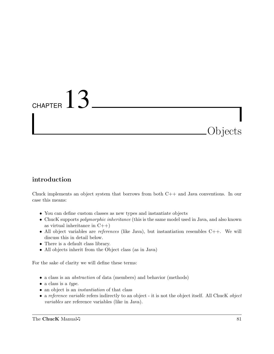# CHAPTER  $13$

## introduction

Chuck implements an object system that borrows from both C++ and Java conventions. In our case this means:

- You can define custom classes as new types and instantiate objects
- ChucK supports *polymorphic inheritance* (this is the same model used in Java, and also known as virtual inheritance in  $C++$ )
- All object variables are *references* (like Java), but instantiation resembles  $C++$ . We will discuss this in detail below.
- There is a default class library.
- All objects inherit from the Object class (as in Java)

For the sake of clarity we will define these terms:

- a class is an abstraction of data (members) and behavior (methods)
- a class is a type.
- an object is an *instantiation* of that class
- a reference variable refers indirectly to an object it is not the object itself. All ChucK object variables are reference variables (like in Java).

Objects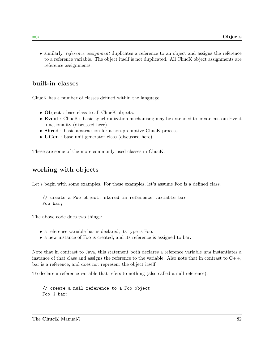• similarly, *reference assignment* duplicates a reference to an object and assigns the reference to a reference variable. The object itself is not duplicated. All ChucK object assignments are reference assignments.

## built-in classes

ChucK has a number of classes defined within the language.

- Object : base class to all ChucK objects.
- Event : ChucK's basic synchronization mechanism; may be extended to create custom Event functionality (discussed here).
- Shred : basic abstraction for a non-premptive Chuck process.
- **UGen** : base unit generator class (discussed here).

These are some of the more commonly used classes in ChucK.

### working with objects

Let's begin with some examples. For these examples, let's assume Foo is a defined class.

```
// create a Foo object; stored in reference variable bar
Foo bar;
```
The above code does two things:

- a reference variable bar is declared; its type is Foo.
- a new instance of Foo is created, and its reference is assigned to bar.

Note that in contrast to Java, this statement both declares a reference variable and instantiates a instance of that class and assigns the reference to the variable. Also note that in contrast to  $C++$ , bar is a reference, and does not represent the object itself.

To declare a reference variable that refers to nothing (also called a null reference):

// create a null reference to a Foo object Foo @ bar;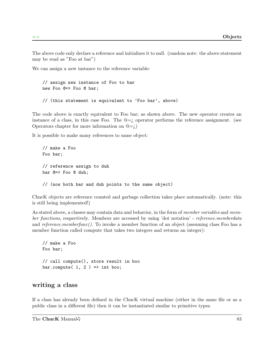The above code only declare a reference and initializes it to null. (random note: the above statement may be read as "Foo at bar")

We can assign a new instance to the reference variable:

```
// assign new instance of Foo to bar
new Foo @=> Foo @ bar;
// (this statement is equivalent to 'Foo bar', above)
```
The code above is exactly equivalent to Foo bar; as shown above. The new operator creates an instance of a class, in this case Foo. The  $\mathbb{Q} = i$  operator performs the reference assignment. (see Operators chapter for more information on  $@=i$ .

It is possible to make many references to same object:

```
// make a Foo
Foo bar;
// reference assign to duh
bar @=> Foo @ duh;
// (now both bar and duh points to the same object)
```
ChucK objects are reference counted and garbage collection takes place automatically. (note: this is still being implemented!)

As stated above, a classes may contain data and behavior, in the form of *member variables* and *mem*ber functions, respectively. Members are accessed by using 'dot notation' - reference.memberdata and reference.memberfunc(). To invoke a member function of an object (assuming class Foo has a member function called compute that takes two integers and returns an integer):

```
// make a Foo
Foo bar;
// call compute(), store result in boo
bar.compute(1, 2) => int boo;
```
#### writing a class

If a class has already been defined in the ChucK virtual machine (either in the same file or as a public class in a different file) then it can be instantiated similar to primitive types.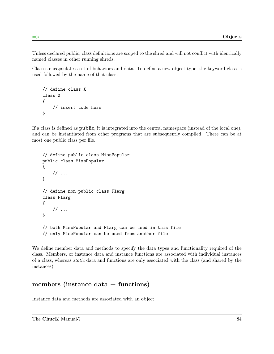Unless declared public, class definitions are scoped to the shred and will not conflict with identically named classes in other running shreds.

Classes encapsulate a set of behaviors and data. To define a new object type, the keyword class is used followed by the name of that class.

```
// define class X
class X
{
    // insert code here
}
```
If a class is defined as public, it is integrated into the central namespace (instead of the local one), and can be instantiated from other programs that are subsequently compiled. There can be at most one public class per file.

```
// define public class MissPopular
public class MissPopular
{
    // ...
}
// define non-public class Flarg
class Flarg
{
    // ...
}
// both MissPopular and Flarg can be used in this file
// only MissPopular can be used from another file
```
We define member data and methods to specify the data types and functionality required of the class. Members, or instance data and instance functions are associated with individual instances of a class, whereas static data and functions are only associated with the class (and shared by the instances).

## members (instance  $data + functions$ )

Instance data and methods are associated with an object.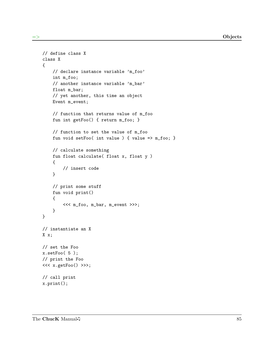```
// define class X
class X
{
    // declare instance variable 'm_foo'
    int m_foo;
    // another instance variable 'm_bar'
    float m_bar;
    // yet another, this time an object
    Event m_event;
    // function that returns value of m_foo
    fun int getFoo() { return m_foo; }
    // function to set the value of m_foo
    fun void setFoo( int value ) { value => m_foo; }
    // calculate something
    fun float calculate( float x, float y )
    {
        // insert code
    }
    // print some stuff
    fun void print()
    {
        <<< m_foo, m_bar, m_event >>>;
    }
}
// instantiate an X
X x;
// set the Foo
x.setFoo( 5 );
// print the Foo
<<< x.getFoo() >>>;
// call print
x.print();
```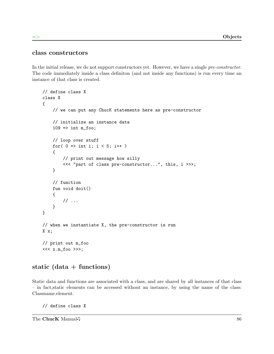### class constructors

In the initial release, we do not support constructors yet. However, we have a single pre-constructor. The code immediately inside a class definiton (and not inside any functions) is run every time an instance of that class is created.

```
// define class X
class X
{
    // we can put any ChucK statements here as pre-constructor
    // initialize an instance data
    109 => int m_foo;
    // loop over stuff
    for( 0 \Rightarrow int i; i < 5; i++){
        // print out message how silly
        <<< "part of class pre-constructor...", this, i >>>;
    }
    // function
    fun void doit()
    {
        // ...
    }
}
// when we instantiate X, the pre-constructor is run
X x;
// print out m_foo
<<< x.m_foo >>>;
```
## static  $(data + functions)$

Static data and functions are associated with a class, and are shared by all instances of that class – in fact,static elements can be accessed without an instance, by using the name of the class: Classname.element.

// define class X

The ChucK Manual  $\sqrt{ }$  86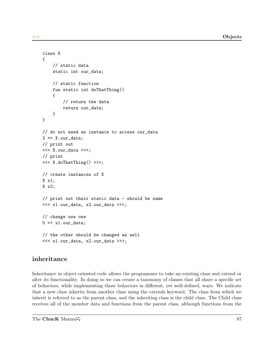```
class X
{
    // static data
    static int our_data;
    // static function
    fun static int doThatThing()
    {
        // return the data
        return our_data;
    }
}
// do not need an instance to access our_data
2 \Rightarrow X.our_data;
// print out
<<< X.our_data >>>;
// print
<<< X.doThatThing() >>>;
// create instances of X
X x1;
X x2;
// print out their static data - should be same
<<< x1.our_data, x2.our_data >>>;
// change use one
5 \Rightarrow x1.our_data;
// the other should be changed as well
<<< x1.our_data, x2.our_data >>>;
```
## inheritance

Inheritance in object-oriented code allows the programmer to take an existing class and extend or alter its functionality. In doing so we can create a taxonomy of classes that all share a specific set of behaviors, while implementing those behaviors in different, yet well-defined, ways. We indicate that a new class inherits from another class using the extends keyword. The class from which we inherit is referred to as the parent class, and the inheriting class is the child class. The Child class receives all of the member data and functions from the parent class, although functions from the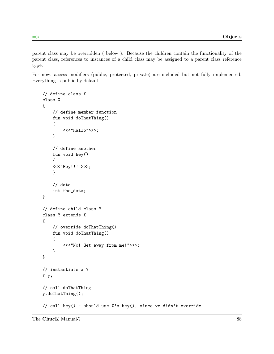parent class may be overridden ( below ). Because the children contain the functionality of the parent class, references to instances of a child class may be assigned to a parent class reference type.

For now, access modifiers (public, protected, private) are included but not fully implemented. Everything is public by default.

```
// define class X
class X
{
    // define member function
    fun void doThatThing()
    {
        <<<"Hallo">>>;
    }
    // define another
    fun void hey()
    {
    <<<"Hey!!!">>>;
    }
    // data
    int the_data;
}
// define child class Y
class Y extends X
{
    // override doThatThing()
    fun void doThatThing()
    {
        <<<"No! Get away from me!">>>;
    }
}
// instantiate a Y
Y y;
// call doThatThing
y.doThatThing();
// call hey() - should use X's hey(), since we didn't override
```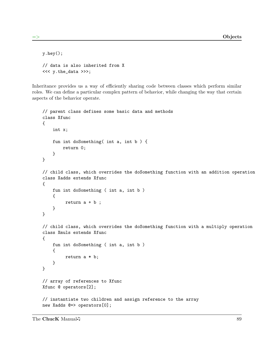```
y.hey();
// data is also inherited from X
<<< y.the_data >>>;
```
Inheritance provides us a way of efficiently sharing code between classes which perform similar roles. We can define a particular complex pattern of behavior, while changing the way that certain aspects of the behavior operate.

```
// parent class defines some basic data and methods
class Xfunc
{
    int x;
    fun int doSomething( int a, int b ) {
        return 0;
    }
}
// child class, which overrides the doSomething function with an addition operation
class Xadds extends Xfunc
{
    fun int doSomething ( int a, int b )
    {
         return a + b;
    }
}
// child class, which overrides the doSomething function with a multiply operation
class Xmuls extends Xfunc
{
    fun int doSomething ( int a, int b )
    {
         return a * b;
    }
}
// array of references to Xfunc
Xfunc @ operators[2];
// instantiate two children and assign reference to the array
new Xadds @=> operators[0];
```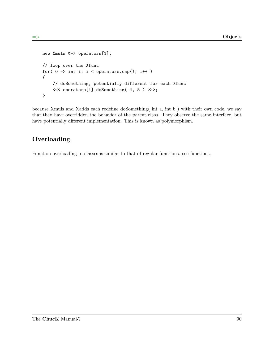```
new Xmuls @=> operators[1];
// loop over the Xfunc
for(0 \Rightarrow int i; i < operators.cap(); i++ )
{
    // doSomething, potentially different for each Xfunc
    <<< operators[i].doSomething( 4, 5 ) >>>;
}
```
because Xmuls and Xadds each redefine doSomething( int a, int b ) with their own code, we say that they have overridden the behavior of the parent class. They observe the same interface, but have potentially different implementation. This is known as polymorphism.

## Overloading

Function overloading in classes is similar to that of regular functions. see functions.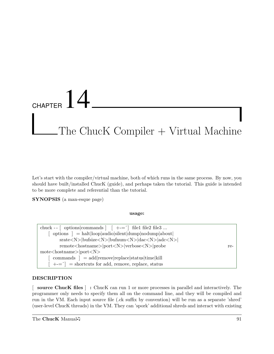## CHAPTER  $14$  $The Chuck Computer + Virtual Machine$

Let's start with the compiler/virtual machine, both of which runs in the same process. By now, you should have built/installed ChucK (guide), and perhaps taken the tutorial. This guide is intended to be more complete and referential than the tutorial.

SYNOPSIS (a man-esque page)

usage:

| chuck -- $\lceil$ options commands $\lceil$ $\lceil$ +-= $\rceil$ file1 file2 file3            |     |
|------------------------------------------------------------------------------------------------|-----|
| options $\vert$ = halt $\vert$ loop   audio   silent   dump   nodump   about                   |     |
| $srate < N>$  bufsize $< N>$  bufnum $< N>$  dac $< N>$  adc $< N>$                            |     |
| remote <hostname> port<n> verbose<n> probe</n></n></hostname>                                  | re- |
| $\text{mote}\leq\text{hostname}\geq\text{port}\leq\text{N}\geq$                                |     |
| $commands$ = add remove replace status time kill                                               |     |
| $\begin{bmatrix} +(-1)^{n-1} \\ -1 \end{bmatrix}$ = shortcuts for add, remove, replace, status |     |

#### DESCRIPTION

[ source ChucK files ] : ChucK can run 1 or more processes in parallel and interactively. The programmer only needs to specify them all on the command line, and they will be compiled and run in the VM. Each input source file (.ck suffix by convention) will be run as a separate 'shred' (user-level ChucK threads) in the VM. They can 'spork' additional shreds and interact with existing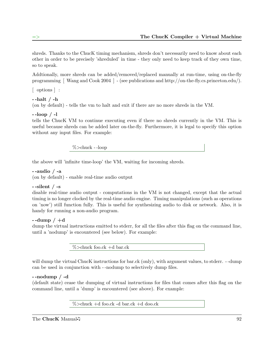shreds. Thanks to the ChucK timing mechanism, shreds don't necessarily need to know about each other in order to be precisely 'shreduled' in time - they only need to keep track of they own time, so to speak.

Addtionally, more shreds can be added/removed/replaced manually at run-time, using on-the-fly programming [ Wang and Cook 2004 ] - (see publications and http://on-the-fly.cs.princeton.edu/).

[ options ] :

#### $-$ halt  $/$  -h

(on by default) - tells the vm to halt and exit if there are no more shreds in the VM.

#### $-$ loop  $/$  -l

tells the ChucK VM to continue executing even if there no shreds currently in the VM. This is useful because shreds can be added later on-the-fly. Furthermore, it is legal to specify this option without any input files. For example:

%>chuck - -loop

the above will 'infinite time-loop' the VM, waiting for incoming shreds.

#### - -audio / -a

(on by default) - enable real-time audio output

#### $-$ silent  $/$  -s

disable real-time audio output - computations in the VM is not changed, except that the actual timing is no longer clocked by the real-time audio engine. Timing manipulations (such as operations on 'now') still function fully. This is useful for synthesizing audio to disk or network. Also, it is handy for running a non-audio program.

#### $-$ -dump  $/ +d$

dump the virtual instructions emitted to stderr, for all the files after this flag on the command line, until a 'nodump' is encountered (see below). For example:

 $\%$ >chuck foo.ck +d bar.ck

will dump the virtual ChucK instructions for bar.ck (only), with argument values, to stderr. --dump can be used in conjunction with - -nodump to selectively dump files.

#### - -nodump / -d

(default state) cease the dumping of virtual instructions for files that comes after this flag on the command line, until a 'dump' is encountered (see above). For example:

%>chuck +d foo.ck -d bar.ck +d doo.ck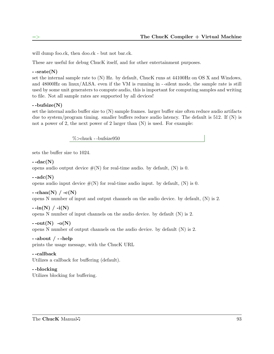will dump foo.ck, then doo.ck - but not bar.ck.

These are useful for debug ChucK itself, and for other entertainment purposes.

#### $-$ srate $(N)$

set the internal sample rate to (N) Hz. by default, ChucK runs at 44100Hz on OS X and Windows, and 48000Hz on linux/ALSA. even if the VM is running in - -silent mode, the sample rate is still used by some unit generaters to compute audio, this is important for computing samples and writing to file. Not all sample rates are supported by all devices!

#### - -bufsize(N)

set the internal audio buffer size to (N) sample frames. larger buffer size often reduce audio artifacts due to system/program timing. smaller buffers reduce audio latency. The default is 512. If (N) is not a power of 2, the next power of 2 larger than  $(N)$  is used. For example:

%>chuck - -bufsize950

sets the buffer size to 1024.

#### $-$ -dac $(N)$

opens audio output device  $\#(N)$  for real-time audio. by default,  $(N)$  is 0.

 $-$ adc $(N)$ 

opens audio input device  $\#(N)$  for real-time audio input. by default,  $(N)$  is 0.

 $-$ -chan(N) / -c(N)

opens N number of input and output channels on the audio device. by default, (N) is 2.

#### $-i\text{in(N)}$  /  $-i(N)$

opens N number of input channels on the audio device. by default (N) is 2.

 $\text{-}out(N)$  -o(N)

opens N number of output channels on the audio device. by default (N) is 2.

 $-$ -about  $/$  --help

prints the usage message, with the ChucK URL

## - -callback

Utilizes a callback for buffering (default).

#### - -blocking Utilizes blocking for buffering.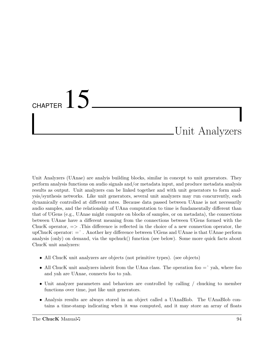## CHAPTER  $15$

## Unit Analyzers

Unit Analyzers (UAnae) are analyis building blocks, similar in concept to unit generators. They perform analysis functions on audio signals and/or metadata input, and produce metadata analysis results as output. Unit analyzers can be linked together and with unit generators to form analysis/synthesis networks. Like unit generators, several unit analyzers may run concurrently, each dynamically controlled at different rates. Because data passed between UAnae is not necessarily audio samples, and the relationship of UAna computation to time is fundamentally different than that of UGens (e.g., UAnae might compute on blocks of samples, or on metadata), the connections between UAnae have a different meaning from the connections between UGens formed with the ChucK operator,  $\Rightarrow$  This difference is reflected in the choice of a new connection operator, the upChucK operator:  $=$   $\hat{ }$ . Another key difference between UGens and UAnae is that UAnae perform analysis (only) on demand, via the upchuck() function (see below). Some more quick facts about ChucK unit analyzers:

- All ChucK unit analyzers are objects (not primitive types). (see objects)
- All ChucK unit analyzers inherit from the UAna class. The operation foo  $=$   $\hat{ }$  yah, where foo and yah are UAnae, connects foo to yah.
- Unit analyzer parameters and behaviors are controlled by calling / chucking to member functions over time, just like unit generators.
- Analysis results are always stored in an object called a UAnaBlob. The UAnaBlob contains a time-stamp indicating when it was computed, and it may store an array of floats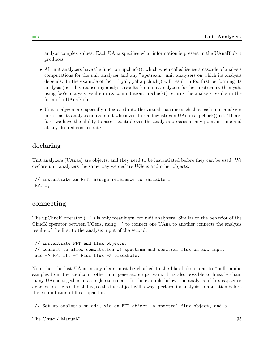and/or complex values. Each UAna specifies what information is present in the UAnaBlob it produces.

- All unit analyzers have the function upchuck(), which when called issues a cascade of analysis computations for the unit analyzer and any "upstream" unit analyzers on which its analysis depends. In the example of foo  $=$   $\alpha$  yah, yah.upchuck() will result in foo first performing its analysis (possibly requesting analysis results from unit analyzers further upstream), then yah, using foo's analysis results in its computation. upchuck() returns the analysis results in the form of a UAnaBlob.
- Unit analyzers are specially integrated into the virtual machine such that each unit analyzer performs its analysis on its input whenever it or a downstream UAna is upchuck()-ed. Therefore, we have the ability to assert control over the analysis process at any point in time and at any desired control rate.

## declaring

Unit analyzers (UAnae) are objects, and they need to be instantiated before they can be used. We declare unit analyzers the same way we declare UGens and other objects.

// instantiate an FFT, assign reference to variable f FFT f;

#### connecting

The upChucK operator  $(=\hat{\ } )$  is only meaningful for unit analyzers. Similar to the behavior of the ChucK operator between UGens, using  $=$  to connect one UAna to another connects the analysis results of the first to the analysis input of the second.

// instantiate FFT and flux objects, // connect to allow computation of spectrum and spectral flux on adc input adc => FFT fft = $\hat{ }$  Flux flux => blackhole;

Note that the last UAna in any chain must be chucked to the blackhole or dac to "pull" audio samples from the aaddcc or other unit generators upstream. It is also possible to linearly chain many UAnae together in a single statement. In the example below, the analysis of flux capacitor depends on the results of flux, so the flux object will always perform its analysis computation before the computation of flux capacitor.

// Set up analysis on adc, via an FFT object, a spectral flux object, and a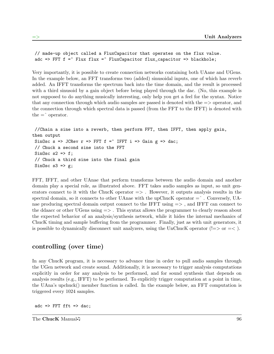```
// made-up object called a FluxCapacitor that operates on the flux value.
adc => FFT f = \hat{ } Flux flux =\hat{ } FluxCapacitor flux_capacitor => blackhole;
```
Very importantly, it is possible to create connection networks containing both UAane and UGens. In the example below, an FFT transforms two (added) sinusoidal inputs, one of which has reverb added. An IFFT transforms the spectrum back into the time domain, and the result is processed with a third sinusoid by a gain object before being played through the dac. (No, this example is not supposed to do anything musically interesting, only help you get a feel for the syntax. Notice that any connection through which audio samples are passed is denoted with the => operator, and the connection through which spectral data is passed (from the FFT to the IFFT) is denoted with the  $=\hat{ }$  operator.

```
//Chain a sine into a reverb, then perform FFT, then IFFT, then apply gain,
then output
 SinOsc s => JCRev r => FFT f = \hat{ } IFFT i => Gain g => dac;
 // Chuck a second sine into the FFT
 SinOsc s2 \Rightarrow f;
 // Chuck a third sine into the final gain
SinOsc s3 \Rightarrow g;
```
FFT, IFFT, and other UAnae that perform transforms between the audio domain and another domain play a special role, as illustrated above. FFT takes audio samples as input, so unit generators connect to it with the ChucK operator  $\Rightarrow$ . However, it outputs analysis results in the spectral domain, so it connects to other UAnae with the upChucK operator  $=$   $\hat{ }$ . Conversely, UAnae producing spectral domain output connect to the IFFT using  $\Rightarrow$ , and IFFT can connect to the ddaacc or other UGens using  $\Rightarrow$ . This syntax allows the programmer to clearly reason about the expected behavior of an analysis/synthesis network, while it hides the internal mechanics of ChucK timing and sample buffering from the programmer. Finally, just as with unit generators, it is possible to dynamically disconnect unit analyzers, using the UnChucK operator ( $!=>$  or  $=<$ ).

### controlling (over time)

In any ChucK program, it is necessary to advance time in order to pull audio samples through the UGen network and create sound. Additionally, it is necessary to trigger analysis computations explicitly in order for any analysis to be performed, and for sound synthesis that depends on analysis results (e.g., IFFT) to be performed. To explicitly trigger computation at a point in time, the UAna's upchuck() member function is called. In the example below, an FFT computation is triggered every 1024 samples.

adc  $\Rightarrow$  FFT fft  $\Rightarrow$  dac;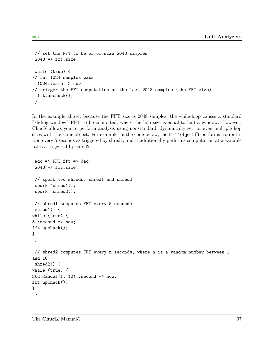```
// set the FFT to be of of size 2048 samples
 2048 \Rightarrow fft.size;
while (true) {
// let 1024 samples pass
  1024::sampling \Rightarrow now;// trigger the FFT computation on the last 2048 samples (the FFT size)
  fft.upchuck();
 }
```
In the example above, because the FFT size is 2048 samples, the while-loop causes a standard "sliding-window" FFT to be computed, where the hop size is equal to half a window. However, ChucK allows you to perform analysis using nonstandard, dynamically set, or even multiple hop sizes with the same object. For example, in the code below, the FFT object fft performs computation every 5 seconds as triggered by shred1, and it additionally performs computation at a variable rate as triggered by shred2.

```
adc \Rightarrow FFT fft \Rightarrow dac;
 2048 => fft.size;
// spork two shreds: shred1 and shred2
spork "shred1();
 spork "shred2();
// shred1 computes FFT every 5 seconds
shred1() {
while (true) {
5::second => now;
fft.upchuck();
}
}
// shred2 computes FFT every n seconds, where n is a random number between 1
and 10
shred2() {
while (true) {
Std.Rand2f(1, 10): second => now;
fft.upchuck();
}
}
```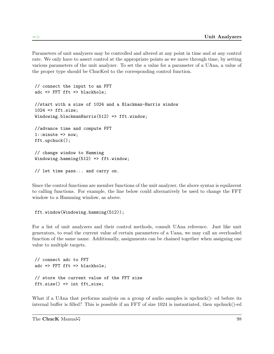Parameters of unit analyzers may be controlled and altered at any point in time and at any control rate. We only have to assert control at the appropriate points as we move through time, by setting various parameters of the unit analyzer. To set the a value for a parameter of a UAna, a value of the proper type should be ChucKed to the corresponding control function.

```
// connect the input to an FFT
adc => FFT fft => blackhole;
//start with a size of 1024 and a Blackman-Harris window
1024 => fft.size;
Windowing.blackmanHarris(512) => fft.window;
//advance time and compute FFT
1:: minute => now;
fft.upchuck();
// change window to Hamming
Windowing.hamming(512) => fft.window;
// let time pass... and carry on.
```
Since the control functions are member functions of the unit analyzer, the above syntax is equilavent to calling functions. For example, the line below could alternatively be used to change the FFT window to a Hamming window, as above.

fft.window(Windowing.hamming(512));

For a list of unit analyzers and their control methods, consult UAna reference. Just like unit generators, to read the current value of certain parameters of a Uana, we may call an overloaded function of the same name. Additionally, assignments can be chained together when assigning one value to multiple targets.

```
// connect adc to FFT
adc => FFT fft => blackhole;
// store the current value of the FFT size
fft.size() => int fft\_size;
```
What if a UAna that performs analysis on a group of audio samples is upchuck()- ed before its internal buffer is filled? This is possible if an FFT of size 1024 is instantiated, then upchuck()-ed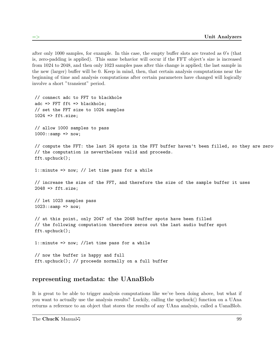after only 1000 samples, for example. In this case, the empty buffer slots are treated as 0's (that is, zero-padding is applied). This same behavior will occur if the FFT object's size is increased from 1024 to 2048, and then only 1023 samples pass after this change is applied; the last sample in the new (larger) buffer will be 0. Keep in mind, then, that certain analysis computations near the beginning of time and analysis computations after certain parameters have changed will logically involve a short "transient" period.

```
// connect adc to FFT to blackhole
adc => FFT fft => blackhole;
// set the FFT size to 1024 samples
1024 => fft.size;
// allow 1000 samples to pass
1000::sampling \Rightarrow now;// compute the FFT: the last 24 spots in the FFT buffer haven't been filled, so they are zero-
// the computation is nevertheless valid and proceeds.
fft.upchuck();
1::minute => now; // let time pass for a while
// increase the size of the FFT, and therefore the size of the sample buffer it uses
2048 => fft.size;
// let 1023 samples pass
1023::\text{ samp} \Rightarrow \text{now};// at this point, only 2047 of the 2048 buffer spots have been filled
// the following computation therefore zeros out the last audio buffer spot
fft.upchuck();
1::minute => now; //let time pass for a while
// now the buffer is happy and full
fft.upchuck(); // proceeds normally on a full buffer
```
### representing metadata: the UAnaBlob

It is great to be able to trigger analysis computations like we've been doing above, but what if you want to actually use the analysis results? Luckily, calling the upchuck() function on a UAna returns a reference to an object that stores the results of any UAna analysis, called a UanaBlob.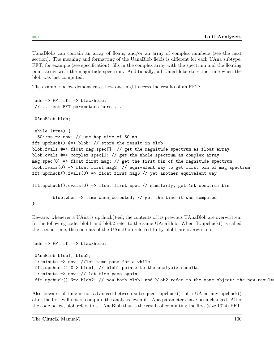UanaBlobs can contain an array of floats, and/or an array of complex numbers (see the next section). The meaning and formatting of the UanaBlob fields is different for each UAna subtype. FFT, for example (see specification), fills in the complex array with the spectrum and the floating point array with the magnitude spectrum. Additionally, all UanaBlobs store the time when the blob was last computed.

The example below demonstrates how one might access the results of an FFT:

```
adc => FFT fft => blackhole;
 // ... set FFT parameters here ...
UAnaBlob blob;
while (true) {
  50:ms \Rightarrow now; // use hop size of 50 msfft.upchuck() @=> blob; // store the result in blob.
blob.fvals @=> float mag_spec[]; // get the magnitude spectrum as float array
blob.cvals @=> complex spec[]; // get the whole spectrum as complex array
mag_spec[0] => float first_mag; // get the first bin of the magnitude spectrum
blob.fvals(0) => float first_mag2; // equivalent way to get first bin of mag spectrum
fft.upchuck().fvals(0) => float first_mag3 // yet another equivalent way
fft.upchuck().cvals(0) => float first_spec // similarly, get 1st spectrum bin
        blob.when => time when_computed; // get the time it was computed
}
```
Beware: whenever a UAna is upchuck()-ed, the contents of its previous UAnaBlob are overwritten. In the following code, blob1 and blob2 refer to the same UAnaBlob. When fft.upchuck() is called the second time, the contents of the UAnaBlob referred to by blob1 are overwritten.

adc => FFT fft => blackhole; UAnaBlob blob1, blob2; 1::minute => now; //let time pass for a while fft.upchuck() @=> blob1; // blob1 points to the analysis results 1::minute => now; // let time pass again fft.upchuck() @=> blob2; // now both blob1 and blob2 refer to the same object: the new result

Also beware: if time is not advanced between subsequent upchuck()s of a UAna, any upchuck() after the first will not re-compute the analysis, even if UAna parameters have been changed. After the code below, blob refers to a UAnaBlob that is the result of computing the first (size 1024) FFT.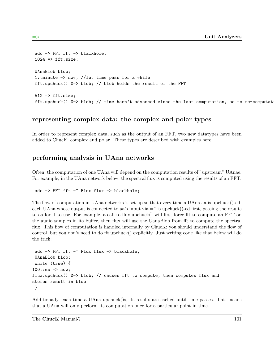```
adc => FFT fft => blackhole;
1024 => fft.size;
UAnaBlob blob;
1::minute => now; //let time pass for a while
fft.upchuck() @=> blob; // blob holds the result of the FFT
512 \Rightarrow \text{fft.size};
fft.upchuck() @\Rightarrow blob; // time hasn't advanced since the last computation, so no re-computat
```
#### representing complex data: the complex and polar types

In order to represent complex data, such as the output of an FFT, two new datatypes have been added to ChucK: complex and polar. These types are described with examples here.

#### performing analysis in UAna networks

Often, the computation of one UAna will depend on the computation results of "upstream" UAnae. For example, in the UAna network below, the spectral flux is computed using the results of an FFT.

```
adc => FFT fft =\hat{ } Flux flux => blackhole;
```
The flow of computation in UAna networks is set up so that every time a UAna aa is upchuck()-ed, each UAna whose output is connected to aa's input via  $=$  is upchuck()-ed first, passing the results to aa for it to use. For example, a call to flux.upchuck() will first force fft to compute an FFT on the audio samples in its buffer, then flux will use the UanaBlob from fft to compute the spectral flux. This flow of computation is handled internally by ChucK; you should understand the flow of control, but you don't need to do fft.upchuck() explicitly. Just writing code like that below will do the trick:

```
adc \Rightarrow FFT fft =^ Flux flux => blackhole;
UAnaBlob blob;
while (true) {
100::ms => now;
flux.upchuck() @=> blob; // causes fft to compute, then computes flux and
stores result in blob
 }
```
Additionally, each time a UAna upchuck()s, its results are cached until time passes. This means that a UAna will only perform its computation once for a particular point in time.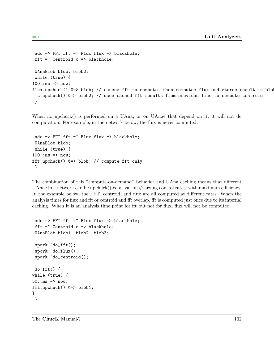```
adc => FFT fft =\hat{ } Flux flux => blackhole;
fft =\hat{ } Centroid c => blackhole;
UAnaBlob blob, blob2;
 while (true) {
100::ms => now;
flux.upchuck() @=> blob; // causes fft to compute, then computes flux and stores result in blo
  c.upchuck() @=> blob2; // uses cached fft results from previous line to compute centroid
 }
```
When no upchuck() is performed on a UAna, or on UAnae that depend on it, it will not do computation. For example, in the network below, the flux is never computed.

```
adc => FFT fft =\hat{ } Flux flux => blackhole;
UAnaBlob blob;
while (true) {
100::ms => now;
fft.upchuck() @=> blob; // compute fft only
}
```
The combination of this "compute-on-demand" behavior and UAna caching means that different UAnae in a network can be upchuck()-ed at various/varying control rates, with maximum efficiency. In the example below, the FFT, centroid, and flux are all computed at different rates. When the analysis times for flux and fft or centroid and fft overlap, fft is computed just once due to its internal caching. When it is an analysis time point for fft but not for flux, flux will not be computed.

```
adc => FFT fft =\hat{ } Flux flux => blackhole;
 fft =\hat{ } Centroid c => blackhole;
 UAnaBlob blob1, blob2, blob3;
 spork ~do_fft();
 spork ~do_flux();
 spork ~do_centroid();
 do_fft() {
while (true) {
50:ms \Rightarrow now;fft.upchuck() @=> blob1;
}
}
```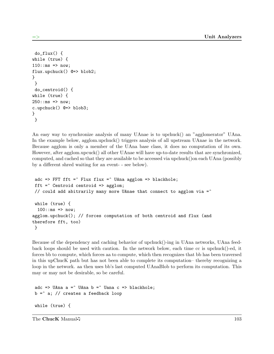```
do_flux() {
while (true) {
110::ms => now;
flux.upchuck() @=> blob2;
}
}
 do_centroid() {
while (true) {
250::ms => now;
c.upchuck() @=> blob3;
}
}
```
An easy way to synchronize analysis of many UAnae is to upchuck() an "agglomerator" UAna. In the example below, agglom.upchuck() triggers analysis of all upstream UAnae in the network. Because agglom is only a member of the UAna base class, it does no computation of its own. However, after agglom.upcuck() all other UAnae will have up-to-date results that are synchronized, computed, and cached so that they are available to be accessed via upchuck()on each UAna (possibly by a different shred waiting for an event- - see below).

```
adc => FFT fft =^ Flux flux =^ UAna agglom => blackhole;
 fft =^{\sim} Centroid centroid => agglom;
 // could add abitrarily many more UAnae that connect to agglom via =while (true) {
  100::ms => now;
agglom.upchuck(); // forces computation of both centroid and flux (and
therefore fft, too)
 }
```
Because of the dependency and caching behavior of upchuck()-ing in UAna networks, UAna feedback loops should be used with caution. In the network below, each time cc is upchuck()-ed, it forces bb to compute, which forces aa to compute, which then recognizes that bb has been traversed in this upChucK path but has not been able to complete its computation– thereby recognizing a loop in the network. aa then uses bb's last computed UAnaBlob to perform its computation. This may or may not be desirable, so be careful.

```
adc => UAna a =^ UAna b =^ Uana c => blackhole;
b = a; // creates a feedback loop
while (true) {
```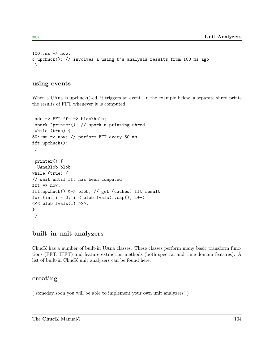```
100::ms => now;
c.upchuck(); // involves a using b's analysis results from 100 ms ago
}
```
#### using events

When a UAna is upchuck()-ed, it triggers an event. In the example below, a separate shred prints the results of FFT whenever it is computed.

```
adc => FFT fft => blackhole;
spork "printer(); // spork a printing shred
while (true) {
50::ms => now; // perform FFT every 50 ms
fft.upchuck();
}
printer() {
 UAnaBlob blob;
while (true) {
// wait until fft has been computed
fft \Rightarrow now;
fft.upchuck() @=> blob; // get (cached) fft result
for (int i = 0; i < 5lob.fvals().cap(); i++)<<< blob.fvals(i) >>>;
}
}
```
#### built–in unit analyzers

ChucK has a number of built-in UAna classes. These classes perform many basic transform functions (FFT, IFFT) and feature extraction methods (both spectral and time-domain features). A list of built-in ChucK unit analyzers can be found here.

#### creating

( someday soon you will be able to implement your own unit analyzers! )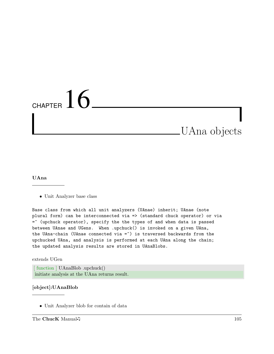## CHAPTER  $16$

### UAna objects

#### UAna

• Unit Analyzer base class

Base class from which all unit analyzers (UAnae) inherit; UAnae (note plural form) can be interconnected via => (standard chuck operator) or via =^ (upchuck operator), specify the the types of and when data is passed between UAnae and UGens. When .upchuck() is invoked on a given UAna, the UAna-chain (UAnae connected via  $=$   $\hat{ }$ ) is traversed backwards from the upchucked UAna, and analysis is performed at each UAna along the chain; the updated analysis results are stored in UAnaBlobs.

extends UGen

[ function ] UAnaBlob .upchuck() initiate analysis at the UAna returns result.

#### [object]:UAnaBlob

• Unit Analyzer blob for contain of data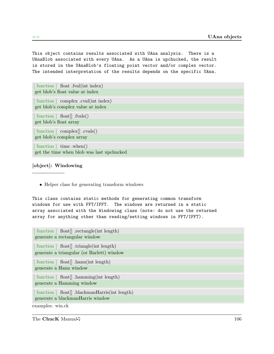This object contains results associated with UAna analysis. There is a UAnaBlob associated with every UAna. As a UAna is upchucked, the result is stored in the UAnaBlob's floating point vector and/or complex vector. The intended interpretation of the results depends on the specific UAna.

| function   float .fval(int index)<br>get blob's float value at index        |
|-----------------------------------------------------------------------------|
| [function ] complex .cval(int index)<br>get blob's complex value at index   |
| $\lceil$ function $\rceil$ float $\lceil$ fvals()<br>get blob's float array |
| [function ] complex[] .cvals()<br>get blob's complex array                  |
| [function ] time .when()<br>get the time when blob was last upchucked       |

#### [object]: Windowing

• Helper class for generating transform windows

This class contains static methods for generating common transform windows for use with FFT/IFFT. The windows are returned in a static array associated with the Windowing class (note: do not use the returned array for anything other than reading/setting windows in FFT/IFFT).

| [function ] float[] .rectangle(int length)<br>generate a rectangular window |
|-----------------------------------------------------------------------------|
| [function ] float[] .triangle(int length)                                   |
| generate a triangular (or Barlett) window                                   |
| [function ] float[] .hann(int length)                                       |
| generate a Hann window                                                      |
| [function ] float[] .hamming(int length)                                    |
| generate a Hamming window                                                   |
| [function   float <sup>[]</sup> .blackmanHarris(int length)                 |
| generate a blackmanHarris window<br>examples: win.ck                        |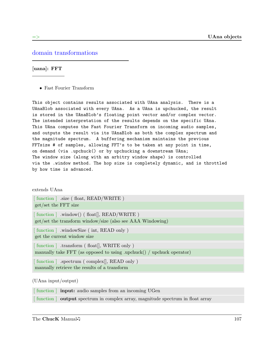#### domain transformations

[uana]: FFT

• Fast Fourier Transform

This object contains results associated with UAna analysis. There is a UAnaBlob associated with every UAna. As a UAna is upchucked, the result is stored in the UAnaBlob's floating point vector and/or complex vector. The intended interpretation of the results depends on the specific UAna. This UAna computes the Fast Fourier Transform on incoming audio samples, and outputs the result via its UAnaBlob as both the complex spectrum and the magnitude spectrum. A buffering mechanism maintains the previous FFTsize # of samples, allowing FFT's to be taken at any point in time, on demand (via .upchuck() or by upchucking a downstream UAna; The window size (along with an arbitry window shape) is controlled via the .window method. The hop size is completely dynamic, and is throttled by how time is advanced.

#### extends UAna

| [function ] .size (float, READ/WRITE)                                                                                 |
|-----------------------------------------------------------------------------------------------------------------------|
| get/set the FFT size                                                                                                  |
| [function ] .window() (float[], READ/WRITE)<br>get/set the transform window/size (also see AAA Windowing)             |
| [function ] .windowSize (int, READ only)<br>get the current window size                                               |
| [function ] transform (float [], WRITE only)<br>manually take FFT (as opposed to using .upchuck() / upchuck operator) |
| [function ] .spectrum (complex], READ only)<br>manually retrieve the results of a transform                           |
|                                                                                                                       |

(UAna input/output)

| [function ] <b>input:</b> audio samples from an incoming UGen                   |
|---------------------------------------------------------------------------------|
| [function ] output spectrum in complex array, magnitude spectrum in float array |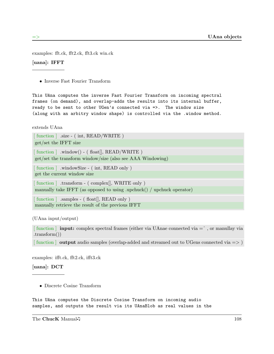examples: fft.ck, fft2.ck, fft3.ck win.ck

[uana]: IFFT

• Inverse Fast Fourier Transform

This UAna computes the inverse Fast Fourier Transform on incoming spectral frames (on demand), and overlap-adds the results into its internal buffer, ready to be sent to other UGen's connected via =>. The window size (along with an arbitry window shape) is controlled via the .window method.

extends UAna

[ function ] .size - ( int, READ/WRITE )

get/set the IFFT size

 $\lceil$  function  $\rceil$  .window() - ( float  $\lceil$ , READ/WRITE )

get/set the transform window/size (also see AAA Windowing)

[function ] .windowSize - (int, READ only) get the current window size

[function ] .transform - ( complex[], WRITE only ) manually take IFFT (as opposed to using .upchuck() / upchuck operator)

[function ] .samples - (float[], READ only) manually retrieve the result of the previous IFFT

(UAna input/output)

 $\lceil$  function  $\lceil$  **input:** complex spectral frames (either via UAnae connected via  $=$   $\hat{ }$ , or manullay via .transform())

[function ] output audio samples (overlap-added and streamed out to UGens connected via  $\Longrightarrow$ )

examples: ifft.ck, fft2.ck, ifft3.ck

[uana]: DCT

• Discrete Cosine Transform

This UAna computes the Discrete Cosine Transform on incoming audio samples, and outputs the result via its UAnaBlob as real values in the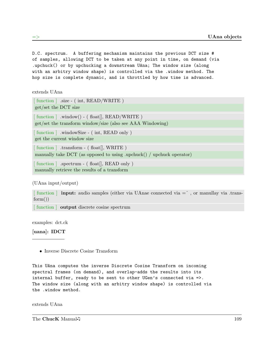D.C. spectrum. A buffering mechanism maintains the previous DCT size # of samples, allowing DCT to be taken at any point in time, on demand (via .upchuck() or by upchucking a downstream UAna; The window size (along with an arbitry window shape) is controlled via the .window method. The hop size is complete dynamic, and is throttled by how time is advanced.

extends UAna

| [function ] .size - (int, READ/WRITE)                                 |
|-----------------------------------------------------------------------|
| get/set the DCT size                                                  |
| $\lceil$ function $\rceil$ .window() - (float $\rceil$ , READ/WRITE)  |
| get/set the transform window/size (also see AAA Windowing)            |
| [function ] windowSize - (int, READ only)                             |
| get the current window size                                           |
| [function ] .transform - (float [], WRITE)                            |
| manually take DCT (as opposed to using .upchuck() / upchuck operator) |
| [function ] .spectrum - (float [], READ only)                         |
| manually retrieve the results of a transform                          |

(UAna input/output)

 $\lceil$  function  $\lceil$  **input:** audio samples (either via UAnae connected via  $=$   $\lceil$ , or manullay via .trans $form()$ 

[ function ] **output** discrete cosine spectrum

examples: dct.ck

[uana]: IDCT

• Inverse Discrete Cosine Transform

This UAna computes the inverse Discrete Cosine Transform on incoming spectral frames (on demand), and overlap-adds the results into its internal buffer, ready to be sent to other UGen's connected via =>. The window size (along with an arbitry window shape) is controlled via the .window method.

extends UAna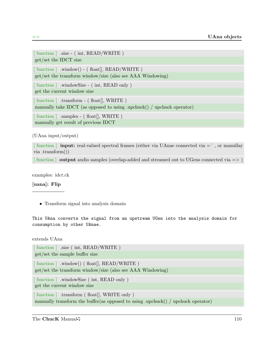```
[function ] .size - (int, READ/WRITE)
get/set the IDCT size
[function ] .window() - (float[], READ/WRITE)
get/set the transform window/size (also see AAA Windowing)
[function ] .windowSize - (int, READ only)
get the current window size
[function ] .transform - (float[], WRITE )
manually take IDCT (as opposed to using .upchuck() / upchuck operator)
[function ] .samples - (float[], WRITE )
manually get result of previous IDCT
```
(UAna input/output)

 $\lceil$  function  $\lceil$  **input:** real-valued spectral frames (either via UAnae connected via  $=$   $\hat{ }$ , or manullay via .transform())

[function ] output audio samples (overlap-added and streamed out to UGens connected via  $\Rightarrow$  )

examples: idct.ck

[uana]: Flip

• Transform signal into analysis domain

This UAna converts the signal from an upstream UGen into the analysis domain for consumption by other UAnae.

extends UAna

```
[ function ] .size ( int, READ/WRITE )
get/set the sample buffer size
[function ] .window() (float[], READ/WRITE)
get/set the transform window/size (also see AAA Windowing)
[function ] .windowSize (int, READ only)
get the current window size
[function ] .transform (float[], WRITE only)
manually transform the buffer(as opposed to using .upchuck() / upchuck operator)
```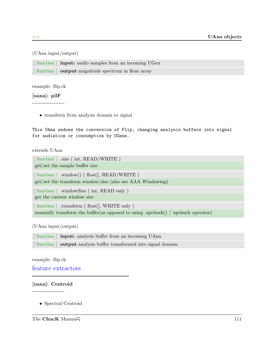#### (UAna input/output)

[ function ] input: audio samples from an incoming UGen

[ function ] **output** magnitude spectrum in float array

example: flip.ck

[uana]: pilF

• transform from analysis domain to signal

This UAna undoes the conversion of Flip, changing analysis buffers into signal for audiation or consumption by UGens.

#### extends UAna

[ function ] .size ( int, READ/WRITE ) get/set the sample buffer size [function ] .window() (float[], READ/WRITE ) get/set the transform window/size (also see AAA Windowing) [function ] .windowSize (int, READ only) get the current window size

[function ] .transform (float[], WRITE only) manually transform the buffer(as opposed to using .upchuck() / upchuck operator)

(UAna input/output)

[ function ] input: analysis buffer from an incoming UAna [ function ] output analysis buffer transformed into signal domain

example: flip.ck

feature extractors

#### [uana]: Centroid

• Spectral Centroid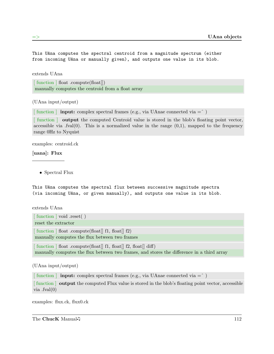This UAna computes the spectral centroid from a magnitude spectrum (either from incoming UAna or manually given), and outputs one value in its blob.

extends UAna

[function ] float .compute(float[]) manually computes the centroid from a float array

(UAna input/output)

 $\lceil$  function  $\lceil$  **input:** complex spectral frames (e.g., via UAnae connected via  $=$   $\lceil$ )

[ function ] output the computed Centroid value is stored in the blob's floating point vector, accessible via .fval $(0)$ . This is a normalized value in the range  $(0,1)$ , mapped to the frequency range 0Hz to Nyquist

examples: centroid.ck

[uana]: Flux

• Spectral Flux

This UAna computes the spectral flux between successive magnitude spectra (via incoming UAna, or given manually), and outputs one value in its blob.

extends UAna

| [function ] void reset()                                                                             |
|------------------------------------------------------------------------------------------------------|
| reset the extractor                                                                                  |
| $\lceil$ function $\rceil$ float .compute(float $\lceil$ fl, float $\lceil$ f2)                      |
| manually computes the flux between two frames                                                        |
| $\lceil$ function $\rceil$ float .compute(float $\lceil$ fl, float $\lceil$ f2, float $\lceil$ diff) |
| manually computes the flux between two frames, and stores the difference in a third array            |

(UAna input/output)

[ function ] **input:** complex spectral frames (e.g., via UAnae connected via  $=$  ^)

[function ] **output** the computed Flux value is stored in the blob's floating point vector, accessible via .fval(0)

examples: flux.ck, flux0.ck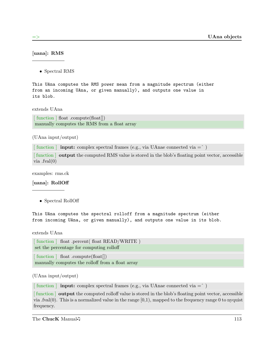[uana]: RMS

• Spectral RMS

This UAna computes the RMS power mean from a magnitude spectrum (either from an incoming UAna, or given manually), and outputs one value in its blob.

extends UAna

[function ] float .compute(float[]) manually computes the RMS from a float array

(UAna input/output)

 $\lceil$  function  $\lceil$  **input:** complex spectral frames (e.g., via UAnae connected via  $=$   $\lceil$ )

[ function ] output the computed RMS value is stored in the blob's floating point vector, accessible via .fval(0)

examples: rms.ck

[uana]: RollOff

• Spectral RollOff

```
This UAna computes the spectral rolloff from a magnitude spectrum (either
from incoming UAna, or given manually), and outputs one value in its blob.
```
extends UAna

[function ] float .percent( float READ/WRITE ) set the percentage for computing rolloff

[function ] float .compute(float[]) manually computes the rolloff from a float array

(UAna input/output)

 $\lceil$  function  $\lceil$  **input:** complex spectral frames (e.g., via UAnae connected via  $=$   $\lceil$ )

[ function ] output the computed rolloff value is stored in the blob's floating point vector, accessible via .fval(0). This is a normalized value in the range [0,1), mapped to the frequency range 0 to nyquist frequency.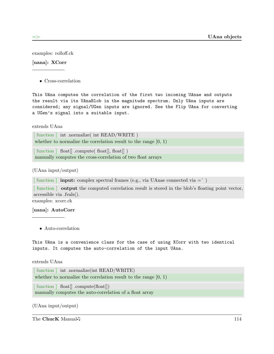examples: rolloff.ck

#### [uana]: XCorr

• Cross-correlation

This UAna computes the correlation of the first two incoming UAnae and outputs the result via its UAnaBlob in the magnitude spectrum. Only UAna inputs are considered; any signal/UGen inputs are ignored. See the Flip UAna for converting a UGen's signal into a suitable input.

#### extends UAna

[function ] int .normalize( int READ/WRITE) whether to normalize the correlation result to the range [0, 1)

 $\lceil$  function  $\lceil$  float $\lceil$  .compute( float $\lceil$ , float $\lceil$ ) manually computes the cross-correlation of two float arrays

(UAna input/output)

 $\lceil$  function  $\lceil$  **input:** complex spectral frames (e.g., via UAnae connected via  $=$   $\lceil$ )

[ function ] output the computed correlation result is stored in the blob's floating point vector, accessible via .fvals().

examples: xcorr.ck

#### [uana]: AutoCorr

• Auto-correlation

This UAna is a convenience class for the case of using XCorr with two identical inputs. It computes the auto-correlation of the input UAna.

#### extends UAna

[function ] int .normalize(int READ/WRITE) whether to normalize the correlation result to the range  $[0, 1)$ 

[function ] float[] .compute(float[])

manually computes the auto-correlation of a float array

(UAna input/output)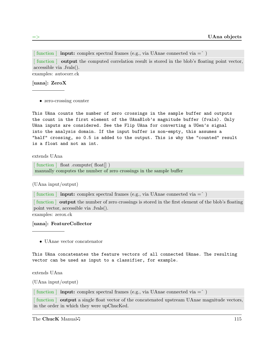$\lceil$  function  $\lceil$  **input:** complex spectral frames (e.g., via UAnae connected via  $=$   $\lceil$ )

[ function ] output the computed correlation result is stored in the blob's floating point vector, accessible via .fvals().

examples: autocorr.ck

#### [uana]: ZeroX

• zero-crossing counter

This UAna counts the number of zero crossings in the sample buffer and outputs the count in the first element of the UAnaBlob's magnitude buffer (fvals). Only UAna inputs are considered. See the Flip UAna for converting a UGen's signal into the analysis domain. If the input buffer is non-empty, this assumes a "half" crossing, so 0.5 is added to the output. This is why the "counted" result is a float and not an int.

extends UAna

[function ] float .compute( float[]) manually computes the number of zero crossings in the sample buffer

#### (UAna input/output)

 $\lceil$  function  $\lceil$  **input:** complex spectral frames (e.g., via UAnae connected via  $=$   $\lceil$ )

[ function ] output the number of zero crossings is stored in the first element of the blob's floating point vector, accessible via .fvals().

examples: zerox.ck

#### [uana]: FeatureCollector

• UAnae vector concatenator

This UAna concatenates the feature vectors of all connected UAnae. The resulting vector can be used as input to a classifier, for example.

extends UAna

(UAna input/output)

 $\lceil$  function  $\lceil$  **input:** complex spectral frames (e.g., via UAnae connected via  $=$   $\lceil$ )

[function ] **output** a single float vector of the concatenated upstream UAnae magnitude vectors, in the order in which they were upChucKed.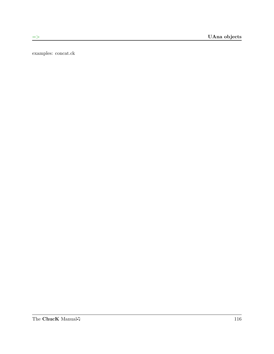examples: concat.ck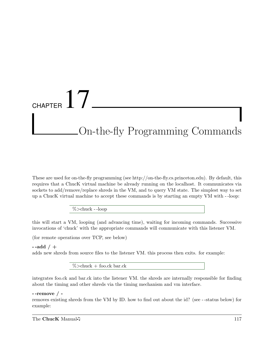## CHAPTER  $17$ On-the-fly Programming Commands

These are used for on-the-fly programming (see http://on-the-fly.cs.princeton.edu). By default, this requires that a ChucK virtual machine be already running on the localhost. It communicates via sockets to add/remove/replace shreds in the VM, and to query VM state. The simplest way to set up a ChucK virtual machine to accept these commands is by starting an empty VM with - -loop:

%>chuck - -loop

this will start a VM, looping (and advancing time), waiting for incoming commands. Successive invocations of 'chuck' with the appropriate commands will communicate with this listener VM.

(for remote operations over TCP, see below)

#### $-$ add  $/ +$

adds new shreds from source files to the listener VM. this process then exits. for example:

 $\%$ >chuck + foo.ck bar.ck

integrates foo.ck and bar.ck into the listener VM. the shreds are internally responsible for finding about the timing and other shreds via the timing mechanism and vm interface.

#### - -remove / -

removes existing shreds from the VM by ID. how to find out about the id? (see - -status below) for example: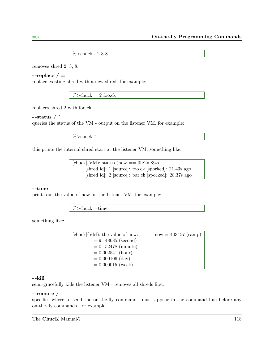%>chuck - 2 3 8

removes shred 2, 3, 8.

--replace  $/$   $=$ 

replace existing shred with a new shred. for example:

 $%$  > chuck = 2 foo.ck

replaces shred 2 with foo.ck

 $-$ status  $/$   $\hat{ }$ 

queries the status of the VM - output on the listener VM. for example:

%>chuck ˆ

this prints the internal shred start at the listener VM, something like:

 $[\text{chuck}](VM)$ : status (now == 0h:2m:34s) ... [shred id]: 1 [source]: foo.ck [sporked]: 21.43s ago [shred id]: 2 [source]: bar.ck [sporked]: 28.37s ago

#### - -time

prints out the value of now on the listener VM. for example:

%>chuck - -time

something like:

| $[chuck](VM)$ : the value of now: | $now = 403457 (samp)$ |
|-----------------------------------|-----------------------|
| $= 9.148685$ (second)             |                       |
| $= 0.152478$ (minute)             |                       |
| $= 0.002541$ (hour)               |                       |
| $= 0.000106$ (day)                |                       |
| $= 0.000015$ (week)               |                       |

#### - -kill

semi-gracefully kills the listener VM - removes all shreds first.

#### - -remote /

specifies where to send the on-the-fly command. must appear in the command line before any on-the-fly commands. for example: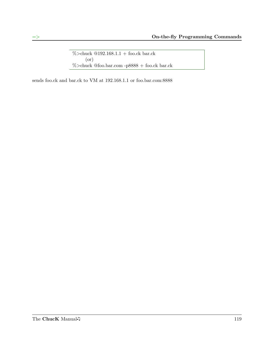$\%\!\!>$ chuck @192.168.1.1 + foo.ck bar.ck (or) %>chuck @foo.bar.com -p8888 + foo.ck bar.ck

sends foo.ck and bar.ck to VM at 192.168.1.1 or foo.bar.com:8888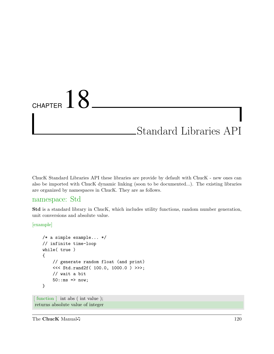## CHAPTER  $18$

### Standard Libraries API

ChucK Standard Libraries API these libraries are provide by default with ChucK - new ones can also be imported with ChucK dynamic linking (soon to be documented...). The existing libraries are organized by namespaces in ChucK. They are as follows.

#### namespace: Std

Std is a standard library in ChucK, which includes utility functions, random number generation, unit conversions and absolute value.

[example]

```
/* a simple example... */
   // infinite time-loop
   while( true )
   {
       // generate random float (and print)
       <<< Std.rand2f( 100.0, 1000.0 ) >>>;
       // wait a bit
       50::ms => now;
   }
[function ] int abs (int value);
returns absolute value of integer
```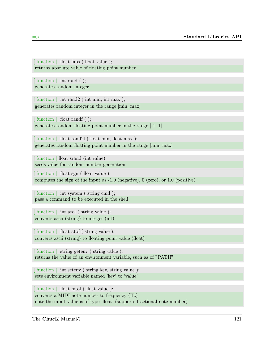[ function ] float fabs ( float value ); returns absolute value of floating point number

[function ] int rand ( ); generates random integer

[function ] int rand2 (int min, int max ); generates random integer in the range [min, max]

[function ] float randf ( ); generates random floating point number in the range [-1, 1]

function  $\vert$  float rand2f (float min, float max); generates random floating point number in the range [min, max]

[function ] float srand (int value) seeds value for random number generation

[function ] float sgn (float value); computes the sign of the input as -1.0 (negative), 0 (zero), or 1.0 (positive)

function  $\vert$  int system (string cmd); pass a command to be executed in the shell

[function ] int atoi (string value); converts ascii (string) to integer (int)

[function ] float atof (string value); converts ascii (string) to floating point value (float)

[function ] string geteny (string value); returns the value of an environment variable, such as of "PATH"

[function ] int setenv (string key, string value); sets environment variable named 'key' to 'value'

[function ] float mtof (float value); converts a MIDI note number to frequency (Hz) note the input value is of type 'float' (supports fractional note number)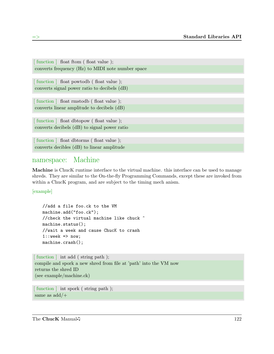[function ] float ftom (float value); converts frequency (Hz) to MIDI note number space [function ] float powtodb (float value); converts signal power ratio to decibels (dB) [function ] float rmstodb (float value); converts linear amplitude to decibels (dB) [function ] float dbtopow (float value); converts decibels (dB) to signal power ratio [function ] float dbtorms (float value); converts decibles (dB) to linear amplitude

#### namespace: Machine

Machine is ChucK runtime interface to the virtual machine. this interface can be used to manage shreds. They are similar to the On-the-fly Programming Commands, except these are invoked from within a ChucK program, and are subject to the timing mech anism.

[example]

```
//add a file foo.ck to the VM
machine.add("foo.ck");
//check the virtual machine like chuck ^
machine.status();
//wait a week and cause ChucK to crash
1::week => now;machine.crash();
```

```
[function ] int add (string path);
compile and spork a new shred from file at 'path' into the VM now
returns the shred ID
(see example/machine.ck)
```

```
[ function ] int spork ( string path );
same as add/+
```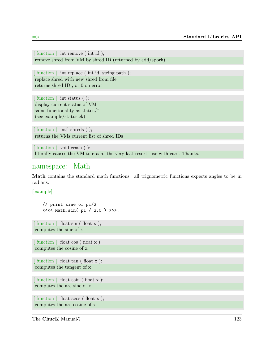[ function ] int remove ( int id ); remove shred from VM by shred ID (returned by add/spork)

[function ] int replace (int id, string path); replace shred with new shred from file returns shred ID , or 0 on error

[function ] int status ( ); display current status of VM same functionality as status/ˆ (see example/status.ck)

[function ] int[] shreds ( ); returns the VMs current list of shred IDs

[function ] void crash ( ); literally causes the VM to crash. the very last resort; use with care. Thanks.

#### namespace: Math

Math contains the standard math functions. all trignometric functions expects angles to be in radians.

[example]

// print sine of pi/2 <<<< Math.sin( pi / 2.0 ) >>>;

[function ] float sin (float x ); computes the sine of x

[function ] float cos (float x); computes the cosine of x

```
[function ] float tan (float x);
computes the tangent of x
```
[function ] float asin (float x); computes the arc sine of x

[function ] float acos (float x ); computes the arc cosine of x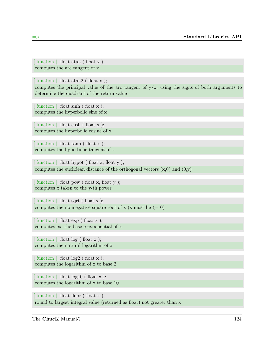[ function ] float atan ( float x ); computes the arc tangent of x

[function ] float atan2 (float x ); computes the principal value of the arc tangent of y/x, using the signs of both arguments to determine the quadrant of the return value

function  $\vert$  float sinh (float x ); computes the hyperbolic sine of x

function  $\vert$  float cosh (float x ); computes the hyperbolic cosine of x

function  $\vert$  float tanh (float x ); computes the hyperbolic tangent of x

[ function ] float hypot ( float x, float y ); computes the euclidean distance of the orthogonal vectors  $(x,0)$  and  $(0,y)$ 

function  $\vert$  float pow (float x, float y ); computes x taken to the y-th power

[function ] float sqrt (float x); computes the nonnegative square root of x (x must be  $i=0$ )

function  $\vert$  float exp (float x ); computes  $e\hat{x}$ , the base-e exponential of x

 $\lceil$  function  $\rceil$  float log (float x ); computes the natural logarithm of x

 $\lceil$  function  $\rceil$  float log2 (float x ); computes the logarithm of x to base 2

 $\lceil$  function  $\rceil$  float log10 (float x ); computes the logarithm of x to base 10

 $\lceil$  function  $\rceil$  float floor (float x); round to largest integral value (returned as float) not greater than x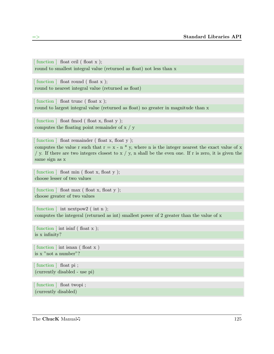[ function ] float ceil ( float x ); round to smallest integral value (returned as float) not less than x

[function ] float round (float x); round to nearest integral value (returned as float)

[function ] float trunc (float x ); round to largest integral value (returned as float) no greater in magnitude than x

[function ] float fmod (float x, float y); computes the floating point remainder of x / y

[function ] float remainder (float x, float y); computes the value r such that  $r = x - n * y$ , where n is the integer nearest the exact value of x / y. If there are two integers closest to  $x / y$ , n shall be the even one. If r is zero, it is given the same sign as x

function  $\vert$  float min (float x, float y ); choose lesser of two values

[ function ] float max ( float x, float y ); choose greater of two values

[function ] int nextpow2 (int n ); computes the integeral (returned as int) smallest power of 2 greater than the value of x

function  $\vert$  int isinf (float x ); is x infinity?

[function ] int isnan (float x) is x "not a number"?

[function ] float pi; (currently disabled - use pi)

[function ] float twopi ; (currently disabled)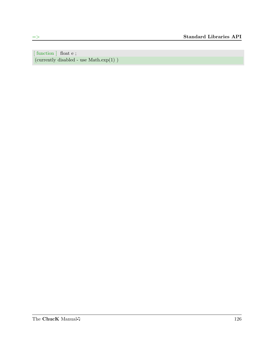[ function ] float e ; (currently disabled - use  $\mathrm{Math}.\mathrm{exp}(1)$  )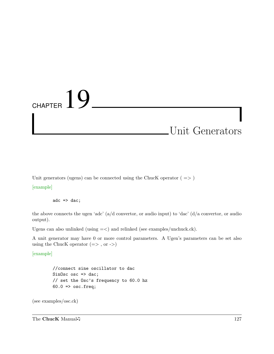# CHAPTER  $19$

### Unit Generators

Unit generators (ugens) can be connected using the ChucK operator (  $=>$  )

[example]

adc  $\Rightarrow$  dac;

the above connects the ugen 'adc' (a/d convertor, or audio input) to 'dac' (d/a convertor, or audio output).

Ugens can also unlinked (using =<) and relinked (see examples/unchuck.ck).

A unit generator may have 0 or more control parameters. A Ugen's parameters can be set also using the ChucK operator  $(=>$ , or  $->)$ 

[example]

//connect sine oscillator to dac SinOsc  $osc \Rightarrow$  dac; // set the Osc's frequency to 60.0 hz  $60.0 \Rightarrow$  osc.freq;

(see examples/osc.ck)

The ChucK Manual 127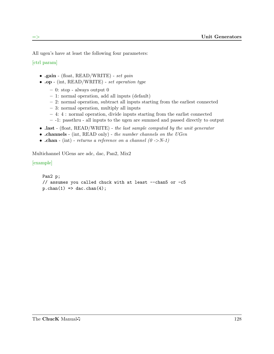All ugen's have at least the following four parameters:

[ctrl param]

- .gain (float,  $READ/WRITE)$  set gain
- .op (int, READ/WRITE) set operation type
	- 0: stop always output 0
	- 1: normal operation, add all inputs (default)
	- 2: normal operation, subtract all inputs starting from the earliest connected
	- 3: normal operation, multiply all inputs
	- 4: 4 : normal operation, divide inputs starting from the earlist connected
	- -1: passthru all inputs to the ugen are summed and passed directly to output
- last (float, READ/WRITE) the last sample computed by the unit generator
- .channels (int, READ only) the number channels on the UGen
- .chan (int) returns a reference on a channel  $(0 \rightarrow N-1)$

Multichannel UGens are adc, dac, Pan2, Mix2

[example]

```
Pan2 p;
// assumes you called chuck with at least --chan5 or -c5
p.\text{chan}(1) \Rightarrow \text{dac.chan}(4);
```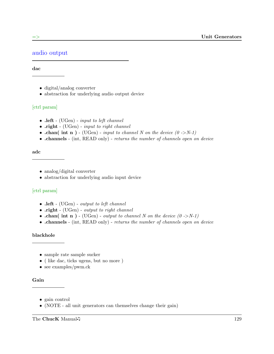#### audio output

#### dac

- digital/analog converter
- abstraction for underlying audio output device

#### [ctrl param]

- $\cdot$  left (UGen) *input to left channel*
- .right (UGen) *input to right channel*
- .chan( int n ) (UGen) input to channel N on the device  $(0 \rightarrow N-1)$
- .channels (int, READ only) returns the number of channels open on device

#### adc

- analog/digital converter
- abstraction for underlying audio input device

#### [ctrl param]

- $\cdot$  left (UGen) *output to left channel*
- .right (UGen) *output to right channel*
- .chan( int n ) (UGen) output to channel N on the device  $(0 \rightarrow N-1)$
- .channels (int, READ only) returns the number of channels open on device

#### blackhole

- sample rate sample sucker
- ( like dac, ticks ugens, but no more )
- see examples/pwm.ck

#### Gain

- gain control
- (NOTE all unit generators can themselves change their gain)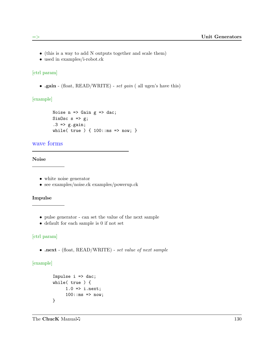- (this is a way to add N outputs together and scale them)
- used in examples/i-robot.ck

#### [ctrl param]

• .gain - (float, READ/WRITE) - set gain ( all ugen's have this)

[example]

```
Noise n \Rightarrow Gain g \Rightarrow dac;
SinOsc s \Rightarrow g;
.3 => g.gain;while( true ) { 100::ms => now; }
```
#### wave forms

Noise

- white noise generator
- see examples/noise.ck examples/powerup.ck

#### Impulse

- pulse generator can set the value of the next sample
- default for each sample is 0 if not set

#### [ctrl param]

• .next - (float, READ/WRITE) - set value of next sample

#### [example]

```
Impulse i => dac;
while( true ) {
     1.0 \Rightarrow i.next;100::ms => now;
}
```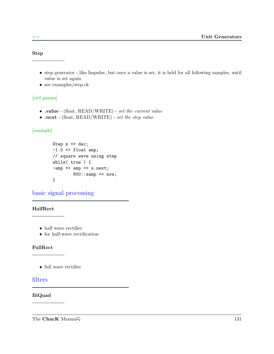Step

- step generator like Impulse, but once a value is set, it is held for all following samples, until value is set again
- see examples/step.ck

#### [ctrl param]

- .value (float, READ/WRITE) set the current value
- .next (float, READ/WRITE) set the step value

#### [example]

```
Step s \Rightarrow dac;
-1.0 => float amp;
// square wave using step
while( true ) {
-amp \Rightarrow amp \Rightarrow s.next;800::samp => now;
}
```
basic signal processing

#### HalfRect

- half wave rectifier
- for half-wave rectification

#### FullRect

• full wave rectifier

#### filters

#### BiQuad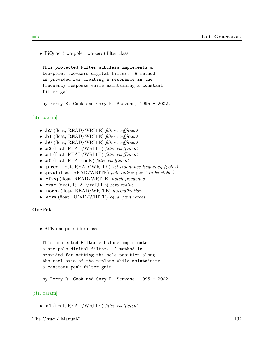• BiQuad (two-pole, two-zero) filter class.

This protected Filter subclass implements a two-pole, two-zero digital filter. A method is provided for creating a resonance in the frequency response while maintaining a constant filter gain.

by Perry R. Cook and Gary P. Scavone, 1995 - 2002.

#### [ctrl param]

- $\cdot$  .b2 (float, READ/WRITE) filter coefficient
- $\cdot$  .b1 (float, READ/WRITE) filter coefficient
- .b0 (float, READ/WRITE) filter coefficient
- .a2 (float, READ/WRITE) filter coefficient
- .a1 (float, READ/WRITE) filter coefficient
- .a0 (float, READ only) filter coefficient
- .pfreq (float, READ/WRITE) set resonance frequency (poles)
- .prad (float, READ/WRITE) pole radius  $(= 1 \text{ to be stable})$
- .zfreq (float, READ/WRITE) notch frequency
- .zrad (float, READ/WRITE) zero radius
- .norm (float, READ/WRITE) normalization
- .eqzs (float, READ/WRITE) equal gain zeroes

#### OnePole

• STK one-pole filter class.

This protected Filter subclass implements a one-pole digital filter. A method is provided for setting the pole position along the real axis of the z-plane while maintaining a constant peak filter gain.

by Perry R. Cook and Gary P. Scavone, 1995 - 2002.

#### [ctrl param]

• .a1 (float, READ/WRITE) filter coefficient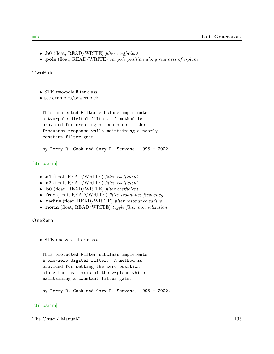- .b0 (float, READ/WRITE) *filter coefficient*
- .pole (float, READ/WRITE) set pole position along real axis of z-plane

#### TwoPole

- STK two-pole filter class.
- see examples/powerup.ck

```
This protected Filter subclass implements
a two-pole digital filter. A method is
provided for creating a resonance in the
frequency response while maintaining a nearly
constant filter gain.
```
by Perry R. Cook and Gary P. Scavone, 1995 - 2002.

#### [ctrl param]

- .a1 (float, READ/WRITE) filter coefficient
- .a2 (float, READ/WRITE) filter coefficient
- .b0 (float, READ/WRITE) filter coefficient
- .freq (float, READ/WRITE) filter resonance frequency
- .radius (float, READ/WRITE) filter resonance radius
- .norm (float, READ/WRITE) toggle filter normalization

#### OneZero

• STK one-zero filter class.

```
This protected Filter subclass implements
a one-zero digital filter. A method is
provided for setting the zero position
along the real axis of the z-plane while
maintaining a constant filter gain.
```
by Perry R. Cook and Gary P. Scavone, 1995 - 2002.

#### [ctrl param]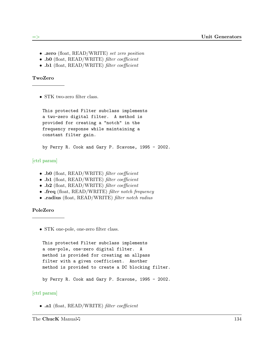- .zero (float, READ/WRITE) set zero position
- .b0 (float, READ/WRITE) filter coefficient
- .b1 (float, READ/WRITE) filter coefficient

#### TwoZero

• STK two-zero filter class.

This protected Filter subclass implements a two-zero digital filter. A method is provided for creating a "notch" in the frequency response while maintaining a constant filter gain.

by Perry R. Cook and Gary P. Scavone, 1995 - 2002.

#### [ctrl param]

- .b0 (float, READ/WRITE) filter coefficient
- .b1 (float, READ/WRITE) filter coefficient
- .b2 (float, READ/WRITE) filter coefficient
- .freq (float, READ/WRITE) filter notch frequency
- .radius (float, READ/WRITE) *filter notch radius*

#### PoleZero

• STK one-pole, one-zero filter class.

```
This protected Filter subclass implements
a one-pole, one-zero digital filter. A
method is provided for creating an allpass
filter with a given coefficient. Another
method is provided to create a DC blocking filter.
```
by Perry R. Cook and Gary P. Scavone, 1995 - 2002.

#### [ctrl param]

• .a1 (float, READ/WRITE) filter coefficient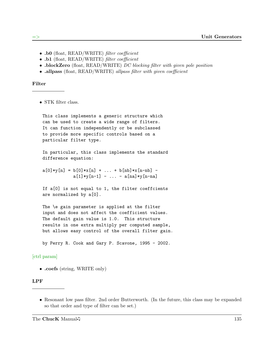- .b0 (float, READ/WRITE) *filter coefficient*
- .b1 (float, READ/WRITE) filter coefficient
- blockZero (float, READ/WRITE) DC blocking filter with given pole position
- .allpass (float, READ/WRITE) allpass filter with given coefficient

#### Filter

• STK filter class.

This class implements a generic structure which can be used to create a wide range of filters. It can function independently or be subclassed to provide more specific controls based on a particular filter type.

In particular, this class implements the standard difference equation:

 $a[0]*y[n] = b[0]*x[n] + ... + b[nb]*x[n-nb]$  $a[1]*y[n-1] - ... - a[na]*y[n-na]$ 

If a[0] is not equal to 1, the filter coeffcients are normalized by a[0].

The \e gain parameter is applied at the filter input and does not affect the coefficient values. The default gain value is 1.0. This structure results in one extra multiply per computed sample, but allows easy control of the overall filter gain.

by Perry R. Cook and Gary P. Scavone, 1995 - 2002.

#### [ctrl param]

• .coefs (string, WRITE only)

#### LPF

• Resonant low pass filter. 2nd order Butterworth. (In the future, this class may be expanded so that order and type of filter can be set.)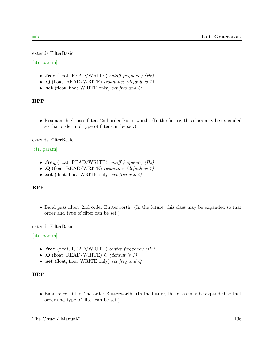extends FilterBasic

# [ctrl param]

- .freq (float, READ/WRITE) cutoff frequency  $(Hz)$
- $\Omega$  (float, READ/WRITE) resonance (default is 1)
- .set (float, float WRITE only) set freq and Q

# HPF

• Resonant high pass filter. 2nd order Butterworth. (In the future, this class may be expanded so that order and type of filter can be set.)

extends FilterBasic

# [ctrl param]

- .freq (float, READ/WRITE) cutoff frequency  $(Hz)$
- $\Omega$  (float, READ/WRITE) resonance (default is 1)
- .set (float, float WRITE only) set freq and Q

# BPF

• Band pass filter. 2nd order Butterworth. (In the future, this class may be expanded so that order and type of filter can be set.)

extends FilterBasic

# [ctrl param]

- .freq (float, READ/WRITE) center frequency  $(Hz)$
- $\cdot$  Q (float, READ/WRITE) Q (default is 1)
- .set (float, float WRITE only) set freq and Q

# BRF

• Band reject filter. 2nd order Butterworth. (In the future, this class may be expanded so that order and type of filter can be set.)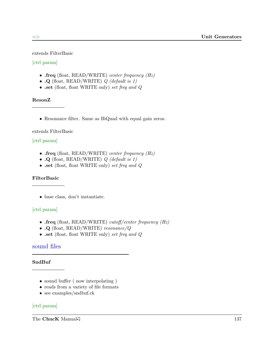extends FilterBasic

# [ctrl param]

- .freq (float, READ/WRITE) center frequency  $(Hz)$
- $\Omega$  (float, READ/WRITE) Q (default is 1)
- .set (float, float WRITE only) set freq and Q

# ResonZ

• Resonance filter. Same as BiQuad with equal gain zeros.

# extends FilterBasic

# [ctrl param]

- .freq (float, READ/WRITE) center frequency  $(Hz)$
- $\cdot$  Q (float, READ/WRITE) Q (default is 1)
- .set (float, float WRITE only) set freq and Q

# FilterBasic

• base class, don't instantiate.

# [ctrl param]

- .freq (float, READ/WRITE) cutoff/center frequency  $(Hz)$
- .Q (float, READ/WRITE) resonance/Q
- .set (float, float WRITE only) set freq and  $Q$

# sound files

# SndBuf

- sound buffer (now interpolating)
- reads from a variety of file formats
- see examples/sndbuf.ck

# [ctrl param]

The ChucK Manual 137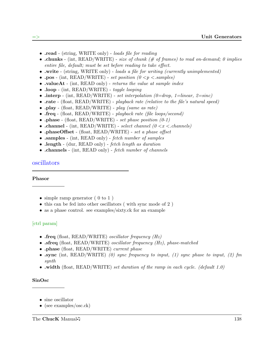- read (string, WRITE only) loads file for reading
- .chunks (int,  $READ/WRITE)$  size of chunk (# of frames) to read on-demand; 0 implies entire file, default; must be set before reading to take effect.
- .write (string, WRITE only) loads a file for writing (currently unimplemented)
- .pos (int, READ/WRITE) set position  $(0 \le p \le$ samples)
- valueAt (int, READ only) returns the value at sample index
- .loop (int, READ/WRITE) toggle looping
- .interp (int, READ/WRITE) set interpolation  $(0=drop, 1=linear, 2=sinc)$
- rate (float, READ/WRITE) playback rate (relative to the file's natural speed)
- .play (float, READ/WRITE) play (same as rate)
- .freq (float, READ/WRITE) playback rate (file loops/second)
- .phase (float, READ/WRITE) set phase position  $(0-1)$
- .channel (int, READ/WRITE) select channel  $(0 \lt x \lt$  channels)
- .phaseOffset (float, READ/WRITE) set a phase offset
- .samples (int, READ only) fetch number of samples
- .length (dur, READ only) fetch length as duration
- .channels (int, READ only) fetch number of channels

## oscillators

#### Phasor

- simple ramp generator (0 to 1)
- this can be fed into other oscillators ( with sync mode of 2 )
- as a phase control. see examples/sixty.ck for an example

### [ctrl param]

- .freq (float, READ/WRITE) *oscillator frequency*  $(Hz)$
- .sfreq (float, READ/WRITE) *oscillator frequency (Hz)*, *phase-matched*
- .phase (float, READ/WRITE) current phase
- .sync (int, READ/WRITE) (0) sync frequency to input, (1) sync phase to input, (2) fm synth
- .width (float, READ/WRITE) set duration of the ramp in each cycle. (default 1.0)

#### SinOsc

- sine oscillator
- (see examples/osc.ck)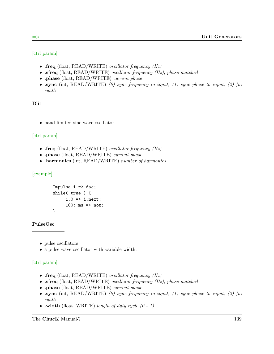# [ctrl param]

- .freq (float, READ/WRITE) *oscillator frequency*  $(Hz)$
- .sfreq (float, READ/WRITE) *oscillator frequency (Hz)*, *phase-matched*
- .phase (float, READ/WRITE) current phase
- .sync (int, READ/WRITE) (0) sync frequency to input, (1) sync phase to input, (2) fm synth

#### Blit

• band limited sine wave oscillator

### [ctrl param]

- .freq (float, READ/WRITE) *oscillator frequency*  $(Hz)$
- .phase (float, READ/WRITE) current phase
- .harmonics (int, READ/WRITE) number of harmonics

#### [example]

```
Impulse i \Rightarrow dac;
while( true ) {
      1.0 \Rightarrow i.next;100::ms => now;
}
```
#### PulseOsc

- pulse oscillators
- a pulse wave oscillator with variable width.

### [ctrl param]

- .freq (float, READ/WRITE) *oscillator frequency*  $(Hz)$
- .sfreq (float, READ/WRITE) *oscillator frequency (Hz)*, *phase-matched*
- .phase (float, READ/WRITE) current phase
- .sync (int, READ/WRITE) (0) sync frequency to input, (1) sync phase to input, (2) fm synth
- width (float, WRITE) length of duty cycle  $(0 1)$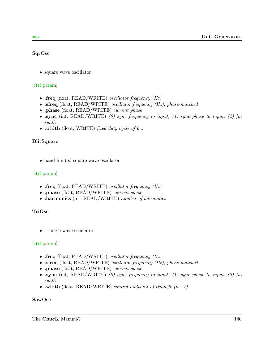### SqrOsc

• square wave oscillator

# [ctrl param]

- .freq (float, READ/WRITE) *oscillator frequency*  $(Hz)$
- .sfreq (float, READ/WRITE) *oscillator frequency (Hz)*, *phase-matched*
- .phase (float, READ/WRITE) current phase
- .sync (int, READ/WRITE) (0) sync frequency to input, (1) sync phase to input, (2) fm synth
- width (float, WRITE) fixed duty cycle of  $0.5$

### BlitSquare

• band limited square wave oscillator

# [ctrl param]

- .freq (float, READ/WRITE) oscillator frequency  $(Hz)$
- .phase (float, READ/WRITE) current phase
- .harmonics (int, READ/WRITE) number of harmonics

# TriOsc

• triangle wave oscillator

# [ctrl param]

- .freq (float, READ/WRITE) *oscillator frequency*  $(Hz)$
- .sfreq (float, READ/WRITE) *oscillator frequency (Hz)*, *phase-matched*
- .phase (float, READ/WRITE) current phase
- .sync (int, READ/WRITE) (0) sync frequency to input, (1) sync phase to input, (2) fm synth
- width (float, READ/WRITE) control midpoint of triangle  $(0 1)$

### SawOsc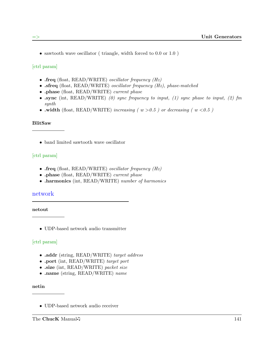• sawtooth wave oscillator ( triangle, width forced to 0.0 or 1.0)

[ctrl param]

- .freq (float, READ/WRITE) *oscillator frequency*  $(Hz)$
- .sfreq (float, READ/WRITE) *oscillator frequency (Hz)*, *phase-matched*
- .phase (float, READ/WRITE) current phase
- .sync (int, READ/WRITE) (0) sync frequency to input, (1) sync phase to input, (2) fm synth
- width (float, READ/WRITE) increasing ( $w > 0.5$ ) or decreasing ( $w < 0.5$ )

### BlitSaw

• band limited sawtooth wave oscillator

# [ctrl param]

- .freq (float, READ/WRITE) *oscillator frequency*  $(Hz)$
- .phase (float, READ/WRITE) current phase
- .harmonics (int, READ/WRITE) number of harmonics

# network

netout

• UDP-based network audio transmitter

# [ctrl param]

- .addr (string, READ/WRITE) target address
- .port (int, READ/WRITE) target port
- .size (int, READ/WRITE) packet size
- .name (string, READ/WRITE) name

netin

• UDP-based network audio receiver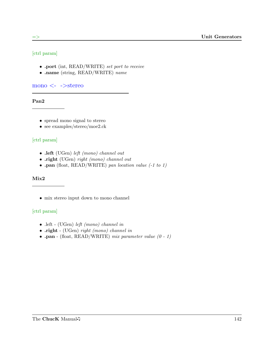# [ctrl param]

- .port (int, READ/WRITE) set port to receive
- .name (string, READ/WRITE) name

 $\mu$ mono  $\langle - \rangle$ stereo

Pan2

- spread mono signal to stereo
- see examples/stereo/moe2.ck

# [ctrl param]

- .left (UGen) left (mono) channel out
- .right (UGen) right (mono) channel out
- .pan (float, READ/WRITE) pan location value (-1 to 1)

# Mix2

• mix stereo input down to mono channel

# [ctrl param]

- .left (UGen) left (mono) channel in
- .right (UGen) right (mono) channel in
- .pan (float, READ/WRITE) mix parameter value  $(0 1)$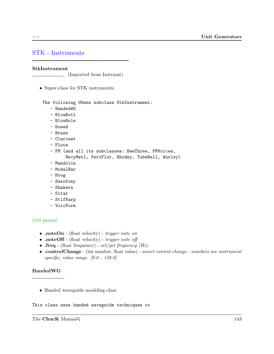# STK - Instruments

### StkInstrument

(Imported from Instrmnt)

• Super-class for STK instruments

The following UGens subclass StkInstrument:

- BandedWG
- BlowBotl
- BlowHole
- Bowed
- Brass
- Clarinet
- Flute
- FM (and all its subclasses: BeeThree, FMVoices, HevyMetl, PercFlut, Rhodey, TubeBell, Wurley)
- Mandolin
- ModalBar
- Moog
- Saxofony
- Shakers
- Sitar
- StifKarp
- VoicForm

# [ctrl param]

- .noteOn (float velocity) trigger note on
- .noteOff (float velocity) trigger note off
- .freq (float frequency)  $set/get$  frequency (Hz)
- .controlChange (int number, float value) assert control change numbers are instrument specific, value range: [0.0 - 128.0]

### BandedWG

• Banded waveguide modeling class

This class uses banded waveguide techniques to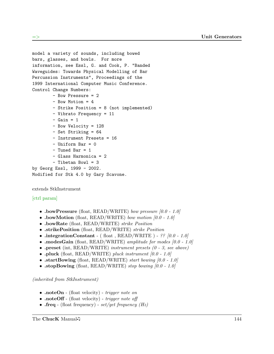```
model a variety of sounds, including bowed
bars, glasses, and bowls. For more
information, see Essl, G. and Cook, P. "Banded
Waveguides: Towards Physical Modelling of Bar
Percussion Instruments", Proceedings of the
1999 International Computer Music Conference.
Control Change Numbers:
        - Bow Pressure = 2
        - Bow Motion = 4
        - Strike Position = 8 (not implemented)
        - Vibrato Frequency = 11
        - Gain = 1
        - Bow Velocity = 128
        - Set Striking = 64
        - Instrument Presets = 16
        - Uniform Bar = 0
        - Tuned Bar = 1
        - Glass Harmonica = 2
        - Tibetan Bowl = 3
by Georg Essl, 1999 - 2002.
Modified for Stk 4.0 by Gary Scavone.
```
extends StkInstrument

# [ctrl param]

- .bowPressure (float, READ/WRITE) bow pressure  $[0.0 1.0]$
- .bowMotion (float, READ/WRITE) bow motion  $[0.0 1.0]$
- .bowRate (float, READ/WRITE) strike Position
- .strikePosition (float, READ/WRITE) strike Position
- .integrationConstant ( float , READ/WRITE ) ??  $[0.0 1.0]$
- .modesGain (float, READ/WRITE) amplitude for modes  $[0.0 1.0]$
- .preset (int, READ/WRITE) instrument presets  $(0 3, \text{ see above})$
- .pluck (float, READ/WRITE) pluck instrument  $[0.0 1.0]$
- .startBowing (float, READ/WRITE) start bowing  $[0.0 1.0]$
- .stopBowing (float, READ/WRITE) stop bowing  $[0.0 1.0]$

- .noteOn (float velocity) *trigger note on*
- .noteOff (float velocity) trigger note off
- .freq (float frequency) set/get frequency  $(Hz)$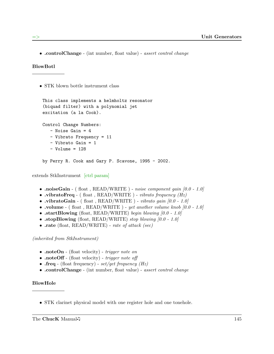• .controlChange - (int number, float value) - assert control change

### BlowBotl

• STK blown bottle instrument class

```
This class implements a helmholtz resonator
(biquad filter) with a polynomial jet
excitation (a la Cook).
Control Change Numbers:
   - Noise Gain = 4
   - Vibrato Frequency = 11
   - Vibrato Gain = 1
   - Volume = 128
by Perry R. Cook and Gary P. Scavone, 1995 - 2002.
```
extends StkInstrument [ctrl param]

- .noiseGain (float, READ/WRITE) noise component gain  $[0.0 1.0]$
- vibratoFreq ( float , READ/WRITE ) vibrato frequency  $(Hz)$
- .vibratoGain ( float , READ/WRITE ) vibrato gain  $[0.0 1.0]$
- volume ( float , READ/WRITE ) yet another volume knob  $[0.0 1.0]$
- .startBlowing (float, READ/WRITE) begin blowing  $[0.0 1.0]$
- .stopBlowing (float, READ/WRITE) stop blowing  $[0.0 1.0]$
- .rate (float, READ/WRITE) rate of attack (sec)

(inherited from StkInstrument)

- .noteOn (float velocity) *trigger note on*
- .noteOff (float velocity) *trigger note off*
- .freq (float frequency) set/get frequency  $(Hz)$
- .controlChange (int number, float value) assert control change

### BlowHole

• STK clarinet physical model with one register hole and one tonehole.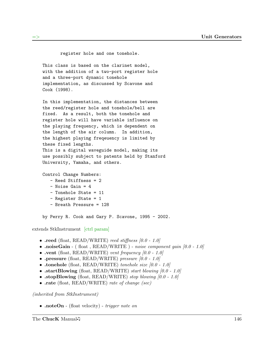register hole and one tonehole.

This class is based on the clarinet model, with the addition of a two-port register hole and a three-port dynamic tonehole implementation, as discussed by Scavone and Cook (1998).

In this implementation, the distances between the reed/register hole and tonehole/bell are fixed. As a result, both the tonehole and register hole will have variable influence on the playing frequency, which is dependent on the length of the air column. In addition, the highest playing freqeuency is limited by these fixed lengths. This is a digital waveguide model, making its use possibly subject to patents held by Stanford University, Yamaha, and others.

Control Change Numbers:

- Reed Stiffness = 2
- Noise Gain = 4
- Tonehole State = 11
- Register State = 1
- Breath Pressure = 128

by Perry R. Cook and Gary P. Scavone, 1995 - 2002.

extends StkInstrument [ctrl param]

- reed (float, READ/WRITE) reed stiffness  $[0.0 1.0]$
- noiseGain ( float , READ/WRITE ) noise component gain  $[0.0 1.0]$
- .vent (float, READ/WRITE) vent frequency  $[0.0 1.0]$
- .pressure (float, READ/WRITE) pressure  $[0.0 1.0]$
- tonehole (float, READ/WRITE) tonehole size  $[0.0 1.0]$
- .startBlowing (float, READ/WRITE) start blowing  $[0.0 1.0]$
- .stopBlowing (float, READ/WRITE) stop blowing  $[0.0 1.0]$
- .rate (float, READ/WRITE) rate of change (sec)

(inherited from StkInstrument)

• .noteOn - (float velocity) - *trigger note on*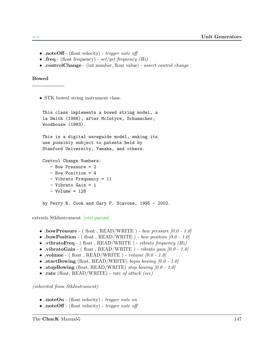- .noteOff (float velocity) *trigger note off*
- .freq (float frequency)  $set/get$  frequency (Hz)
- .controlChange (int number, float value) assert control change

### Bowed

• STK bowed string instrument class.

```
This class implements a bowed string model, a
la Smith (1986), after McIntyre, Schumacher,
Woodhouse (1983).
This is a digital waveguide model, making its
use possibly subject to patents held by
Stanford University, Yamaha, and others.
Control Change Numbers:
   - Bow Pressure = 2
   - Bow Position = 4
   - Vibrato Frequency = 11
   - Vibrato Gain = 1
```

```
- Volume = 128
```
by Perry R. Cook and Gary P. Scavone, 1995 - 2002.

extends StkInstrument [ctrl param]

- $\bullet$ .bowPressure ( float , READ/WRITE ) bow pressure [0.0 1.0]
- .bowPosition (float, READ/WRITE) bow position  $[0.0 1.0]$
- .vibratoFreq (float, READ/WRITE) vibrato frequency  $(Hz)$
- .vibratoGain ( float , READ/WRITE ) vibrato gain  $[0.0 1.0]$
- volume ( float , READ/WRITE ) volume  $[0.0 1.0]$
- .startBowing (float, READ/WRITE) begin bowing  $[0.0 1.0]$
- .stopBowing (float, READ/WRITE) stop bowing  $[0.0 1.0]$
- .rate (float, READ/WRITE) rate of attack (sec)

- .noteOn (float velocity) trigger note on
- .noteOff (float velocity) *trigger note off*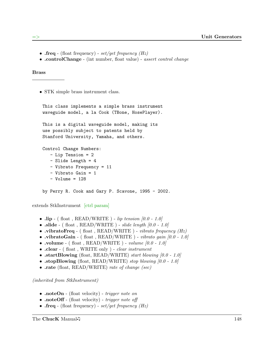- .freq (float frequency)  $set/get$  frequency (Hz)
- .controlChange (int number, float value) assert control change

Brass

• STK simple brass instrument class.

```
This class implements a simple brass instrument
waveguide model, a la Cook (TBone, HosePlayer).
This is a digital waveguide model, making its
use possibly subject to patents held by
Stanford University, Yamaha, and others.
Control Change Numbers:
  - Lip Tension = 2
   - Slide Length = 4
   - Vibrato Frequency = 11
   - Vibrato Gain = 1
   - Volume = 128
by Perry R. Cook and Gary P. Scavone, 1995 - 2002.
```
extends StkInstrument [ctrl param]

- .lip (float, READ/WRITE) lip tension  $[0.0 1.0]$
- $\mathbf{.slide}$  (float, READ/WRITE) slide length  $[0.0 1.0]$
- .vibratoFreq (float, READ/WRITE) vibrato frequency  $(Hz)$
- vibratoGain ( float , READ/WRITE ) vibrato gain  $[0.0 1.0]$
- volume ( float , READ/WRITE ) volume  $[0.0 1.0]$
- .clear (float, WRITE only) *clear instrument*
- .startBlowing (float, READ/WRITE) start blowing  $[0.0 1.0]$
- .stopBlowing (float, READ/WRITE) stop blowing  $[0.0 1.0]$
- rate (float, READ/WRITE) rate of change (sec)

- .noteOn (float velocity) *trigger note on*
- .noteOff (float velocity) trigger note off
- .freq (float frequency)  $set/get$  frequency (Hz)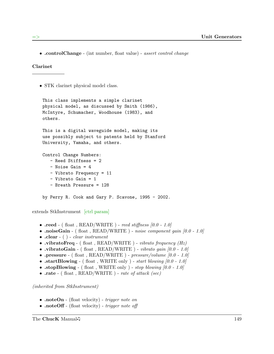• .controlChange - (int number, float value) - assert control change

Clarinet

• STK clarinet physical model class.

```
This class implements a simple clarinet
physical model, as discussed by Smith (1986),
McIntyre, Schumacher, Woodhouse (1983), and
others.
This is a digital waveguide model, making its
use possibly subject to patents held by Stanford
University, Yamaha, and others.
Control Change Numbers:
   - Reed Stiffness = 2
   - Noise Gain = 4
   - Vibrato Frequency = 11
   - Vibrato Gain = 1
   - Breath Pressure = 128
by Perry R. Cook and Gary P. Scavone, 1995 - 2002.
```
extends StkInstrument [ctrl param]

- $\text{treed } ($  float , READ/WRITE ) reed stiffness [0.0 1.0]
- .noiseGain (float, READ/WRITE) noise component gain  $[0.0 1.0]$
- $\text{.clear}$  ( ) *clear instrument*
- .vibratoFreq (float, READ/WRITE) vibrato frequency  $(Hz)$
- .vibratoGain ( float , READ/WRITE ) vibrato gain  $[0.0 1.0]$
- .pressure ( float , READ/WRITE )  $pressure/volume$  [0.0 1.0]
- .startBlowing (float, WRITE only) start blowing  $[0.0 1.0]$
- .stopBlowing (float, WRITE only) stop blowing  $[0.0 1.0]$
- $\text{rate}$  ( float , READ/WRITE ) rate of attack (sec)

- .noteOn (float velocity) trigger note on
- .noteOff (float velocity) trigger note off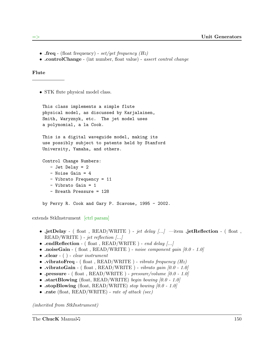- .freq (float frequency)  $set/get$  frequency (Hz)
- .controlChange (int number, float value) assert control change

#### Flute

• STK flute physical model class.

```
This class implements a simple flute
physical model, as discussed by Karjalainen,
Smith, Waryznyk, etc. The jet model uses
a polynomial, a la Cook.
This is a digital waveguide model, making its
use possibly subject to patents held by Stanford
University, Yamaha, and others.
Control Change Numbers:
   - Jet Delay = 2
   - Noise Gain = 4
   - Vibrato Frequency = 11
   - Vibrato Gain = 1
   - Breath Pressure = 128
by Perry R. Cook and Gary P. Scavone, 1995 - 2002.
```
extends StkInstrument [ctrl param]

- .jetDelay (float, READ/WRITE) jet delay  $\dots$  -item .jetReflection (float,  $READ/WRITE$  ) - jet reflection  $|...|$
- .endReflection (float, READ/WRITE) end delay  $\dots$
- .noiseGain (float, READ/WRITE) noise component gain  $[0.0 1.0]$
- $\text{.clear}$  ( ) *clear instrument*
- .vibratoFreq ( float , READ/WRITE ) vibrato frequency  $(Hz)$
- .vibratoGain ( float , READ/WRITE ) vibrato gain  $[0.0 1.0]$
- .pressure ( float , READ/WRITE )  $pressure/volume$  [0.0 1.0]
- .startBlowing (float, READ/WRITE) begin bowing  $[0.0 1.0]$
- .stopBlowing (float, READ/WRITE) stop bowing  $[0.0 1.0]$
- rate (float, READ/WRITE) rate of attack (sec)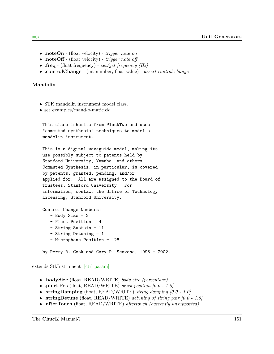- .noteOn (float velocity) *trigger note on*
- .noteOff (float velocity) trigger note off
- .freq (float frequency) set/get frequency  $(Hz)$
- .controlChange (int number, float value) assert control change

#### Mandolin

- STK mandolin instrument model class.
- see examples/mand-o-matic.ck

```
This class inherits from PluckTwo and uses
"commuted synthesis" techniques to model a
mandolin instrument.
```
This is a digital waveguide model, making its use possibly subject to patents held by Stanford University, Yamaha, and others. Commuted Synthesis, in particular, is covered by patents, granted, pending, and/or applied-for. All are assigned to the Board of Trustees, Stanford University. For information, contact the Office of Technology Licensing, Stanford University.

```
Control Change Numbers:
   - Body Size = 2
   - Pluck Position = 4
   - String Sustain = 11
   - String Detuning = 1
   - Microphone Position = 128
```
by Perry R. Cook and Gary P. Scavone, 1995 - 2002.

extends StkInstrument [ctrl param]

- .bodySize (float, READ/WRITE) body size (percentage)
- .pluckPos (float, READ/WRITE) pluck position  $[0.0 1.0]$
- .stringDamping (float, READ/WRITE) string damping  $[0.0 1.0]$
- .stringDetune (float, READ/WRITE) detuning of string pair  $[0.0 1.0]$
- .afterTouch (float, READ/WRITE) aftertouch (currently unsupported)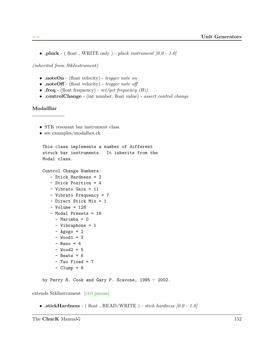• .pluck - (float, WRITE only) - pluck instrument  $[0.0 - 1.0]$ 

(inherited from StkInstrument)

- .noteOn (float velocity) *trigger note on*
- .noteOff (float velocity) trigger note off
- .freq (float frequency) set/get frequency  $(Hz)$
- .controlChange (int number, float value) assert control change

#### ModalBar

- STK resonant bar instrument class.
- see examples/modalbot.ck

```
This class implements a number of different
struck bar instruments. It inherits from the
Modal class.
```

```
Control Change Numbers:
```

```
- Stick Hardness = 2
- Stick Position = 4
- Vibrato Gain = 11
- Vibrato Frequency = 7
- Direct Stick Mix = 1
- Volume = 128
- Modal Presets = 16
  - Marimba = 0
  - Vibraphone = 1
  - Agogo = 2
 - Wood1 = 3
  - Reso = 4
  - Wood2 = 5- Beats = 6- Two Fixed = 7
  - Clump = 8
```
by Perry R. Cook and Gary P. Scavone, 1995 - 2002.

extends StkInstrument [ctrl param]

• .stickHardness - (float, READ/WRITE) - stick hardness  $[0.0 - 1.0]$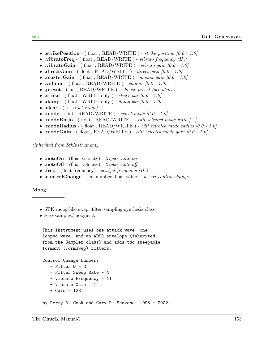- .strikePosition ( float ,  $READ/WRITE$  ) *strike position [0.0 1.0]*
- vibratoFreq ( float , READ/WRITE ) vibrato frequency  $(Hz)$
- .vibratoGain ( float , READ/WRITE ) vibrato gain  $[0.0 1.0]$
- $\cdot$  directGain (float, READ/WRITE) direct gain [0.0 1.0]
- .masterGain ( float , READ/WRITE ) master gain  $[0.0 1.0]$
- volume ( float , READ/WRITE ) volume  $[0.0 1.0]$
- .preset (int, READ/WRITE) choose preset (see above)
- .strike (float, WRITE only) strike bar  $[0.0 1.0]$
- $\text{damp} (\text{float}, \text{WRITE} \text{ only}) \text{damp bar } [0.0 1.0]$
- $\text{clear}$  ( ) reset [none]
- .mode ( int , READ/WRITE ) select mode  $[0.0 1.0]$
- .modeRatio (float, READ/WRITE) edit selected mode ratio [...]
- .modeRadius ( float , READ/WRITE ) *edit selected mode radius*  $[0.0 1.0]$
- .modeGain ( float ,  $READ/WRITE$  ) *edit selected mode qain [0.0 1.0]*

#### (inherited from StkInstrument)

- .noteOn (float velocity) *trigger note on*
- .noteOff (float velocity) *trigger note off*
- .freq (float frequency)  $set/get$  frequency (Hz)
- .controlChange (int number, float value) assert control change

#### Moog

- STK moog-like swept filter sampling synthesis class
- see examples/moogie.ck

```
This instrument uses one attack wave, one
looped wave, and an ADSR envelope (inherited
from the Sampler class) and adds two sweepable
formant (FormSwep) filters.
```

```
Control Change Numbers:
   - Filter Q = 2- Filter Sweep Rate = 4
   - Vibrato Frequency = 11
   - Vibrato Gain = 1
```
- $-$  Gain = 128
- by Perry R. Cook and Gary P. Scavone, 1995 2002.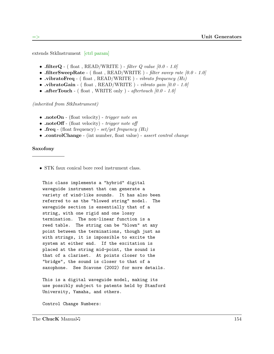extends StkInstrument [ctrl param]

- .filterQ (float, READ/WRITE) filter  $Q$  value  $[0.0 1.0]$
- .filterSweepRate ( float , READ/WRITE ) filter sweep rate  $[0.0 1.0]$
- vibratoFreq ( float , READ/WRITE ) vibrato frequency  $(Hz)$
- .vibratoGain ( float , READ/WRITE ) vibrato gain  $[0.0 1.0]$
- .afterTouch ( float , WRITE only ) aftertouch  $[0.0 1.0]$

(inherited from StkInstrument)

- .noteOn (float velocity) *trigger note on*
- .noteOff (float velocity) *trigger note off*
- .freq (float frequency)  $set/get$  frequency (Hz)
- .controlChange (int number, float value) assert control change

#### Saxofony

• STK faux conical bore reed instrument class.

This class implements a "hybrid" digital waveguide instrument that can generate a variety of wind-like sounds. It has also been referred to as the "blowed string" model. The waveguide section is essentially that of a string, with one rigid and one lossy termination. The non-linear function is a reed table. The string can be "blown" at any point between the terminations, though just as with strings, it is impossible to excite the system at either end. If the excitation is placed at the string mid-point, the sound is that of a clarinet. At points closer to the "bridge", the sound is closer to that of a saxophone. See Scavone (2002) for more details.

This is a digital waveguide model, making its use possibly subject to patents held by Stanford University, Yamaha, and others.

Control Change Numbers: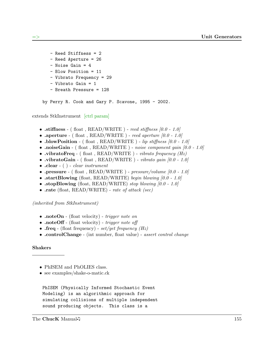```
- Reed Stiffness = 2
- Reed Aperture = 26
- Noise Gain = 4
- Blow Position = 11
- Vibrato Frequency = 29
- Vibrato Gain = 1
- Breath Pressure = 128
```
by Perry R. Cook and Gary P. Scavone, 1995 - 2002.

extends StkInstrument [ctrl param]

- .stiffness ( float , READ/WRITE ) reed stiffness  $[0.0 1.0]$
- .aperture ( float , READ/WRITE ) reed aperture  $[0.0 1.0]$
- .blowPosition (float, READ/WRITE) lip stiffness  $[0.0 1.0]$
- .noiseGain (float, READ/WRITE) noise component gain  $[0.0 1.0]$
- vibratoFreq ( float , READ/WRITE ) vibrato frequency  $(Hz)$
- .vibratoGain (float, READ/WRITE) vibrato gain  $[0.0 1.0]$
- $\text{.clear}$  ( ) *clear instrument*
- $\bullet$ .pressure ( float , READ/WRITE )  $pressure/volume$   $[0.0$   $1.0]$
- .startBlowing (float, READ/WRITE) begin blowing  $[0.0 1.0]$
- .stopBlowing (float, READ/WRITE) stop blowing  $[0.0 1.0]$
- rate (float, READ/WRITE) rate of attack (sec)

(inherited from StkInstrument)

- .noteOn (float velocity) *trigger note on*
- .noteOff (float velocity) *trigger note off*
- .freq (float frequency)  $set/get$  frequency (Hz)
- .controlChange (int number, float value) assert control change

#### Shakers

- PhISEM and PhOLIES class.
- see examples/shake-o-matic.ck

```
PhISEM (Physically Informed Stochastic Event
Modeling) is an algorithmic approach for
simulating collisions of multiple independent
sound producing objects. This class is a
```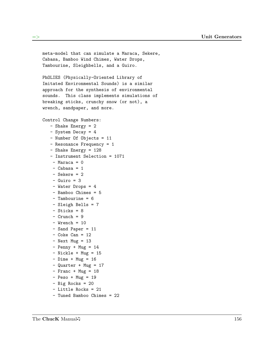```
meta-model that can simulate a Maraca, Sekere,
Cabasa, Bamboo Wind Chimes, Water Drops,
Tambourine, Sleighbells, and a Guiro.
PhOLIES (Physically-Oriented Library of
Imitated Environmental Sounds) is a similar
approach for the synthesis of environmental
sounds. This class implements simulations of
breaking sticks, crunchy snow (or not), a
wrench, sandpaper, and more.
Control Change Numbers:
   - Shake Energy = 2
   - System Decay = 4
   - Number Of Objects = 11
   - Resonance Frequency = 1
   - Shake Energy = 128
   - Instrument Selection = 1071
    -Maraca = 0- Cabasa = 1
    - Sekere = 2
    - Guiro = 3
    - Water Drops = 4
    - Bamboo Chimes = 5
    - Tambourine = 6
    - Sleigh Bells = 7
    - Sticks = 8
    - Crunch = 9
    - Wrench = 10
    - Sand Paper = 11
    - Coke Can = 12- Next Mug = 13
    - Penny + Mug = 14- Nickle + Mug = 15
    - Dime + Mug = 16
    - Quarter + Mug = 17
    - Franc + Mug = 18
    - Peso + Mug = 19
    - Big Rocks = 20
    - Little Rocks = 21
    - Tuned Bamboo Chimes = 22
```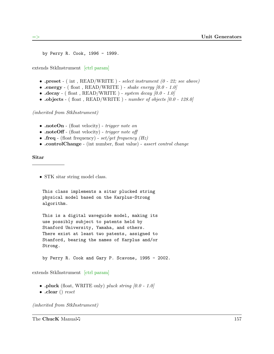by Perry R. Cook, 1996 - 1999.

extends StkInstrument [ctrl param]

- .preset (int, READ/WRITE) select instrument  $(0 22)$ ; see above)
- .energy (float, READ/WRITE) shake energy  $[0.0 1.0]$
- $\cdot$  decay (float, READ/WRITE) system decay  $[0.0 1.0]$
- $\text{.objects}$  ( float , READ/WRITE ) number of objects [0.0 128.0]

(inherited from StkInstrument)

- .noteOn (float velocity) trigger note on
- .noteOff (float velocity) trigger note off
- .freq (float frequency) set/get frequency  $(Hz)$
- .controlChange (int number, float value) assert control change

Sitar

• STK sitar string model class.

```
This class implements a sitar plucked string
physical model based on the Karplus-Strong
algorithm.
```
This is a digital waveguide model, making its use possibly subject to patents held by Stanford University, Yamaha, and others. There exist at least two patents, assigned to Stanford, bearing the names of Karplus and/or Strong.

by Perry R. Cook and Gary P. Scavone, 1995 - 2002.

extends StkInstrument [ctrl param]

- .pluck (float, WRITE only) pluck string  $[0.0 1.0]$
- .clear () reset

(inherited from StkInstrument)

The ChucK Manual  $\sqrt{ }$  157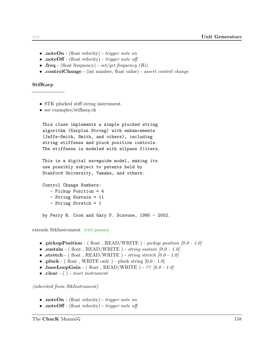- .noteOn (float velocity) *trigger note on*
- .noteOff (float velocity) *trigger note off*
- .freq (float frequency) set/get frequency  $(Hz)$
- .controlChange (int number, float value) assert control change

#### StifKarp

- STK plucked stiff string instrument.
- see examples/stifkarp.ck

This class implements a simple plucked string algorithm (Karplus Strong) with enhancements (Jaffe-Smith, Smith, and others), including string stiffness and pluck position controls. The stiffness is modeled with allpass filters.

This is a digital waveguide model, making its use possibly subject to patents held by Stanford University, Yamaha, and others.

Control Change Numbers: - Pickup Position = 4

- String Sustain = 11
- String Stretch = 1

by Perry R. Cook and Gary P. Scavone, 1995 - 2002.

extends StkInstrument [ctrl param]

- .pickupPosition (float, READ/WRITE) pickup position  $[0.0 1.0]$
- .sustain (float, READ/WRITE) string sustain  $[0.0 1.0]$
- .stretch (float, READ/WRITE) string stretch  $[0.0 1.0]$
- .pluck (float, WRITE only) pluck string  $[0.0 1.0]$
- $\cdot$  baseLoopGain (float, READ/WRITE) ??  $[0.0 1.0]$
- $\text{.clear}$  ( ) reset instrument

- .noteOn (float velocity) trigger note on
- .noteOff (float velocity) *trigger note off*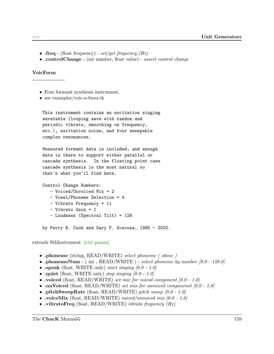- .freq (float frequency)  $set/get$  frequency (Hz)
- .controlChange (int number, float value) assert control change

### VoicForm

- Four formant synthesis instrument.
- see examples/voic-o-form.ck

This instrument contains an excitation singing wavetable (looping wave with random and periodic vibrato, smoothing on frequency, etc.), excitation noise, and four sweepable complex resonances.

Measured formant data is included, and enough data is there to support either parallel or cascade synthesis. In the floating point case cascade synthesis is the most natural so that's what you'll find here.

Control Change Numbers:

- Voiced/Unvoiced Mix = 2
- Vowel/Phoneme Selection = 4
- Vibrato Frequency = 11
- Vibrato Gain = 1
- Loudness (Spectral Tilt) = 128

by Perry R. Cook and Gary P. Scavone, 1995 - 2002.

extends StkInstrument [ctrl param]

- .phoneme (string, READ/WRITE) select phoneme ( above )
- .phonemeNum ( int ,  $READ/WRITE$  ) select phoneme by number  $[0.0 128.0]$
- .speak (float, WRITE only) start singing  $[0.0 1.0]$
- quiet (float, WRITE only) stop singing  $[0.0 1.0]$
- voiced (float, READ/WRITE) set mix for voiced component  $[0.0 1.0]$
- .unVoiced (float, READ/WRITE) set mix for unvoiced component  $[0.0 1.0]$
- .pitchSweepRate (float, READ/WRITE) pitch sweep  $[0.0 1.0]$
- voiceMix (float, READ/WRITE) voiced/unvoiced mix  $[0.0 1.0]$
- vibratoFreq (float, READ/WRITE) vibrato frequency  $(Hz)$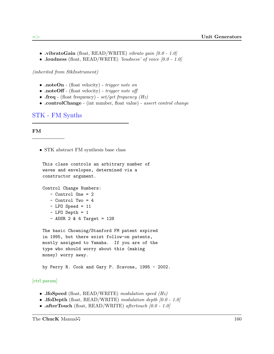- vibratoGain (float, READ/WRITE) vibrato gain  $[0.0 1.0]$
- .loudness (float, READ/WRITE) 'loudness' of voice  $[0.0 1.0]$

(inherited from StkInstrument)

- .noteOn (float velocity) *trigger note on*
- .noteOff (float velocity) trigger note off
- .freq (float frequency) set/get frequency  $(Hz)$
- .controlChange (int number, float value) assert control change

STK - FM Synths

FM

• STK abstract FM synthesis base class

```
This class controls an arbitrary number of
waves and envelopes, determined via a
constructor argument.
```
Control Change Numbers:

- Control One = 2
- Control Two = 4
- $-LFO$  Speed = 11
- LFO Depth = 1
- $-$  ADSR 2 & 4 Target = 128

```
The basic Chowning/Stanford FM patent expired
in 1995, but there exist follow-on patents,
mostly assigned to Yamaha. If you are of the
type who should worry about this (making
money) worry away.
```
by Perry R. Cook and Gary P. Scavone, 1995 - 2002.

### [ctrl param]

- .lfoSpeed (float, READ/WRITE) modulation speed  $(Hz)$
- .lfoDepth (float, READ/WRITE) modulation depth  $[0.0 1.0]$
- .afterTouch (float, READ/WRITE) aftertouch  $[0.0 1.0]$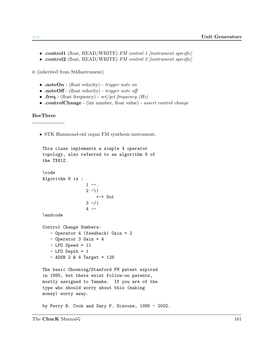- .control1 (float, READ/WRITE) FM control 1 [instrument specific]
- .control2 (float, READ/WRITE) FM control 2 [instrument specific]

it (inherited from StkInstrument)

- .noteOn (float velocity) *trigger note on*
- .noteOff (float velocity) trigger note off
- .freq (float frequency) set/get frequency  $(Hz)$
- .controlChange (int number, float value) assert control change

#### BeeThree

• STK Hammond-oid organ FM synthesis instrument.

```
This class implements a simple 4 operator
topology, also referred to as algorithm 8 of
the TX81Z.
\code
Algorithm 8 is :
                 1 - -.
                 2 - 1+-> Out
                 3 - 14 - -
```
\endcode

```
Control Change Numbers:
   - Operator 4 (feedback) Gain = 2
   - Operator 3 Gain = 4
   -LFO Speed = 11
   - LFO Depth = 1
   - ADSR 2 & 4 Target = 128
```
The basic Chowning/Stanford FM patent expired in 1995, but there exist follow-on patents, mostly assigned to Yamaha. If you are of the type who should worry about this (making money) worry away.

by Perry R. Cook and Gary P. Scavone, 1995 - 2002.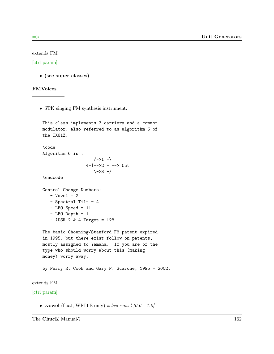extends FM

### [ctrl param]

• (see super classes)

### FMVoices

• STK singing FM synthesis instrument.

```
This class implements 3 carriers and a common
    modulator, also referred to as algorithm 6 of
    the TX81Z.
    \code
    Algorithm 6 is :
                        /->1 -\
                     4-|-->2 - +-> Out
                        \{-3 - / \}\endcode
    Control Change Numbers:
       - Vowel = 2
       - Spectral Tilt = 4
       -LFO Speed = 11
       - LFO Depth = 1
       - ADSR 2 & 4 Target = 128
    The basic Chowning/Stanford FM patent expired
    in 1995, but there exist follow-on patents,
    mostly assigned to Yamaha. If you are of the
    type who should worry about this (making
   money) worry away.
    by Perry R. Cook and Gary P. Scavone, 1995 - 2002.
extends FM
[ctrl param]
```
• .vowel (float, WRITE only) select vowel  $[0.0 - 1.0]$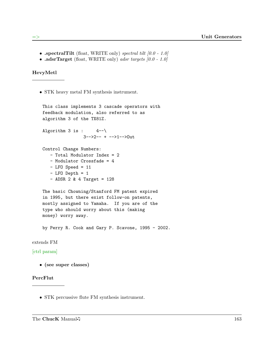- .spectralTilt (float, WRITE only) spectral tilt  $[0.0 1.0]$
- .adsrTarget (float, WRITE only) adsr targets  $[0.0 1.0]$

HevyMetl

• STK heavy metal FM synthesis instrument.

```
This class implements 3 cascade operators with
feedback modulation, also referred to as
algorithm 3 of the TX81Z.
Algorithm 3 is : 4--\3-->2-- + -->1-->Out
Control Change Numbers:
  - Total Modulator Index = 2
  - Modulator Crossfade = 4
   -LFO Speed = 11
   - LFO Depth = 1
   - ADSR 2 & 4 Target = 128
The basic Chowning/Stanford FM patent expired
in 1995, but there exist follow-on patents,
mostly assigned to Yamaha. If you are of the
type who should worry about this (making
money) worry away.
by Perry R. Cook and Gary P. Scavone, 1995 - 2002.
```
# extends FM

# [ctrl param]

• (see super classes)

# PercFlut

• STK percussive flute FM synthesis instrument.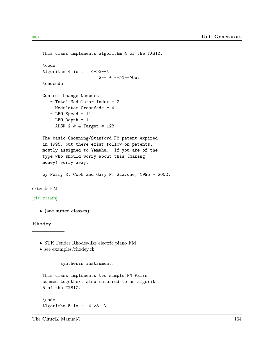```
This class implements algorithm 4 of the TX81Z.
    \code
    Algorithm 4 is : 4->3--\backslash2-- + -->1-->Out
    \endcode
    Control Change Numbers:
       - Total Modulator Index = 2
       - Modulator Crossfade = 4
       -LFO Speed = 11
       - LFO Depth = 1
       - ADSR 2 & 4 Target = 128
    The basic Chowning/Stanford FM patent expired
    in 1995, but there exist follow-on patents,
    mostly assigned to Yamaha. If you are of the
    type who should worry about this (making
    money) worry away.
    by Perry R. Cook and Gary P. Scavone, 1995 - 2002.
extends FM
[ctrl param]
   • (see super classes)
Rhodey
   • STK Fender Rhodes-like electric piano FM
   • see examples/rhodey.ck
           synthesis instrument.
    This class implements two simple FM Pairs
    summed together, also referred to as algorithm
    5 of the TX81Z.
```
\code Algorithm 5 is :  $4->3--\$ 

The ChucK Manual  $\sqrt{ }$  164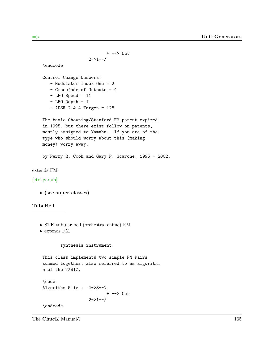```
+ --> Out
                      2 - > 1 - /\endcode
    Control Change Numbers:
       - Modulator Index One = 2
       - Crossfade of Outputs = 4
       - LFO Speed = 11
       - LFO Depth = 1
       - ADSR 2 & 4 Target = 128
    The basic Chowning/Stanford FM patent expired
    in 1995, but there exist follow-on patents,
    mostly assigned to Yamaha. If you are of the
    type who should worry about this (making
   money) worry away.
    by Perry R. Cook and Gary P. Scavone, 1995 - 2002.
extends FM
[ctrl param]
  • (see super classes)
TubeBell
  • STK tubular bell (orchestral chime) FM
  • extends FM
           synthesis instrument.
    This class implements two simple FM Pairs
    summed together, also referred to as algorithm
    5 of the TX81Z.
    \code
    Algorithm 5 is : 4->3--\+ --> Out
                      2 - > 1 - - /\endcode
```
The ChucK Manual  $\sqrt{ }$  165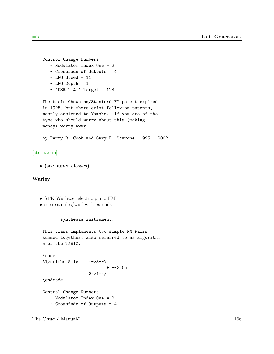```
Control Change Numbers:
  - Modulator Index One = 2
  - Crossfade of Outputs = 4
   - LFO Speed = 11
   - LFO Depth = 1
   - ADSR 2 & 4 Target = 128
The basic Chowning/Stanford FM patent expired
in 1995, but there exist follow-on patents,
mostly assigned to Yamaha. If you are of the
type who should worry about this (making
money) worry away.
by Perry R. Cook and Gary P. Scavone, 1995 - 2002.
```
# [ctrl param]

• (see super classes)

#### Wurley

- STK Wurlitzer electric piano FM
- see examples/wurley.ck extends

#### synthesis instrument.

```
This class implements two simple FM Pairs
summed together, also referred to as algorithm
5 of the TX81Z.
```

```
\code
Algorithm 5 is : 4->3--\+ --> Out
                  2 - > 1 - /
```
\endcode

```
Control Change Numbers:
   - Modulator Index One = 2
   - Crossfade of Outputs = 4
```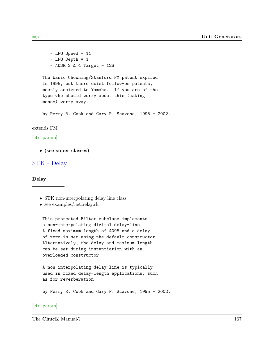```
-LFO Speed = 11
   -LFO Depth = 1
   - ADSR 2 & 4 Target = 128
The basic Chowning/Stanford FM patent expired
in 1995, but there exist follow-on patents,
mostly assigned to Yamaha. If you are of the
type who should worry about this (making
money) worry away.
```
by Perry R. Cook and Gary P. Scavone, 1995 - 2002.

#### extends FM

### [ctrl param]

• (see super classes)

# STK - Delay

Delay

- STK non-interpolating delay line class
- see examples/net\_relay.ck

This protected Filter subclass implements a non-interpolating digital delay-line. A fixed maximum length of 4095 and a delay of zero is set using the default constructor. Alternatively, the delay and maximum length can be set during instantiation with an overloaded constructor.

A non-interpolating delay line is typically used in fixed delay-length applications, such as for reverberation.

by Perry R. Cook and Gary P. Scavone, 1995 - 2002.

### [ctrl param]

The ChucK Manual  $\sqrt{ }$  167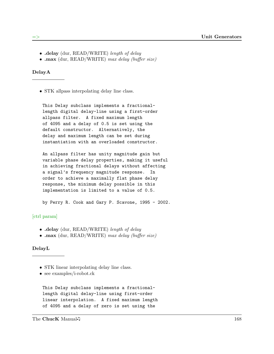- .delay (dur, READ/WRITE) length of delay
- .max (dur, READ/WRITE) max delay (buffer size)

DelayA

• STK allpass interpolating delay line class.

This Delay subclass implements a fractionallength digital delay-line using a first-order allpass filter. A fixed maximum length of 4095 and a delay of 0.5 is set using the default constructor. Alternatively, the delay and maximum length can be set during instantiation with an overloaded constructor.

An allpass filter has unity magnitude gain but variable phase delay properties, making it useful in achieving fractional delays without affecting a signal's frequency magnitude response. In order to achieve a maximally flat phase delay response, the minimum delay possible in this implementation is limited to a value of 0.5.

by Perry R. Cook and Gary P. Scavone, 1995 - 2002.

### [ctrl param]

- .delay (dur, READ/WRITE) length of delay
- .max (dur, READ/WRITE) max delay (buffer size)

DelayL

- STK linear interpolating delay line class.
- see examples/i-robot.ck

This Delay subclass implements a fractionallength digital delay-line using first-order linear interpolation. A fixed maximum length of 4095 and a delay of zero is set using the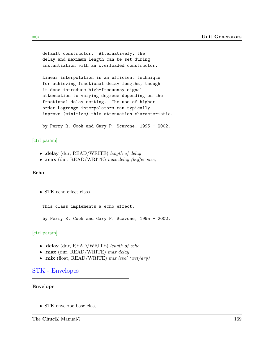default constructor. Alternatively, the delay and maximum length can be set during instantiation with an overloaded constructor.

Linear interpolation is an efficient technique for achieving fractional delay lengths, though it does introduce high-frequency signal attenuation to varying degrees depending on the fractional delay setting. The use of higher order Lagrange interpolators can typically improve (minimize) this attenuation characteristic.

by Perry R. Cook and Gary P. Scavone, 1995 - 2002.

# [ctrl param]

- .delay (dur, READ/WRITE) length of delay
- .max (dur, READ/WRITE) max delay (buffer size)

### Echo

• STK echo effect class.

This class implements a echo effect.

by Perry R. Cook and Gary P. Scavone, 1995 - 2002.

# [ctrl param]

- .delay (dur, READ/WRITE) length of echo
- .max (dur, READ/WRITE) max delay
- .mix (float, READ/WRITE) mix level (wet/dry)

# STK - Envelopes

### Envelope

• STK envelope base class.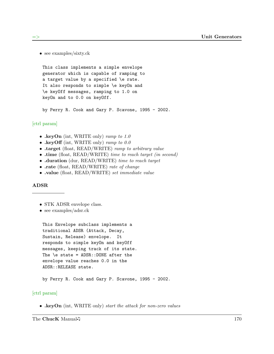• see examples/sixty.ck

This class implements a simple envelope generator which is capable of ramping to a target value by a specified \e rate. It also responds to simple \e keyOn and \e keyOff messages, ramping to 1.0 on keyOn and to 0.0 on keyOff.

by Perry R. Cook and Gary P. Scavone, 1995 - 2002.

#### [ctrl param]

- .keyOn (int, WRITE only) ramp to 1.0
- .keyOff (int, WRITE only) ramp to  $0.0$
- .target (float, READ/WRITE) ramp to arbitrary value
- .time (float, READ/WRITE) time to reach target (in second)
- .duration (dur, READ/WRITE) time to reach target
- .rate (float, READ/WRITE) rate of change
- .value (float, READ/WRITE) set immediate value

#### ADSR

- STK ADSR envelope class.
- see examples/adsr.ck

This Envelope subclass implements a traditional ADSR (Attack, Decay, Sustain, Release) envelope. It responds to simple keyOn and keyOff messages, keeping track of its state. The  $\leq$  state = ADSR::DONE after the envelope value reaches 0.0 in the ADSR::RELEASE state.

by Perry R. Cook and Gary P. Scavone, 1995 - 2002.

### [ctrl param]

• .keyOn (int, WRITE only) start the attack for non-zero values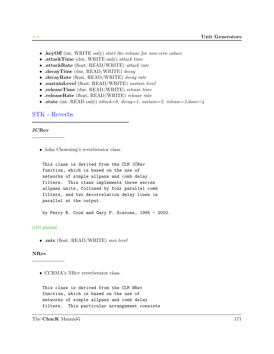- . key Off (int, WRITE only) start the release for non-zero values
- .attackTime (dur, WRITE only) attack time
- .attackRate (float, READ/WRITE) attack rate
- .decayTime (dur, READ/WRITE) decay
- .decayRate (float, READ/WRITE) decay rate
- .sustainLevel (float, READ/WRITE) sustain level
- .releaseTime (dur, READ/WRITE) release time
- .releaseRate (float, READ/WRITE) release rate
- .state (int, READ only) attack=0, decay=1, sustain=2, release=3,done=4

# STK - Reverbs

#### JCRev

• John Chowning's reverberator class.

```
This class is derived from the CLM JCRev
function, which is based on the use of
networks of simple allpass and comb delay
filters. This class implements three series
allpass units, followed by four parallel comb
filters, and two decorrelation delay lines in
parallel at the output.
```
by Perry R. Cook and Gary P. Scavone, 1995 - 2002.

### [ctrl param]

• .mix (float, READ/WRITE) mix level

#### NRev

• CCRMA's NRev reverberator class.

This class is derived from the CLM NRev function, which is based on the use of networks of simple allpass and comb delay filters. This particular arrangement consists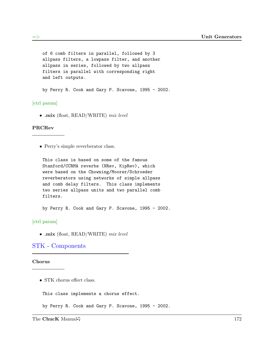```
of 6 comb filters in parallel, followed by 3
allpass filters, a lowpass filter, and another
allpass in series, followed by two allpass
filters in parallel with corresponding right
and left outputs.
```
by Perry R. Cook and Gary P. Scavone, 1995 - 2002.

[ctrl param]

• .mix (float, READ/WRITE) mix level

### PRCRev

• Perry's simple reverberator class.

This class is based on some of the famous Stanford/CCRMA reverbs (NRev, KipRev), which were based on the Chowning/Moorer/Schroeder reverberators using networks of simple allpass and comb delay filters. This class implements two series allpass units and two parallel comb filters.

by Perry R. Cook and Gary P. Scavone, 1995 - 2002.

[ctrl param]

• .mix (float, READ/WRITE) mix level

## STK - Components

#### Chorus

• STK chorus effect class.

This class implements a chorus effect.

by Perry R. Cook and Gary P. Scavone, 1995 - 2002.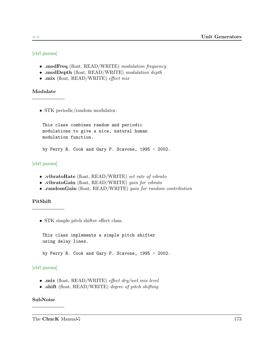## [ctrl param]

- .modFreq (float, READ/WRITE) modulation frequency
- .modDepth (float, READ/WRITE) modulation depth
- .mix (float, READ/WRITE) effect mix

### Modulate

• STK periodic/random modulator.

This class combines random and periodic modulations to give a nice, natural human modulation function.

by Perry R. Cook and Gary P. Scavone, 1995 - 2002.

## [ctrl param]

- .vibratoRate (float, READ/WRITE) set rate of vibrato
- .vibratoGain (float, READ/WRITE) gain for vibrato
- .randomGain (float, READ/WRITE) gain for random contribution

### PitShift

• STK simple pitch shifter effect class.

This class implements a simple pitch shifter using delay lines.

by Perry R. Cook and Gary P. Scavone, 1995 - 2002.

## [ctrl param]

- .mix (float, READ/WRITE) effect dry/wet mix level
- .shift (float, READ/WRITE) degree of pitch shifting

# SubNoise

The ChucK Manual  $\sqrt{ }$  173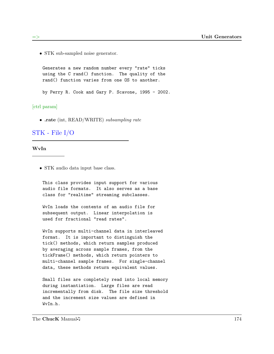• STK sub-sampled noise generator.

Generates a new random number every "rate" ticks using the C rand() function. The quality of the rand() function varies from one OS to another.

by Perry R. Cook and Gary P. Scavone, 1995 - 2002.

[ctrl param]

• .rate (int, READ/WRITE) subsampling rate

## STK - File I/O

#### WvIn

• STK audio data input base class.

This class provides input support for various audio file formats. It also serves as a base class for "realtime" streaming subclasses.

WvIn loads the contents of an audio file for subsequent output. Linear interpolation is used for fractional "read rates".

WvIn supports multi-channel data in interleaved format. It is important to distinguish the tick() methods, which return samples produced by averaging across sample frames, from the tickFrame() methods, which return pointers to multi-channel sample frames. For single-channel data, these methods return equivalent values.

Small files are completely read into local memory during instantiation. Large files are read incrementally from disk. The file size threshold and the increment size values are defined in WvIn.h.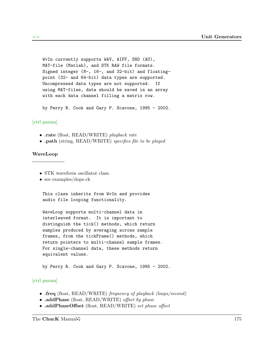WvIn currently supports WAV, AIFF, SND (AU), MAT-file (Matlab), and STK RAW file formats. Signed integer (8-, 16-, and 32-bit) and floatingpoint (32- and 64-bit) data types are supported. Uncompressed data types are not supported. If using MAT-files, data should be saved in an array with each data channel filling a matrix row.

by Perry R. Cook and Gary P. Scavone, 1995 - 2002.

### [ctrl param]

- .rate (float, READ/WRITE) playback rate
- .path (string, READ/WRITE) specifies file to be played

#### WaveLoop

- STK waveform oscillator class.
- see examples/dope.ck

This class inherits from WvIn and provides audio file looping functionality.

WaveLoop supports multi-channel data in interleaved format. It is important to distinguish the tick() methods, which return samples produced by averaging across sample frames, from the tickFrame() methods, which return pointers to multi-channel sample frames. For single-channel data, these methods return equivalent values.

by Perry R. Cook and Gary P. Scavone, 1995 - 2002.

- .freq (float, READ/WRITE) frequency of playback (loops/second)
- .addPhase (float, READ/WRITE) offset by phase
- .addPhaseOffset (float, READ/WRITE) set phase offset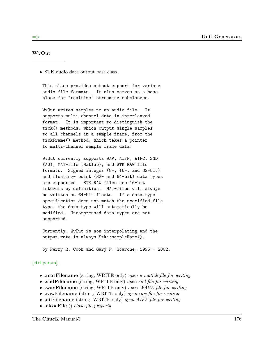#### WvOut

• STK audio data output base class.

This class provides output support for various audio file formats. It also serves as a base class for "realtime" streaming subclasses.

WvOut writes samples to an audio file. It supports multi-channel data in interleaved format. It is important to distinguish the tick() methods, which output single samples to all channels in a sample frame, from the tickFrame() method, which takes a pointer to multi-channel sample frame data.

WvOut currently supports WAV, AIFF, AIFC, SND (AU), MAT-file (Matlab), and STK RAW file formats. Signed integer (8-, 16-, and 32-bit) and floating- point (32- and 64-bit) data types are supported. STK RAW files use 16-bit integers by definition. MAT-files will always be written as 64-bit floats. If a data type specification does not match the specified file type, the data type will automatically be modified. Uncompressed data types are not supported.

Currently, WvOut is non-interpolating and the output rate is always Stk::sampleRate().

by Perry R. Cook and Gary P. Scavone, 1995 - 2002.

- .matFilename (string, WRITE only) open a matlab file for writing
- .sndFilename (string, WRITE only) open snd file for writing
- .wavFilename (string, WRITE only) open WAVE file for writing
- .rawFilename (string, WRITE only) open raw file for writing
- .aifFilename (string, WRITE only) open AIFF file for writing
- .closeFile () close file properly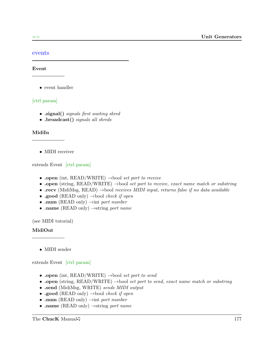### events

#### Event

• event handler

### [ctrl param]

- .signal() signals first waiting shred
- .broadcast() signals all shreds

### MidiIn

• MIDI receiver

extends Event [ctrl param]

- .open (int, READ/WRITE)  $\rightarrow$ bool set port to receive
- .open (string, READ/WRITE)  $\rightarrow$ bool set port to receive, exact name match or substring
- .recv (MidiMsg, READ)  $\rightarrow$ bool receives MIDI input, returns false if no data available
- .good (READ only)  $\rightarrow$ bool *check if open*
- .num (READ only)  $\rightarrow$ int port number
- .name (READ only)  $\rightarrow$ string port name

(see MIDI tutorial)

### MidiOut

• MIDI sender

extends Event [ctrl param]

- .open (int, READ/WRITE)  $\rightarrow$ bool set port to send
- .open (string, READ/WRITE)  $\rightarrow$ bool set port to send, exact name match or substring
- .send (MidiMsg, WRITE) sends MIDI output
- .good (READ only)  $\rightarrow$ bool *check if open*
- .num (READ only)  $\rightarrow$  int port number
- .name (READ only)  $\rightarrow$ string port name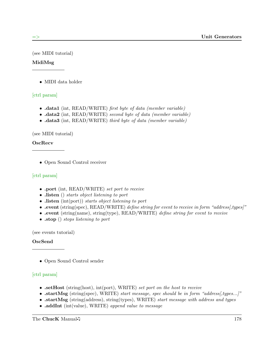(see MIDI tutorial)

# MidiMsg

• MIDI data holder

# [ctrl param]

- data1 (int, READ/WRITE) first byte of data (member variable)
- data2 (int, READ/WRITE) second byte of data (member variable)
- .data3 (int, READ/WRITE) third byte of data (member variable)

(see MIDI tutorial)

# OscRecv

• Open Sound Control receiver

# [ctrl param]

- .port (int, READ/WRITE) set port to receive
- listen () starts object listening to port
- listen (int(port)) starts object listening to port
- .event (string(spec), READ/WRITE) define string for event to receive in form "address[,types]"
- .event (string(name), string(type), READ/WRITE) define string for event to receive
- .stop () stops listening to port

(see events tutorial)

# OscSend

• Open Sound Control sender

- .setHost (string(host), int(port), WRITE) set port on the host to receive
- .startMsg (string(spec), WRITE) start message, spec should be in form "address[,types...]"
- .startMsg (string(address), string(types), WRITE) start message with address and types
- .addInt (int(value), WRITE) append value to message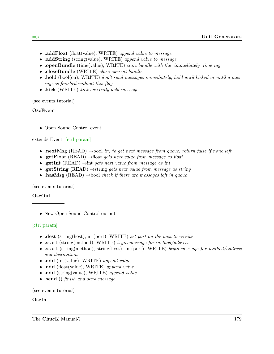- .addFloat (float(value), WRITE) append value to message
- .addString (string(value), WRITE) append value to message
- openBundle (time(value), WRITE) start bundle with the 'immediately' time tag
- .closeBundle (WRITE) close current bundle
- $\bullet$  hold (bool(on), WRITE) don't send messages immediately, hold until kicked or until a message is finished without this flag
- .kick (WRITE) kick currently held message

(see events tutorial)

## OscEvent

• Open Sound Control event

## extends Event [ctrl param]

- **.nextMsg** (READ)  $\rightarrow$  bool try to get next message from queue, return false if none left
- .getFloat (READ)  $\rightarrow$ float gets next value from message as float
- .getInt (READ)  $\rightarrow$ int gets next value from message as int
- .getString (READ)  $\rightarrow$ string gets next value from message as string
- .hasMsg (READ)  $\rightarrow$ bool check if there are messages left in queue

(see events tutorial)

## OscOut

• New Open Sound Control output

# [ctrl param]

- dest (string(host), int(port), WRITE) set port on the host to receive
- .start (string(method), WRITE) begin message for method/address
- .start (string(method), string(host), int(port), WRITE) begin message for method/address and destination
- .add (int(value), WRITE) append value
- .add (float(value), WRITE) append value
- .add (string(value), WRITE) append value
- .send () finish and send message

(see events tutorial)

## OscIn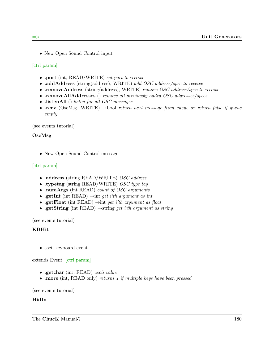• New Open Sound Control input

[ctrl param]

- .port (int, READ/WRITE) set port to receive
- .addAddress (string(address), WRITE) add OSC address/spec to receive
- .removeAddress (string(address), WRITE) remove OSC address/spec to receive
- .removeAllAddresses () remove all previously added OSC addresses/specs
- .listenAll () listen for all OSC messages
- recv (OscMsg, WRITE)  $\rightarrow$ bool return next message from queue or return false if queue empty

(see events tutorial)

### OscMsg

• New Open Sound Control message

## [ctrl param]

- .address (string READ/WRITE) OSC address
- .typetag (string READ/WRITE) OSC type tag
- .numArgs (int READ) count of OSC arguments
- .getInt (int READ)  $\rightarrow$ int get i'th argument as int
- .getFloat (int READ)  $\rightarrow$ int get i'th argument as float
- .getString (int READ)  $\rightarrow$ string get i'th argument as string

(see events tutorial)

### KBHit

• ascii keyboard event

extends Event [ctrl param]

- .getchar (int, READ) ascii value
- .more (int, READ only) returns 1 if multiple keys have been pressed

(see events tutorial)

### HidIn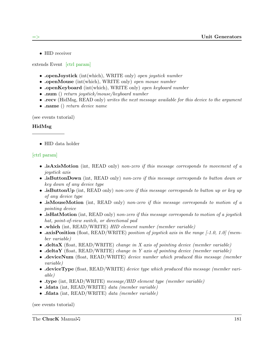• HID receiver

extends Event [ctrl param]

- .openJoystick (int(which), WRITE only) open joystick number
- .openMouse (int(which), WRITE only) *open mouse number*
- .openKeyboard (int(which), WRITE only) open keyboard number
- .num () return joystick/mouse/keyboard number
- recv (HidMsg, READ only) writes the next message available for this device to the argument
- .name () return device name

(see events tutorial)

## HidMsg

• HID data holder

# [ctrl param]

- .isAxisMotion (int. READ only) non-zero if this message corresponds to movement of a joystick axis
- .isButtonDown (int. READ only) non-zero if this message corresponds to button down or key down of any device type
- .isButtonUp (int, READ only) non-zero if this message corresponds to button up or key up of any device type
- isMouseMotion (int. READ only) non-zero if this message corresponds to motion of a pointing device
- $\bullet$  is HatMotion (int, READ only) non-zero if this message corresponds to motion of a joystick hat, point-of-view switch, or directional pad
- .which (int, READ/WRITE) HID element number (member variable)
- .axisPosition (float, READ/WRITE) position of joystick axis in the range  $[-1.0, 1.0]$  (member variable)
- $\Delta$  deltaX (float, READ/WRITE) change in X axis of pointing device (member variable)
- deltaY (float, READ/WRITE) change in Y axis of pointing device (member variable)
- deviceNum (float, READ/WRITE) device number which produced this message (member variable)
- deviceType (float, READ/WRITE) device type which produced this message (member variable)
- .type (int, READ/WRITE) message/HID element type (member variable)
- .idata (int, READ/WRITE) data (member variable)
- .fdata (int, READ/WRITE) data (member variable)

(see events tutorial)

The ChucK Manual 15 and 181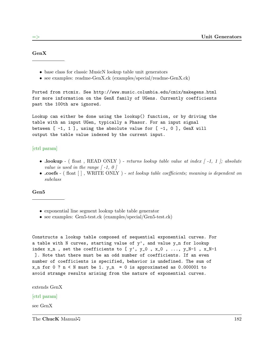GenX

- base class for classic MusicN lookup table unit generators
- see examples: readme-GenX.ck (examples/special/readme-GenX.ck)

Ported from rtcmix. See http://www.music.columbia.edu/cmix/makegens.html for more information on the GenX family of UGens. Currently coefficients past the 100th are ignored.

Lookup can either be done using the lookup() function, or by driving the table with an input UGen, typically a Phasor. For an input signal between  $[-1, 1]$ , using the absolute value for  $[-1, 0]$ , GenX will output the table value indexed by the current input.

#### [ctrl param]

- .lookup (float, READ ONLY) returns lookup table value at index  $\lceil -1, 1 \rceil$ ; absolute value is used in the range  $\lceil -1, 0 \rceil$
- .coefs (float  $\lceil \cdot \rceil$ , WRITE ONLY) set lookup table coefficients; meaning is dependent on subclass

#### Gen5

- exponential line segment lookup table table generator
- see examples: Gen5-test.ck (examples/special/Gen5-test.ck)

```
Constructs a lookup table composed of sequential exponential curves. For
a table with N curves, starting value of y', and value y_n for lookup
index x_n, set the coefficients to [y', y_0, x_0, ..., y_N-1, x_N-1
]. Note that there must be an odd number of coefficients. If an even
number of coefficients is specified, behavior is undefined. The sum of
x_n for 0 ? n < N must be 1. y_n = 0 is approximated as 0.000001 to
avoid strange results arising from the nature of exponential curves.
```
extends GenX

#### [ctrl param]

see GenX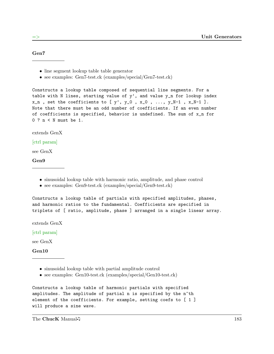### Gen7

- line segment lookup table table generator
- see examples: Gen7-test.ck (examples/special/Gen7-test.ck)

Constructs a lookup table composed of sequential line segments. For a table with N lines, starting value of  $y'$ , and value  $y_n$  for lookup index  $x_n$ , set the coefficients to [y', y\_0, x\_0, ..., y\_N-1,  $x_N-1$ ]. Note that there must be an odd number of coefficients. If an even number of coefficients is specified, behavior is undefined. The sum of x\_n for 0 ? n < N must be 1.

extends GenX

### [ctrl param]

see GenX

Gen9

- sinusoidal lookup table with harmonic ratio, amplitude, and phase control
- see examples: Gen9-test.ck (examples/special/Gen9-test.ck)

Constructs a lookup table of partials with specified amplitudes, phases, and harmonic ratios to the fundamental. Coefficients are specified in triplets of [ ratio, amplitude, phase ] arranged in a single linear array.

extends GenX

[ctrl param]

see GenX

Gen10

- sinusoidal lookup table with partial amplitude control
- see examples: Gen10-test.ck (examples/special/Gen10-test.ck)

```
Constructs a lookup table of harmonic partials with specified
amplitudes. The amplitude of partial n is specified by the n^th
element of the coefficients. For example, setting coefs to [ 1 ]
will produce a sine wave.
```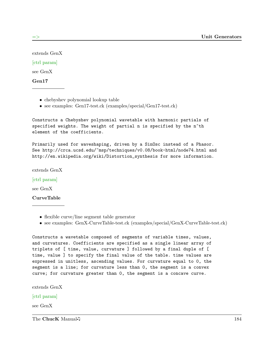extends GenX

[ctrl param]

see GenX

Gen17

- chebyshev polynomial lookup table
- see examples: Gen17-test.ck (examples/special/Gen17-test.ck)

Constructs a Chebyshev polynomial wavetable with harmonic partials of specified weights. The weight of partial n is specified by the n^th element of the coefficients.

Primarily used for waveshaping, driven by a SinOsc instead of a Phasor. See http://crca.ucsd.edu/~msp/techniques/v0.08/book-html/node74.html and http://en.wikipedia.org/wiki/Distortion\_synthesis for more information.

extends GenX

[ctrl param]

see GenX

CurveTable

- flexible curve/line segment table generator
- see examples: GenX-CurveTable-test.ck (examples/special/GenX-CurveTable-test.ck)

Constructs a wavetable composed of segments of variable times, values, and curvatures. Coefficients are specified as a single linear array of triplets of [ time, value, curvature ] followed by a final duple of [ time, value ] to specify the final value of the table. time values are expressed in unitless, ascending values. For curvature equal to 0, the segment is a line; for curvature less than 0, the segment is a convex curve; for curvature greater than 0, the segment is a concave curve.

extends GenX

### [ctrl param]

see GenX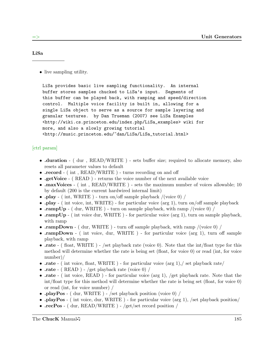### LiSa

• live sampling utility.

LiSa provides basic live sampling functionality. An internal buffer stores samples chucked to LiSa's input. Segments of this buffer can be played back, with ramping and speed/direction control. Multiple voice facility is built in, allowing for a single LiSa object to serve as a source for sample layering and granular textures. by Dan Trueman (2007) see LiSa Examples <http://wiki.cs.princeton.edu/index.php/LiSa\_examples> wiki for more, and also a slowly growing tutorial <http://music.princeton.edu/~dan/LiSa/LiSa\_tutorial.html>

- duration ( dur , READ/WRITE ) sets buffer size; required to allocate memory, also resets all parameter values to default
- record (int, READ/WRITE) turns recording on and off
- .getVoice (READ) returns the voice number of the next available voice
- .maxVoices (int, READ/WRITE) sets the maximum number of voices allowable; 10 by default (200 is the current hardwired internal limit)
- .play (int, WRITE) turn on/off sample playback /(voice 0) /
- .play ( int voice, int, WRITE) for particular voice (arg 1), turn on/off sample playback
- .rampUp ( dur, WRITE ) turn on sample playback, with ramp /(voice  $0$ ) /
- .rampUp (int voice dur, WRITE) for particular voice (arg 1), turn on sample playback, with ramp
- .rampDown ( dur, WRITE ) turn off sample playback, with ramp /(voice  $0$ ) /
- .rampDown ( int voice, dur, WRITE ) for particular voice (arg 1), turn off sample playback, with ramp
- rate ( float, WRITE ) /set playback rate (voice 0). Note that the int/float type for this method will determine whether the rate is being set (float, for voice 0) or read (int, for voice number)/
- rate ( int voice, float, WRITE) for particular voice (arg 1), / set playback rate/
- $\text{rate}$  ( READ ) /get playback rate (voice 0) /
- rate ( int voice, READ) for particular voice (arg 1), /get playback rate. Note that the int/float type for this method will determine whether the rate is being set (float, for voice 0) or read (int, for voice number) /
- .playPos ( dur, WRITE ) /set playback position (voice  $0$ ) /
- .playPos ( int voice, dur, WRITE) for particular voice (arg 1), /set playback position/
- $recPos (dur, READ/WRITE) /get/set record position /$